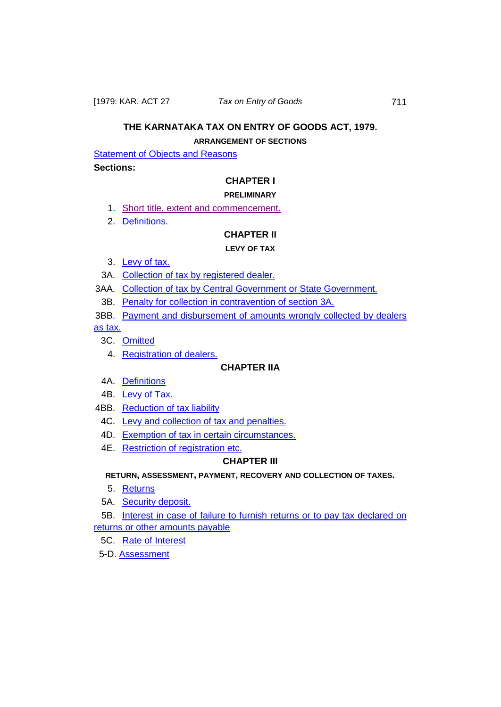# **THE KARNATAKA TAX ON ENTRY OF GOODS ACT, 1979.**

## **ARRANGEMENT OF SECTIONS**

**[Statement of Objects and Reasons](#page-2-0)** 

### **Sections:**

## **CHAPTER I**

## **PRELIMINARY**

- 1. [Short title, extent and commencement.](#page-21-0)
- 2. [Definitions.](#page-21-1)

## **CHAPTER II**

## **LEVY OF TAX**

- 3. [Levy of tax.](#page-25-0)
- 3A. [Collection of tax by registered dealer.](#page-28-0)
- 3AA. [Collection of tax by Central Government or State Government.](#page-28-1)
- 3B. [Penalty for collection in contravention of section 3A.](#page-28-2)
- 3BB. [Payment and disbursement of amounts wrongly collected by dealers](#page-28-3)

[as tax.](#page-28-3)

- 3C. [Omitted](#page-30-0)
	- 4. [Registration of dealers.](#page-30-1)

## **CHAPTER IIA**

- 4A. [Definitions](#page-31-0)
- 4B. [Levy of Tax.](#page-32-0)
- 4BB. [Reduction of tax liability](#page-32-1)
- 4C. [Levy and collection of tax and penalties.](#page-33-0)
- 4D. [Exemption of tax in certain circumstances.](#page-33-1)
- 4E. [Restriction of registration etc.](#page-33-1)

## **CHAPTER III**

## **RETURN, ASSESSMENT, PAYMENT, RECOVERY AND COLLECTION OF TAXES.**

- 5. Returns
- 5A. [Security deposit.](#page-35-0)

5B. [Interest in case of failure to furnish returns or to pay tax declared on](#page-35-1)  [returns or other amounts payable](#page-35-1)

- 5C. [Rate of Interest](#page-36-0)
- 5-D. [Assessment](#page-36-1)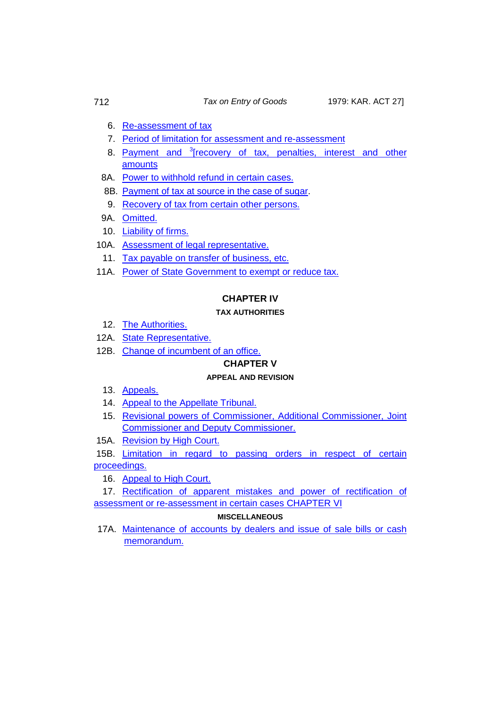- 6. [Re-assessment of tax](#page-38-0)
- 7. [Period of limitation for assessment and re-assessment](#page-39-0)
- 8. Payment and <sup>3</sup>[recovery of tax, penalties, interest and other [amounts](#page-39-1)
- 8A. [Power to withhold refund in certain cases.](#page-42-0)
- 8B. [Payment of tax at source in the case of sugar.](#page-42-1)
- 9. [Recovery of tax from certain other persons.](#page-43-0)
- 9A. [Omitted.](#page-44-0)
- 10. [Liability of firms.](#page-45-0)
- 10A. [Assessment of legal representative.](#page-45-1)
- 11. [Tax payable on transfer of business, etc.](#page-45-2)
- 11A. [Power of State Government to exempt or reduce tax.](#page-46-0)

## **CHAPTER IV**

### **TAX AUTHORITIES**

- 12. [The Authorities.](#page-47-0)
- 12A. [State Representative.](#page-48-0)
- 12B. [Change of incumbent of an office.](#page-49-0)

## **CHAPTER V**

### **APPEAL AND REVISION**

- 13. [Appeals.](#page-50-0)
- 14. [Appeal to the Appellate Tribunal.](#page-52-0)
- 15. [Revisional powers of Commissioner, Additional Commissioner, Joint](#page-55-0)  [Commissioner and Deputy Commissioner.](#page-55-0)
- 15A. [Revision by High Court.](#page-56-0)

15B. Limitation in regard to passing orders in respect of certain [proceedings.](#page-58-0)

16. [Appeal to High Court.](#page-58-1)

17. [Rectification of apparent mistakes and power of rectification](#page-59-0) of [assessment or re-assessment in certain cases](#page-59-0) CHAPTER VI

### **MISCELLANEOUS**

17A. [Maintenance of accounts by dealers and issue of sale bills or cash](#page-60-0)  [memorandum.](#page-60-0)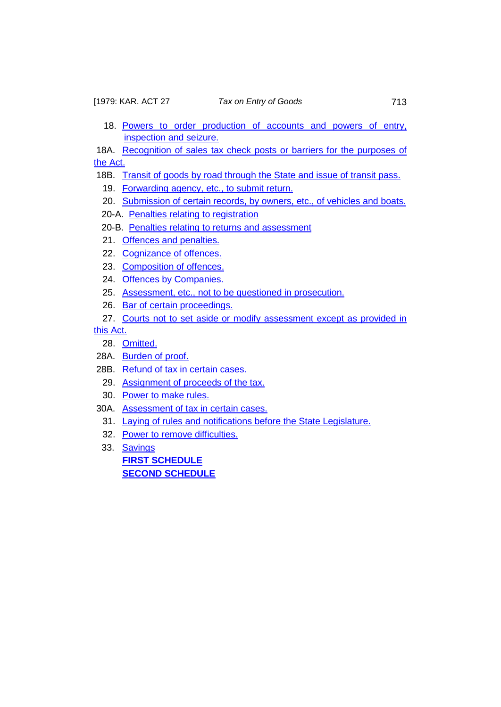- 18. [Powers to order production of accounts](#page-61-0) and powers of entry, [inspection and seizure.](#page-61-0)
- 18A. [Recognition of sales tax check posts or barriers for the purposes of](#page-62-0)  [the Act.](#page-62-0)
- 18B. [Transit of goods by road through the State and issue of transit pass.](#page-66-0)
	- 19. [Forwarding agency, etc., to submit return.](#page-67-0)
	- 20. [Submission of certain records, by owners, etc., of vehicles and boats.](#page-67-1)
	- 20-A. [Penalties relating to registration](#page-68-0)
	- 20-B. [Penalties relating to returns and assessment](#page-68-1)
	- 21. [Offences and penalties.](#page-69-0)
	- 22. [Cognizance of offences.](#page-70-0)
	- 23. [Composition of offences.](#page-70-1)
	- 24. [Offences by Companies.](#page-71-0)
	- 25. [Assessment, etc., not to be questioned in prosecution.](#page-71-1)
	- 26. [Bar of certain proceedings.](#page-71-2)
	- 27. [Courts not to set aside or modify assessment except as provided in](#page-72-0)

[this Act.](#page-72-0)

- 28. [Omitted.](#page-72-1)
- 28A. [Burden of proof.](#page-72-2)
- 28B. [Refund of tax in certain cases.](#page-73-0)
	- 29. [Assignment of proceeds of the tax.](#page-73-1)
	- 30. [Power to make rules.](#page-73-2)
- 30A. [Assessment of tax in certain cases.](#page-75-0)
	- 31. [Laying of rules and notifications before the State Legislature.](#page-75-1)
	- 32. [Power to remove difficulties.](#page-75-2)
	- 33. [Savings](#page-76-0)

<span id="page-2-0"></span>**[FIRST SCHEDULE](#page-76-1) [SECOND SCHEDULE](#page-84-0)**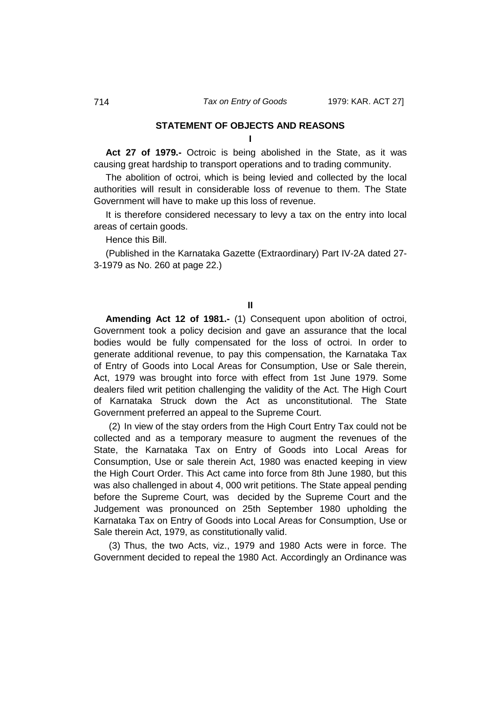#### **STATEMENT OF OBJECTS AND REASONS**

**I**

**Act 27 of 1979.-** Octroic is being abolished in the State, as it was causing great hardship to transport operations and to trading community.

The abolition of octroi, which is being levied and collected by the local authorities will result in considerable loss of revenue to them. The State Government will have to make up this loss of revenue.

It is therefore considered necessary to levy a tax on the entry into local areas of certain goods.

Hence this Bill.

(Published in the Karnataka Gazette (Extraordinary) Part IV-2A dated 27- 3-1979 as No. 260 at page 22.)

**II**

**Amending Act 12 of 1981.-** (1) Consequent upon abolition of octroi, Government took a policy decision and gave an assurance that the local bodies would be fully compensated for the loss of octroi. In order to generate additional revenue, to pay this compensation, the Karnataka Tax of Entry of Goods into Local Areas for Consumption, Use or Sale therein, Act, 1979 was brought into force with effect from 1st June 1979. Some dealers filed writ petition challenging the validity of the Act. The High Court of Karnataka Struck down the Act as unconstitutional. The State Government preferred an appeal to the Supreme Court.

(2) In view of the stay orders from the High Court Entry Tax could not be collected and as a temporary measure to augment the revenues of the State, the Karnataka Tax on Entry of Goods into Local Areas for Consumption, Use or sale therein Act, 1980 was enacted keeping in view the High Court Order. This Act came into force from 8th June 1980, but this was also challenged in about 4, 000 writ petitions. The State appeal pending before the Supreme Court, was decided by the Supreme Court and the Judgement was pronounced on 25th September 1980 upholding the Karnataka Tax on Entry of Goods into Local Areas for Consumption, Use or Sale therein Act, 1979, as constitutionally valid.

(3) Thus, the two Acts, viz., 1979 and 1980 Acts were in force. The Government decided to repeal the 1980 Act. Accordingly an Ordinance was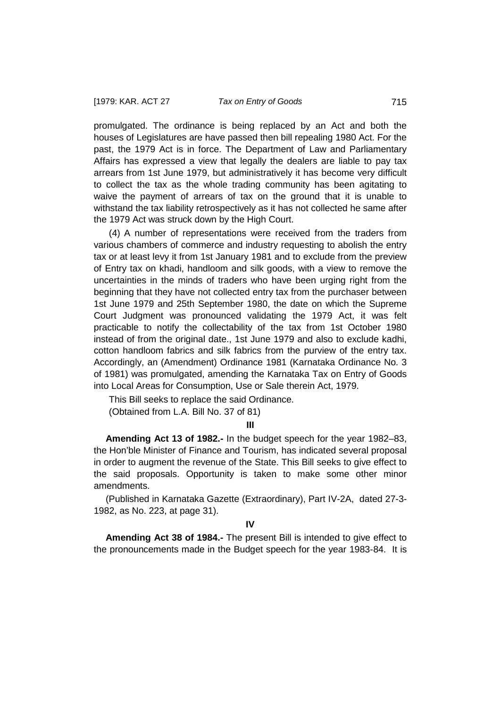promulgated. The ordinance is being replaced by an Act and both the houses of Legislatures are have passed then bill repealing 1980 Act. For the past, the 1979 Act is in force. The Department of Law and Parliamentary Affairs has expressed a view that legally the dealers are liable to pay tax arrears from 1st June 1979, but administratively it has become very difficult to collect the tax as the whole trading community has been agitating to waive the payment of arrears of tax on the ground that it is unable to withstand the tax liability retrospectively as it has not collected he same after the 1979 Act was struck down by the High Court.

(4) A number of representations were received from the traders from various chambers of commerce and industry requesting to abolish the entry tax or at least levy it from 1st January 1981 and to exclude from the preview of Entry tax on khadi, handloom and silk goods, with a view to remove the uncertainties in the minds of traders who have been urging right from the beginning that they have not collected entry tax from the purchaser between 1st June 1979 and 25th September 1980, the date on which the Supreme Court Judgment was pronounced validating the 1979 Act, it was felt practicable to notify the collectability of the tax from 1st October 1980 instead of from the original date., 1st June 1979 and also to exclude kadhi, cotton handloom fabrics and silk fabrics from the purview of the entry tax. Accordingly, an (Amendment) Ordinance 1981 (Karnataka Ordinance No. 3 of 1981) was promulgated, amending the Karnataka Tax on Entry of Goods into Local Areas for Consumption, Use or Sale therein Act, 1979.

This Bill seeks to replace the said Ordinance.

(Obtained from L.A. Bill No. 37 of 81)

**III**

**Amending Act 13 of 1982.-** In the budget speech for the year 1982–83, the Hon'ble Minister of Finance and Tourism, has indicated several proposal in order to augment the revenue of the State. This Bill seeks to give effect to the said proposals. Opportunity is taken to make some other minor amendments.

(Published in Karnataka Gazette (Extraordinary), Part IV-2A, dated 27-3- 1982, as No. 223, at page 31).

**IV**

**Amending Act 38 of 1984.-** The present Bill is intended to give effect to the pronouncements made in the Budget speech for the year 1983-84. It is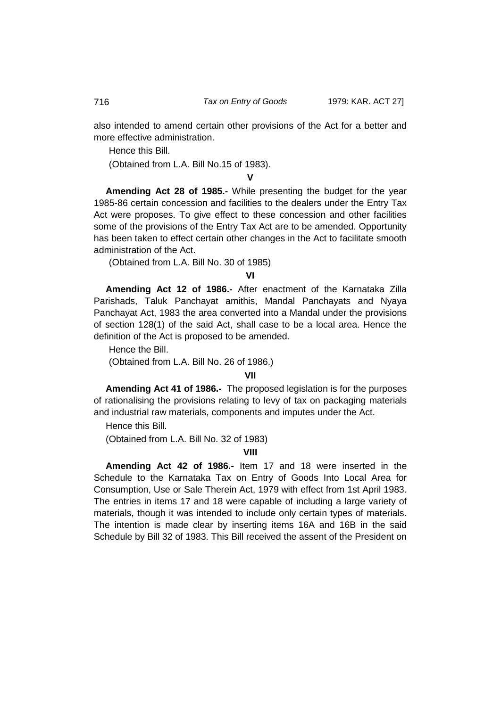also intended to amend certain other provisions of the Act for a better and more effective administration.

Hence this Bill.

(Obtained from L.A. Bill No.15 of 1983).

**V**

**Amending Act 28 of 1985.-** While presenting the budget for the year 1985-86 certain concession and facilities to the dealers under the Entry Tax Act were proposes. To give effect to these concession and other facilities some of the provisions of the Entry Tax Act are to be amended. Opportunity has been taken to effect certain other changes in the Act to facilitate smooth administration of the Act.

(Obtained from L.A. Bill No. 30 of 1985)

**VI**

**Amending Act 12 of 1986.-** After enactment of the Karnataka Zilla Parishads, Taluk Panchayat amithis, Mandal Panchayats and Nyaya Panchayat Act, 1983 the area converted into a Mandal under the provisions of section 128(1) of the said Act, shall case to be a local area. Hence the definition of the Act is proposed to be amended.

Hence the Bill.

(Obtained from L.A. Bill No. 26 of 1986.)

#### **VII**

**Amending Act 41 of 1986.-** The proposed legislation is for the purposes of rationalising the provisions relating to levy of tax on packaging materials and industrial raw materials, components and imputes under the Act.

Hence this Bill. (Obtained from L.A. Bill No. 32 of 1983)

## **VIII**

**Amending Act 42 of 1986.-** Item 17 and 18 were inserted in the Schedule to the Karnataka Tax on Entry of Goods Into Local Area for Consumption, Use or Sale Therein Act, 1979 with effect from 1st April 1983. The entries in items 17 and 18 were capable of including a large variety of materials, though it was intended to include only certain types of materials. The intention is made clear by inserting items 16A and 16B in the said Schedule by Bill 32 of 1983. This Bill received the assent of the President on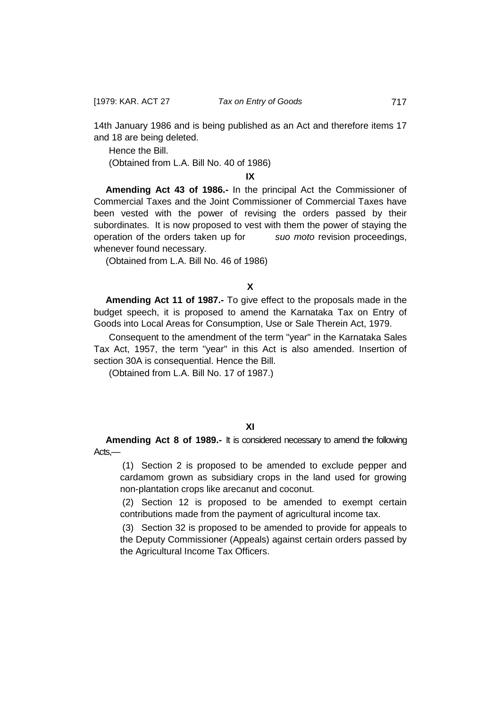14th January 1986 and is being published as an Act and therefore items 17 and 18 are being deleted.

Hence the Bill. (Obtained from L.A. Bill No. 40 of 1986)

**IX**

**Amending Act 43 of 1986.-** In the principal Act the Commissioner of Commercial Taxes and the Joint Commissioner of Commercial Taxes have been vested with the power of revising the orders passed by their subordinates. It is now proposed to vest with them the power of staying the operation of the orders taken up for *suo moto* revision proceedings, whenever found necessary.

(Obtained from L.A. Bill No. 46 of 1986)

**X**

**Amending Act 11 of 1987.-** To give effect to the proposals made in the budget speech, it is proposed to amend the Karnataka Tax on Entry of Goods into Local Areas for Consumption, Use or Sale Therein Act, 1979.

Consequent to the amendment of the term "year" in the Karnataka Sales Tax Act, 1957, the term "year" in this Act is also amended. Insertion of section 30A is consequential. Hence the Bill.

(Obtained from L.A. Bill No. 17 of 1987.)

**Amending Act 8 of 1989.-** It is considered necessary to amend the following Acts,—

(1) Section 2 is proposed to be amended to exclude pepper and cardamom grown as subsidiary crops in the land used for growing non-plantation crops like arecanut and coconut.

(2) Section 12 is proposed to be amended to exempt certain contributions made from the payment of agricultural income tax.

(3) Section 32 is proposed to be amended to provide for appeals to the Deputy Commissioner (Appeals) against certain orders passed by the Agricultural Income Tax Officers.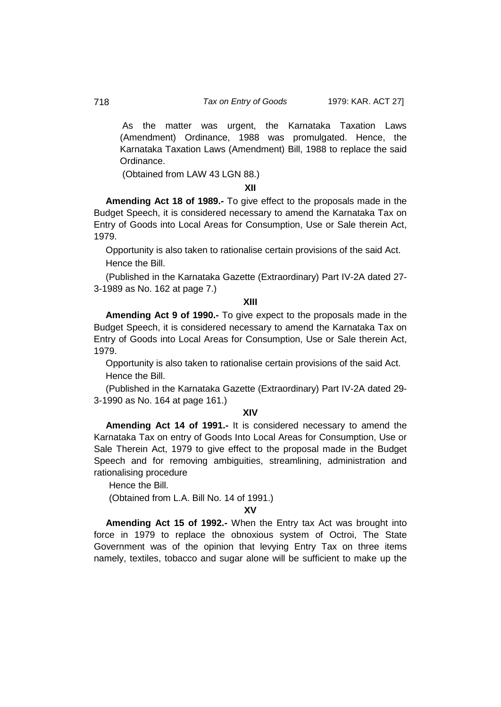As the matter was urgent, the Karnataka Taxation Laws (Amendment) Ordinance, 1988 was promulgated. Hence, the Karnataka Taxation Laws (Amendment) Bill, 1988 to replace the said Ordinance.

(Obtained from LAW 43 LGN 88.)

### **XII**

**Amending Act 18 of 1989.-** To give effect to the proposals made in the Budget Speech, it is considered necessary to amend the Karnataka Tax on Entry of Goods into Local Areas for Consumption, Use or Sale therein Act, 1979.

Opportunity is also taken to rationalise certain provisions of the said Act. Hence the Bill.

(Published in the Karnataka Gazette (Extraordinary) Part IV-2A dated 27- 3-1989 as No. 162 at page 7.)

#### **XIII**

**Amending Act 9 of 1990.-** To give expect to the proposals made in the Budget Speech, it is considered necessary to amend the Karnataka Tax on Entry of Goods into Local Areas for Consumption, Use or Sale therein Act, 1979.

Opportunity is also taken to rationalise certain provisions of the said Act. Hence the Bill.

(Published in the Karnataka Gazette (Extraordinary) Part IV-2A dated 29- 3-1990 as No. 164 at page 161.)

## **XIV**

**Amending Act 14 of 1991.-** It is considered necessary to amend the Karnataka Tax on entry of Goods Into Local Areas for Consumption, Use or Sale Therein Act, 1979 to give effect to the proposal made in the Budget Speech and for removing ambiguities, streamlining, administration and rationalising procedure

Hence the Bill.

(Obtained from L.A. Bill No. 14 of 1991.)

## **XV**

**Amending Act 15 of 1992.-** When the Entry tax Act was brought into force in 1979 to replace the obnoxious system of Octroi, The State Government was of the opinion that levying Entry Tax on three items namely, textiles, tobacco and sugar alone will be sufficient to make up the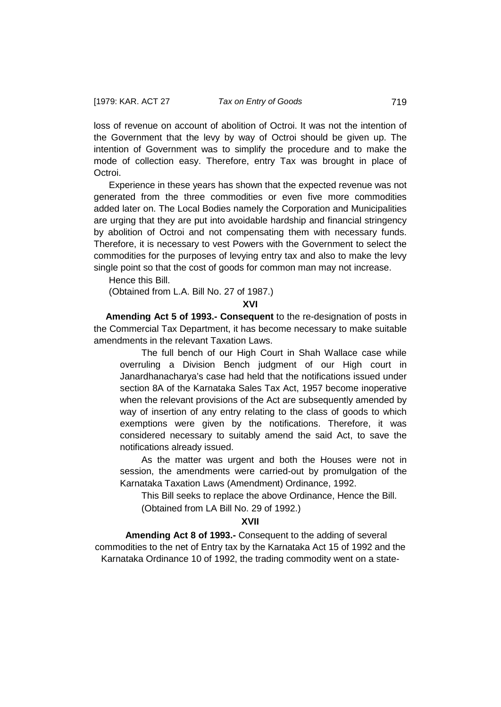loss of revenue on account of abolition of Octroi. It was not the intention of the Government that the levy by way of Octroi should be given up. The intention of Government was to simplify the procedure and to make the mode of collection easy. Therefore, entry Tax was brought in place of Octroi.

Experience in these years has shown that the expected revenue was not generated from the three commodities or even five more commodities added later on. The Local Bodies namely the Corporation and Municipalities are urging that they are put into avoidable hardship and financial stringency by abolition of Octroi and not compensating them with necessary funds. Therefore, it is necessary to vest Powers with the Government to select the commodities for the purposes of levying entry tax and also to make the levy single point so that the cost of goods for common man may not increase.

Hence this Bill.

(Obtained from L.A. Bill No. 27 of 1987.)

#### **XVI**

**Amending Act 5 of 1993.- Consequent** to the re-designation of posts in the Commercial Tax Department, it has become necessary to make suitable amendments in the relevant Taxation Laws.

The full bench of our High Court in Shah Wallace case while overruling a Division Bench judgment of our High court in Janardhanacharya's case had held that the notifications issued under section 8A of the Karnataka Sales Tax Act, 1957 become inoperative when the relevant provisions of the Act are subsequently amended by way of insertion of any entry relating to the class of goods to which exemptions were given by the notifications. Therefore, it was considered necessary to suitably amend the said Act, to save the notifications already issued.

As the matter was urgent and both the Houses were not in session, the amendments were carried-out by promulgation of the Karnataka Taxation Laws (Amendment) Ordinance, 1992.

This Bill seeks to replace the above Ordinance, Hence the Bill. (Obtained from LA Bill No. 29 of 1992.)

### **XVII**

**Amending Act 8 of 1993.-** Consequent to the adding of several commodities to the net of Entry tax by the Karnataka Act 15 of 1992 and the Karnataka Ordinance 10 of 1992, the trading commodity went on a state-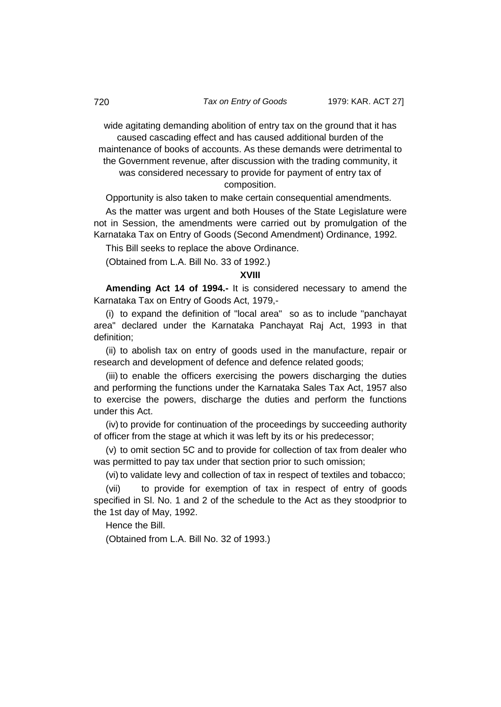wide agitating demanding abolition of entry tax on the ground that it has caused cascading effect and has caused additional burden of the maintenance of books of accounts. As these demands were detrimental to the Government revenue, after discussion with the trading community, it was considered necessary to provide for payment of entry tax of composition.

Opportunity is also taken to make certain consequential amendments.

As the matter was urgent and both Houses of the State Legislature were not in Session, the amendments were carried out by promulgation of the Karnataka Tax on Entry of Goods (Second Amendment) Ordinance, 1992.

This Bill seeks to replace the above Ordinance.

(Obtained from L.A. Bill No. 33 of 1992.)

#### **XVIII**

**Amending Act 14 of 1994.-** It is considered necessary to amend the Karnataka Tax on Entry of Goods Act, 1979,-

(i) to expand the definition of "local area" so as to include "panchayat area" declared under the Karnataka Panchayat Raj Act, 1993 in that definition;

(ii) to abolish tax on entry of goods used in the manufacture, repair or research and development of defence and defence related goods;

(iii) to enable the officers exercising the powers discharging the duties and performing the functions under the Karnataka Sales Tax Act, 1957 also to exercise the powers, discharge the duties and perform the functions under this Act.

(iv) to provide for continuation of the proceedings by succeeding authority of officer from the stage at which it was left by its or his predecessor;

(v) to omit section 5C and to provide for collection of tax from dealer who was permitted to pay tax under that section prior to such omission;

(vi) to validate levy and collection of tax in respect of textiles and tobacco;

(vii) to provide for exemption of tax in respect of entry of goods specified in Sl. No. 1 and 2 of the schedule to the Act as they stoodprior to the 1st day of May, 1992.

Hence the Bill.

(Obtained from L.A. Bill No. 32 of 1993.)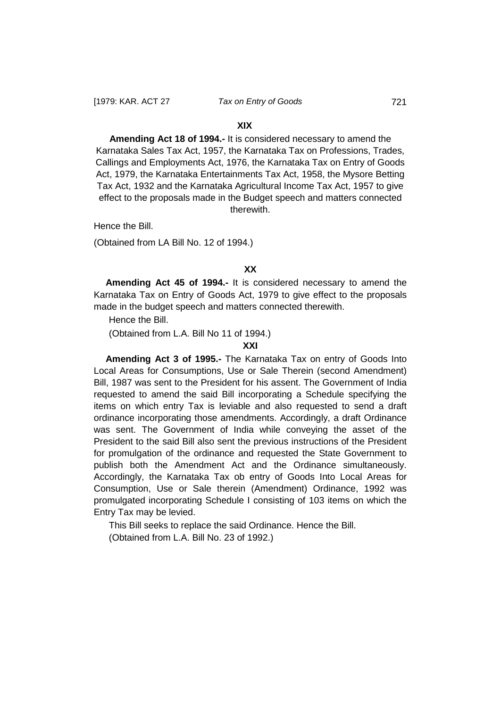### **XIX**

**Amending Act 18 of 1994.-** It is considered necessary to amend the Karnataka Sales Tax Act, 1957, the Karnataka Tax on Professions, Trades, Callings and Employments Act, 1976, the Karnataka Tax on Entry of Goods Act, 1979, the Karnataka Entertainments Tax Act, 1958, the Mysore Betting Tax Act, 1932 and the Karnataka Agricultural Income Tax Act, 1957 to give effect to the proposals made in the Budget speech and matters connected therewith.

Hence the Bill.

(Obtained from LA Bill No. 12 of 1994.)

#### **XX**

**Amending Act 45 of 1994.-** It is considered necessary to amend the Karnataka Tax on Entry of Goods Act, 1979 to give effect to the proposals made in the budget speech and matters connected therewith.

Hence the Bill.

(Obtained from L.A. Bill No 11 of 1994.)

#### **XXI**

**Amending Act 3 of 1995.-** The Karnataka Tax on entry of Goods Into Local Areas for Consumptions, Use or Sale Therein (second Amendment) Bill, 1987 was sent to the President for his assent. The Government of India requested to amend the said Bill incorporating a Schedule specifying the items on which entry Tax is leviable and also requested to send a draft ordinance incorporating those amendments. Accordingly, a draft Ordinance was sent. The Government of India while conveying the asset of the President to the said Bill also sent the previous instructions of the President for promulgation of the ordinance and requested the State Government to publish both the Amendment Act and the Ordinance simultaneously. Accordingly, the Karnataka Tax ob entry of Goods Into Local Areas for Consumption, Use or Sale therein (Amendment) Ordinance, 1992 was promulgated incorporating Schedule I consisting of 103 items on which the Entry Tax may be levied.

This Bill seeks to replace the said Ordinance. Hence the Bill. (Obtained from L.A. Bill No. 23 of 1992.)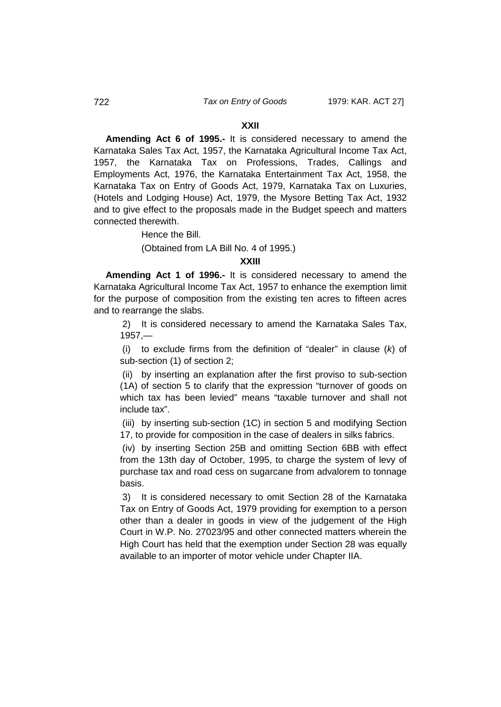#### **XXII**

**Amending Act 6 of 1995.-** It is considered necessary to amend the Karnataka Sales Tax Act, 1957, the Karnataka Agricultural Income Tax Act, 1957, the Karnataka Tax on Professions, Trades, Callings and Employments Act, 1976, the Karnataka Entertainment Tax Act, 1958, the Karnataka Tax on Entry of Goods Act, 1979, Karnataka Tax on Luxuries, (Hotels and Lodging House) Act, 1979, the Mysore Betting Tax Act, 1932 and to give effect to the proposals made in the Budget speech and matters connected therewith.

Hence the Bill.

(Obtained from LA Bill No. 4 of 1995.)

#### **XXIII**

**Amending Act 1 of 1996.-** It is considered necessary to amend the Karnataka Agricultural Income Tax Act, 1957 to enhance the exemption limit for the purpose of composition from the existing ten acres to fifteen acres and to rearrange the slabs.

2) It is considered necessary to amend the Karnataka Sales Tax, 1957,—

(i) to exclude firms from the definition of "dealer" in clause (*k*) of sub-section (1) of section 2;

(ii) by inserting an explanation after the first proviso to sub-section (1A) of section 5 to clarify that the expression "turnover of goods on which tax has been levied" means "taxable turnover and shall not include tax".

(iii) by inserting sub-section (1C) in section 5 and modifying Section 17, to provide for composition in the case of dealers in silks fabrics.

(iv) by inserting Section 25B and omitting Section 6BB with effect from the 13th day of October, 1995, to charge the system of levy of purchase tax and road cess on sugarcane from advalorem to tonnage basis.

3) It is considered necessary to omit Section 28 of the Karnataka Tax on Entry of Goods Act, 1979 providing for exemption to a person other than a dealer in goods in view of the judgement of the High Court in W.P. No. 27023/95 and other connected matters wherein the High Court has held that the exemption under Section 28 was equally available to an importer of motor vehicle under Chapter IIA.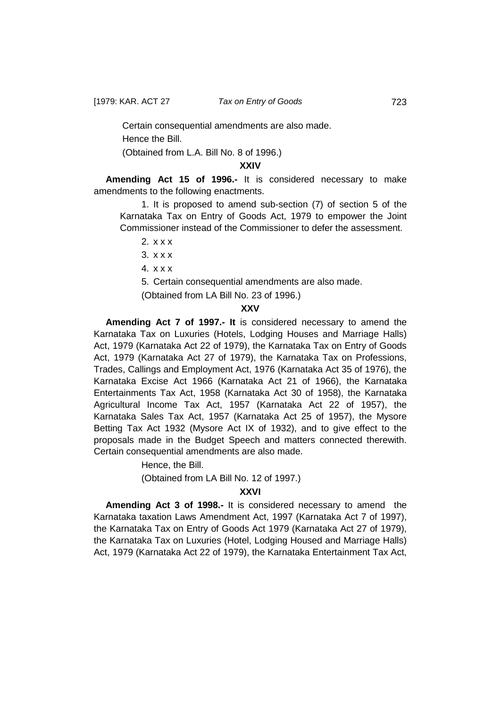Certain consequential amendments are also made. Hence the Bill.

(Obtained from L.A. Bill No. 8 of 1996.)

## **XXIV**

**Amending Act 15 of 1996.-** It is considered necessary to make amendments to the following enactments.

1. It is proposed to amend sub-section (7) of section 5 of the Karnataka Tax on Entry of Goods Act, 1979 to empower the Joint Commissioner instead of the Commissioner to defer the assessment.

2. x x x

3. x x x

4. x x x

5. Certain consequential amendments are also made.

(Obtained from LA Bill No. 23 of 1996.)

### **XXV**

**Amending Act 7 of 1997.- It** is considered necessary to amend the Karnataka Tax on Luxuries (Hotels, Lodging Houses and Marriage Halls) Act, 1979 (Karnataka Act 22 of 1979), the Karnataka Tax on Entry of Goods Act, 1979 (Karnataka Act 27 of 1979), the Karnataka Tax on Professions, Trades, Callings and Employment Act, 1976 (Karnataka Act 35 of 1976), the Karnataka Excise Act 1966 (Karnataka Act 21 of 1966), the Karnataka Entertainments Tax Act, 1958 (Karnataka Act 30 of 1958), the Karnataka Agricultural Income Tax Act, 1957 (Karnataka Act 22 of 1957), the Karnataka Sales Tax Act, 1957 (Karnataka Act 25 of 1957), the Mysore Betting Tax Act 1932 (Mysore Act IX of 1932), and to give effect to the proposals made in the Budget Speech and matters connected therewith. Certain consequential amendments are also made.

Hence, the Bill.

(Obtained from LA Bill No. 12 of 1997.)

## **XXVI**

**Amending Act 3 of 1998.-** It is considered necessary to amend the Karnataka taxation Laws Amendment Act, 1997 (Karnataka Act 7 of 1997), the Karnataka Tax on Entry of Goods Act 1979 (Karnataka Act 27 of 1979), the Karnataka Tax on Luxuries (Hotel, Lodging Housed and Marriage Halls) Act, 1979 (Karnataka Act 22 of 1979), the Karnataka Entertainment Tax Act,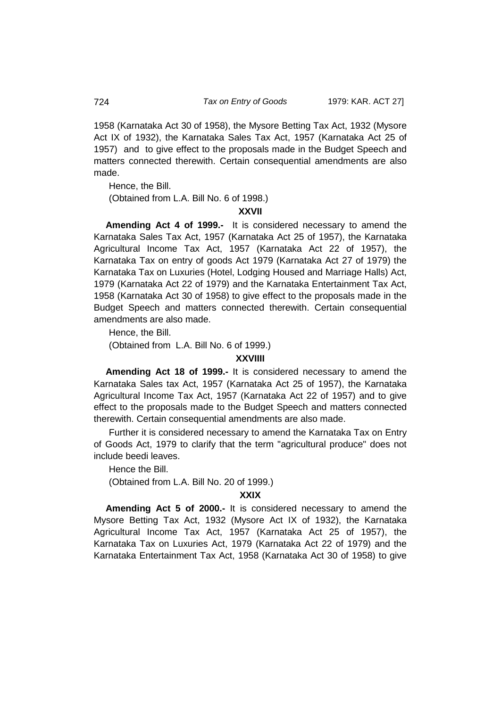1958 (Karnataka Act 30 of 1958), the Mysore Betting Tax Act, 1932 (Mysore Act IX of 1932), the Karnataka Sales Tax Act, 1957 (Karnataka Act 25 of 1957) and to give effect to the proposals made in the Budget Speech and matters connected therewith. Certain consequential amendments are also made.

Hence, the Bill.

(Obtained from L.A. Bill No. 6 of 1998.)

### **XXVII**

**Amending Act 4 of 1999.-** It is considered necessary to amend the Karnataka Sales Tax Act, 1957 (Karnataka Act 25 of 1957), the Karnataka Agricultural Income Tax Act, 1957 (Karnataka Act 22 of 1957), the Karnataka Tax on entry of goods Act 1979 (Karnataka Act 27 of 1979) the Karnataka Tax on Luxuries (Hotel, Lodging Housed and Marriage Halls) Act, 1979 (Karnataka Act 22 of 1979) and the Karnataka Entertainment Tax Act, 1958 (Karnataka Act 30 of 1958) to give effect to the proposals made in the Budget Speech and matters connected therewith. Certain consequential amendments are also made.

Hence, the Bill.

(Obtained from L.A. Bill No. 6 of 1999.)

#### **XXVIIII**

**Amending Act 18 of 1999.-** It is considered necessary to amend the Karnataka Sales tax Act, 1957 (Karnataka Act 25 of 1957), the Karnataka Agricultural Income Tax Act, 1957 (Karnataka Act 22 of 1957) and to give effect to the proposals made to the Budget Speech and matters connected therewith. Certain consequential amendments are also made.

Further it is considered necessary to amend the Karnataka Tax on Entry of Goods Act, 1979 to clarify that the term "agricultural produce" does not include beedi leaves.

Hence the Bill. (Obtained from L.A. Bill No. 20 of 1999.)

#### **XXIX**

**Amending Act 5 of 2000.-** It is considered necessary to amend the Mysore Betting Tax Act, 1932 (Mysore Act IX of 1932), the Karnataka Agricultural Income Tax Act, 1957 (Karnataka Act 25 of 1957), the Karnataka Tax on Luxuries Act, 1979 (Karnataka Act 22 of 1979) and the Karnataka Entertainment Tax Act, 1958 (Karnataka Act 30 of 1958) to give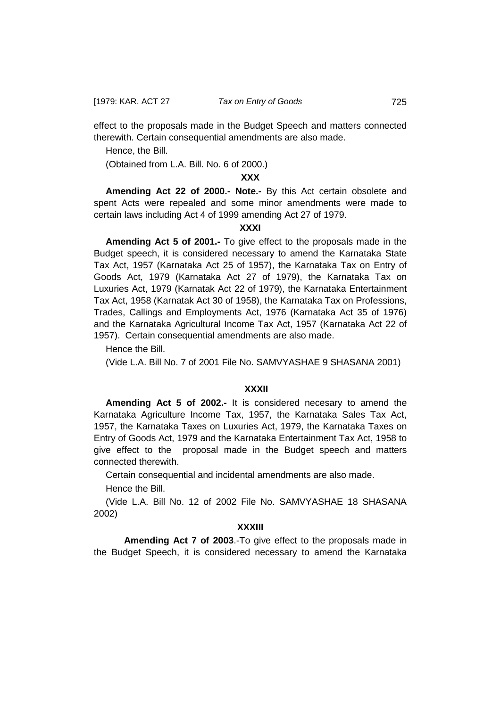effect to the proposals made in the Budget Speech and matters connected therewith. Certain consequential amendments are also made.

Hence, the Bill.

(Obtained from L.A. Bill. No. 6 of 2000.)

### **XXX**

**Amending Act 22 of 2000.- Note.-** By this Act certain obsolete and spent Acts were repealed and some minor amendments were made to certain laws including Act 4 of 1999 amending Act 27 of 1979.

### **XXXI**

**Amending Act 5 of 2001.-** To give effect to the proposals made in the Budget speech, it is considered necessary to amend the Karnataka State Tax Act, 1957 (Karnataka Act 25 of 1957), the Karnataka Tax on Entry of Goods Act, 1979 (Karnataka Act 27 of 1979), the Karnataka Tax on Luxuries Act, 1979 (Karnatak Act 22 of 1979), the Karnataka Entertainment Tax Act, 1958 (Karnatak Act 30 of 1958), the Karnataka Tax on Professions, Trades, Callings and Employments Act, 1976 (Karnataka Act 35 of 1976) and the Karnataka Agricultural Income Tax Act, 1957 (Karnataka Act 22 of 1957). Certain consequential amendments are also made.

Hence the Bill.

(Vide L.A. Bill No. 7 of 2001 File No. SAMVYASHAE 9 SHASANA 2001)

### **XXXII**

**Amending Act 5 of 2002.-** It is considered necesary to amend the Karnataka Agriculture Income Tax, 1957, the Karnataka Sales Tax Act, 1957, the Karnataka Taxes on Luxuries Act, 1979, the Karnataka Taxes on Entry of Goods Act, 1979 and the Karnataka Entertainment Tax Act, 1958 to give effect to the proposal made in the Budget speech and matters connected therewith.

Certain consequential and incidental amendments are also made.

Hence the Bill.

(Vide L.A. Bill No. 12 of 2002 File No. SAMVYASHAE 18 SHASANA 2002)

### **XXXIII**

**Amending Act 7 of 2003**.-To give effect to the proposals made in the Budget Speech, it is considered necessary to amend the Karnataka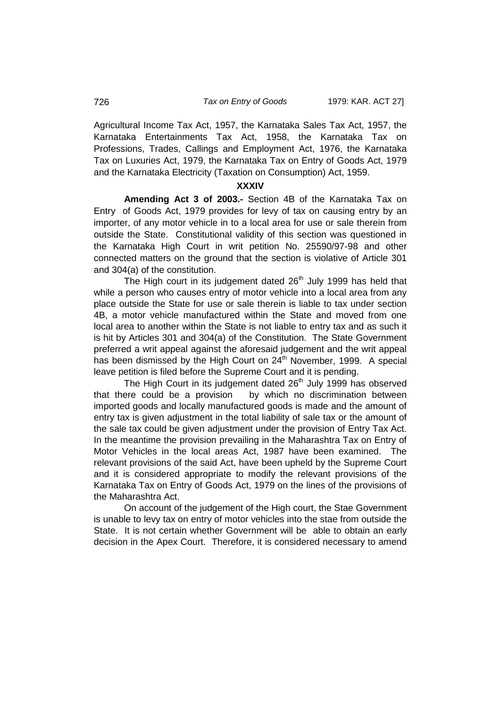Agricultural Income Tax Act, 1957, the Karnataka Sales Tax Act, 1957, the Karnataka Entertainments Tax Act, 1958, the Karnataka Tax on Professions, Trades, Callings and Employment Act, 1976, the Karnataka Tax on Luxuries Act, 1979, the Karnataka Tax on Entry of Goods Act, 1979 and the Karnataka Electricity (Taxation on Consumption) Act, 1959.

#### **XXXIV**

**Amending Act 3 of 2003.-** Section 4B of the Karnataka Tax on Entry of Goods Act, 1979 provides for levy of tax on causing entry by an importer, of any motor vehicle in to a local area for use or sale therein from outside the State. Constitutional validity of this section was questioned in the Karnataka High Court in writ petition No. 25590/97-98 and other connected matters on the ground that the section is violative of Article 301 and 304(a) of the constitution.

The High court in its judgement dated  $26<sup>th</sup>$  July 1999 has held that while a person who causes entry of motor vehicle into a local area from any place outside the State for use or sale therein is liable to tax under section 4B, a motor vehicle manufactured within the State and moved from one local area to another within the State is not liable to entry tax and as such it is hit by Articles 301 and 304(a) of the Constitution. The State Government preferred a writ appeal against the aforesaid judgement and the writ appeal has been dismissed by the High Court on  $24<sup>th</sup>$  November, 1999. A special leave petition is filed before the Supreme Court and it is pending.

The High Court in its judgement dated 26<sup>th</sup> July 1999 has observed that there could be a provision by which no discrimination between imported goods and locally manufactured goods is made and the amount of entry tax is given adjustment in the total liability of sale tax or the amount of the sale tax could be given adjustment under the provision of Entry Tax Act. In the meantime the provision prevailing in the Maharashtra Tax on Entry of Motor Vehicles in the local areas Act, 1987 have been examined. The relevant provisions of the said Act, have been upheld by the Supreme Court and it is considered appropriate to modify the relevant provisions of the Karnataka Tax on Entry of Goods Act, 1979 on the lines of the provisions of the Maharashtra Act.

On account of the judgement of the High court, the Stae Government is unable to levy tax on entry of motor vehicles into the stae from outside the State. It is not certain whether Government will be able to obtain an early decision in the Apex Court. Therefore, it is considered necessary to amend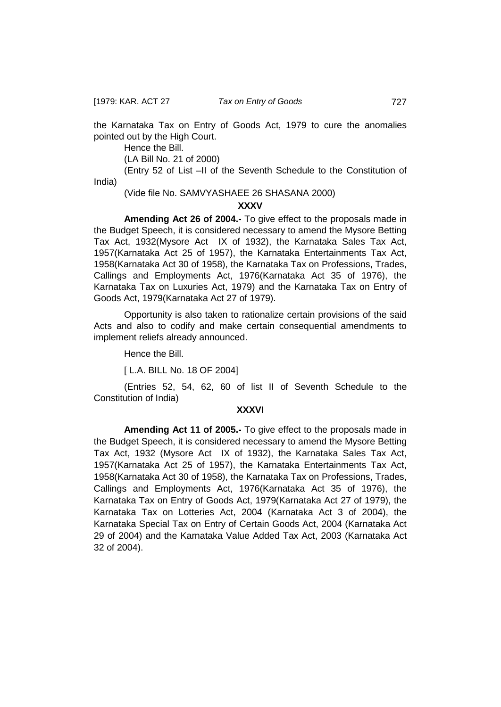the Karnataka Tax on Entry of Goods Act, 1979 to cure the anomalies pointed out by the High Court.

Hence the Bill.

(LA Bill No. 21 of 2000)

(Entry 52 of List –II of the Seventh Schedule to the Constitution of India)

(Vide file No. SAMVYASHAEE 26 SHASANA 2000)

### **XXXV**

**Amending Act 26 of 2004.-** To give effect to the proposals made in the Budget Speech, it is considered necessary to amend the Mysore Betting Tax Act, 1932(Mysore Act IX of 1932), the Karnataka Sales Tax Act, 1957(Karnataka Act 25 of 1957), the Karnataka Entertainments Tax Act, 1958(Karnataka Act 30 of 1958), the Karnataka Tax on Professions, Trades, Callings and Employments Act, 1976(Karnataka Act 35 of 1976), the Karnataka Tax on Luxuries Act, 1979) and the Karnataka Tax on Entry of Goods Act, 1979(Karnataka Act 27 of 1979).

Opportunity is also taken to rationalize certain provisions of the said Acts and also to codify and make certain consequential amendments to implement reliefs already announced.

Hence the Bill.

[ L.A. BILL No. 18 OF 2004]

(Entries 52, 54, 62, 60 of list II of Seventh Schedule to the Constitution of India)

### **XXXVI**

**Amending Act 11 of 2005.-** To give effect to the proposals made in the Budget Speech, it is considered necessary to amend the Mysore Betting Tax Act, 1932 (Mysore Act IX of 1932), the Karnataka Sales Tax Act, 1957(Karnataka Act 25 of 1957), the Karnataka Entertainments Tax Act, 1958(Karnataka Act 30 of 1958), the Karnataka Tax on Professions, Trades, Callings and Employments Act, 1976(Karnataka Act 35 of 1976), the Karnataka Tax on Entry of Goods Act, 1979(Karnataka Act 27 of 1979), the Karnataka Tax on Lotteries Act, 2004 (Karnataka Act 3 of 2004), the Karnataka Special Tax on Entry of Certain Goods Act, 2004 (Karnataka Act 29 of 2004) and the Karnataka Value Added Tax Act, 2003 (Karnataka Act 32 of 2004).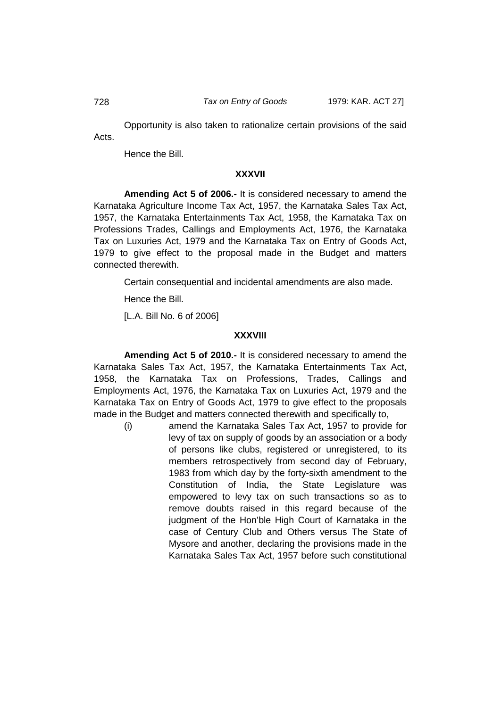Opportunity is also taken to rationalize certain provisions of the said Acts.

Hence the Bill.

## **XXXVII**

**Amending Act 5 of 2006.-** It is considered necessary to amend the Karnataka Agriculture Income Tax Act, 1957, the Karnataka Sales Tax Act, 1957, the Karnataka Entertainments Tax Act, 1958, the Karnataka Tax on Professions Trades, Callings and Employments Act, 1976, the Karnataka Tax on Luxuries Act, 1979 and the Karnataka Tax on Entry of Goods Act, 1979 to give effect to the proposal made in the Budget and matters connected therewith.

Certain consequential and incidental amendments are also made.

Hence the Bill.

[L.A. Bill No. 6 of 2006]

## **XXXVIII**

**Amending Act 5 of 2010.-** It is considered necessary to amend the Karnataka Sales Tax Act, 1957, the Karnataka Entertainments Tax Act, 1958, the Karnataka Tax on Professions, Trades, Callings and Employments Act, 1976, the Karnataka Tax on Luxuries Act, 1979 and the Karnataka Tax on Entry of Goods Act, 1979 to give effect to the proposals made in the Budget and matters connected therewith and specifically to,

(i) amend the Karnataka Sales Tax Act, 1957 to provide for levy of tax on supply of goods by an association or a body of persons like clubs, registered or unregistered, to its members retrospectively from second day of February, 1983 from which day by the forty-sixth amendment to the Constitution of India, the State Legislature was empowered to levy tax on such transactions so as to remove doubts raised in this regard because of the judgment of the Hon'ble High Court of Karnataka in the case of Century Club and Others versus The State of Mysore and another, declaring the provisions made in the Karnataka Sales Tax Act, 1957 before such constitutional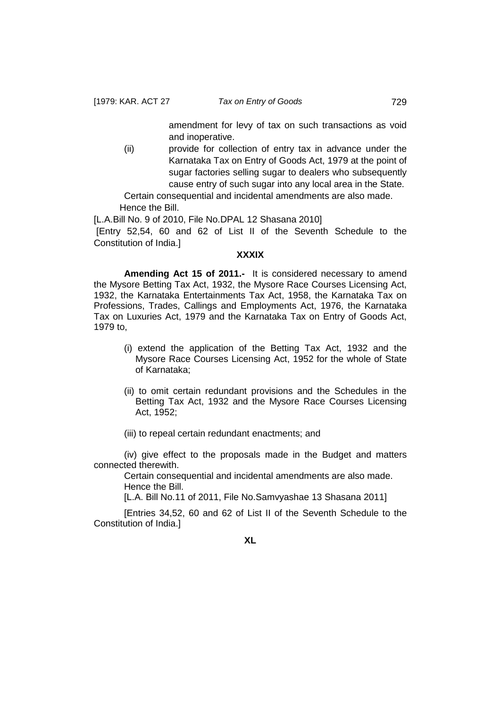amendment for levy of tax on such transactions as void and inoperative.

(ii) provide for collection of entry tax in advance under the Karnataka Tax on Entry of Goods Act, 1979 at the point of sugar factories selling sugar to dealers who subsequently cause entry of such sugar into any local area in the State.

Certain consequential and incidental amendments are also made. Hence the Bill.

[L.A.Bill No. 9 of 2010, File No.DPAL 12 Shasana 2010]

[Entry 52,54, 60 and 62 of List II of the Seventh Schedule to the Constitution of India.]

### **XXXIX**

**Amending Act 15 of 2011.-** It is considered necessary to amend the Mysore Betting Tax Act, 1932, the Mysore Race Courses Licensing Act, 1932, the Karnataka Entertainments Tax Act, 1958, the Karnataka Tax on Professions, Trades, Callings and Employments Act, 1976, the Karnataka Tax on Luxuries Act, 1979 and the Karnataka Tax on Entry of Goods Act, 1979 to,

- (i) extend the application of the Betting Tax Act, 1932 and the Mysore Race Courses Licensing Act, 1952 for the whole of State of Karnataka;
- (ii) to omit certain redundant provisions and the Schedules in the Betting Tax Act, 1932 and the Mysore Race Courses Licensing Act, 1952;

(iii) to repeal certain redundant enactments; and

(iv) give effect to the proposals made in the Budget and matters connected therewith.

Certain consequential and incidental amendments are also made. Hence the Bill.

[L.A. Bill No.11 of 2011, File No.Samvyashae 13 Shasana 2011]

[Entries 34,52, 60 and 62 of List II of the Seventh Schedule to the Constitution of India.]

**XL**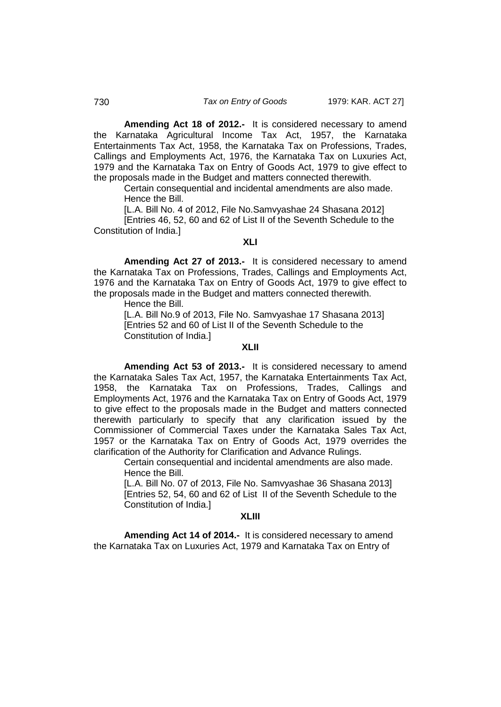**Amending Act 18 of 2012.-** It is considered necessary to amend the Karnataka Agricultural Income Tax Act, 1957, the Karnataka Entertainments Tax Act, 1958, the Karnataka Tax on Professions, Trades, Callings and Employments Act, 1976, the Karnataka Tax on Luxuries Act, 1979 and the Karnataka Tax on Entry of Goods Act, 1979 to give effect to the proposals made in the Budget and matters connected therewith.

Certain consequential and incidental amendments are also made. Hence the Bill.

[L.A. Bill No. 4 of 2012, File No.Samvyashae 24 Shasana 2012]

[Entries 46, 52, 60 and 62 of List II of the Seventh Schedule to the Constitution of India.]

### **XLI**

**Amending Act 27 of 2013.-** It is considered necessary to amend the Karnataka Tax on Professions, Trades, Callings and Employments Act, 1976 and the Karnataka Tax on Entry of Goods Act, 1979 to give effect to the proposals made in the Budget and matters connected therewith.

Hence the Bill.

[L.A. Bill No.9 of 2013, File No. Samvyashae 17 Shasana 2013] [Entries 52 and 60 of List II of the Seventh Schedule to the Constitution of India.]

#### **XLII**

**Amending Act 53 of 2013.-** It is considered necessary to amend the Karnataka Sales Tax Act, 1957, the Karnataka Entertainments Tax Act, 1958, the Karnataka Tax on Professions, Trades, Callings and Employments Act, 1976 and the Karnataka Tax on Entry of Goods Act, 1979 to give effect to the proposals made in the Budget and matters connected therewith particularly to specify that any clarification issued by the Commissioner of Commercial Taxes under the Karnataka Sales Tax Act, 1957 or the Karnataka Tax on Entry of Goods Act, 1979 overrides the clarification of the Authority for Clarification and Advance Rulings.

Certain consequential and incidental amendments are also made. Hence the Bill.

[L.A. Bill No. 07 of 2013, File No. Samvyashae 36 Shasana 2013] [Entries 52, 54, 60 and 62 of List II of the Seventh Schedule to the Constitution of India.]

#### **XLIII**

**Amending Act 14 of 2014.-** It is considered necessary to amend the Karnataka Tax on Luxuries Act, 1979 and Karnataka Tax on Entry of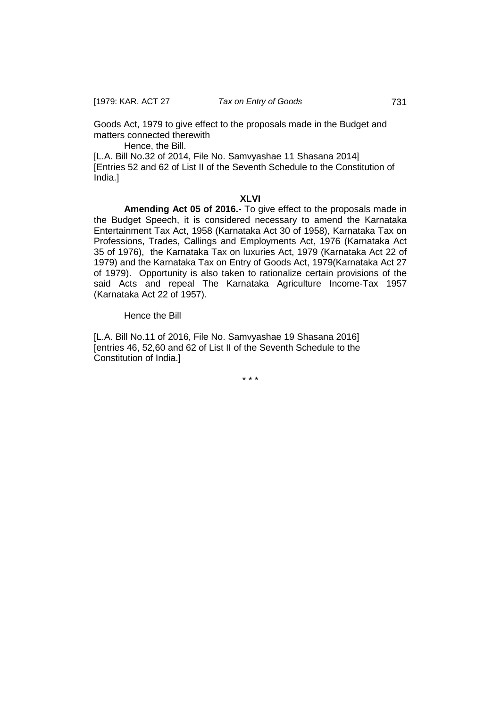Goods Act, 1979 to give effect to the proposals made in the Budget and matters connected therewith

Hence, the Bill.

[L.A. Bill No.32 of 2014, File No. Samvyashae 11 Shasana 2014] [Entries 52 and 62 of List II of the Seventh Schedule to the Constitution of India.]

## **XLVI**

**Amending Act 05 of 2016.-** To give effect to the proposals made in the Budget Speech, it is considered necessary to amend the Karnataka Entertainment Tax Act, 1958 (Karnataka Act 30 of 1958), Karnataka Tax on Professions, Trades, Callings and Employments Act, 1976 (Karnataka Act 35 of 1976), the Karnataka Tax on luxuries Act, 1979 (Karnataka Act 22 of 1979) and the Karnataka Tax on Entry of Goods Act, 1979(Karnataka Act 27 of 1979). Opportunity is also taken to rationalize certain provisions of the said Acts and repeal The Karnataka Agriculture Income-Tax 1957 (Karnataka Act 22 of 1957).

Hence the Bill

[L.A. Bill No.11 of 2016, File No. Samvyashae 19 Shasana 2016] [entries 46, 52,60 and 62 of List II of the Seventh Schedule to the Constitution of India.]

\* \* \*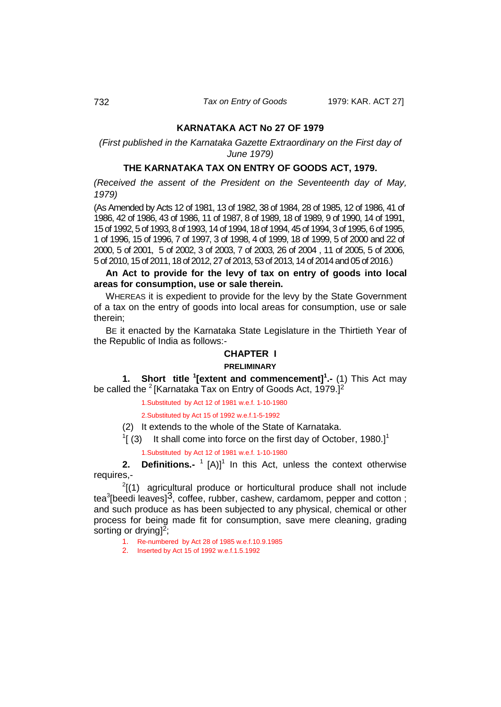#### **KARNATAKA ACT No 27 OF 1979**

*(First published in the Karnataka Gazette Extraordinary on the First day of June 1979)*

### **THE KARNATAKA TAX ON ENTRY OF GOODS ACT, 1979.**

*(Received the assent of the President on the Seventeenth day of May, 1979)*

(As Amended by Acts 12 of 1981, 13 of 1982, 38 of 1984, 28 of 1985, 12 of 1986, 41 of 1986, 42 of 1986, 43 of 1986, 11 of 1987, 8 of 1989, 18 of 1989, 9 of 1990, 14 of 1991, 15 of 1992, 5 of 1993, 8 of 1993, 14 of 1994, 18 of 1994, 45 of 1994, 3 of 1995, 6 of 1995, 1 of 1996, 15 of 1996, 7 of 1997, 3 of 1998, 4 of 1999, 18 of 1999, 5 of 2000 and 22 of 2000, 5 of 2001, 5 of 2002, 3 of 2003, 7 of 2003, 26 of 2004 , 11 of 2005, 5 of 2006, 5 of 2010, 15 of 2011,18 of 2012, 27 of 2013, 53 of 2013,14 of 2014 and 05 of 2016.)

**An Act to provide for the levy of tax on entry of goods into local areas for consumption, use or sale therein.**

WHEREAS it is expedient to provide for the levy by the State Government of a tax on the entry of goods into local areas for consumption, use or sale therein;

BE it enacted by the Karnataka State Legislature in the Thirtieth Year of the Republic of India as follows:-

## **CHAPTER I**

#### **PRELIMINARY**

**1. Short title <sup>1</sup> [extent and commencement]<sup>1</sup> .-** (1) This Act may be called the  $2$  [Karnataka Tax on Entry of Goods Act, 1979.]<sup>2</sup>

<span id="page-21-0"></span>1.Substituted by Act 12 of 1981 w.e.f. 1-10-1980

2.Substituted by Act 15 of 1992 w.e.f.1-5-1992

(2) It extends to the whole of the State of Karnataka.

 $1$ [ (3) It shall come into force on the first day of October, 1980.]<sup>1</sup>

<span id="page-21-1"></span>1.Substituted by Act 12 of 1981 w.e.f. 1-10-1980

**2. Definitions.-** <sup>1</sup> [A)]<sup>1</sup> In this Act, unless the context otherwise requires,-

 $2(1)$  agricultural produce or horticultural produce shall not include tea<sup>3</sup>[beedi leaves]<sup>3</sup>, coffee, rubber, cashew, cardamom, pepper and cotton ; and such produce as has been subjected to any physical, chemical or other process for being made fit for consumption, save mere cleaning, grading sorting or drying<sup>2</sup>;

- 1. Re-numbered by Act 28 of 1985 w.e.f.10.9.1985
- 2. Inserted by Act 15 of 1992 w.e.f.1.5.1992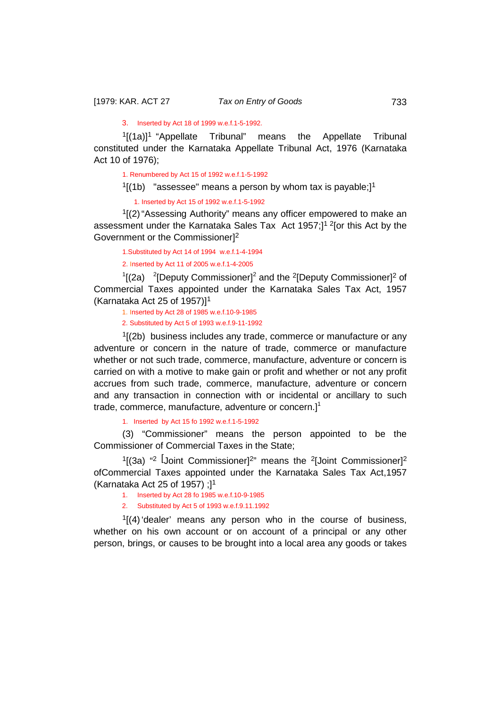3. Inserted by Act 18 of 1999 w.e.f.1-5-1992.

 $1$ [(1a)]<sup>1</sup> "Appellate Tribunal" means the Appellate Tribunal constituted under the Karnataka Appellate Tribunal Act, 1976 (Karnataka Act 10 of 1976);

1. Renumbered by Act 15 of 1992 w.e.f.1-5-1992

 $1/(1b)$  "assessee" means a person by whom tax is payable;]<sup>1</sup>

1. Inserted by Act 15 of 1992 w.e.f.1-5-1992

 $1/(2)$  "Assessing Authority" means any officer empowered to make an assessment under the Karnataka Sales Tax Act 1957;]1 2[or this Act by the Government or the Commissioner]<sup>2</sup>

1.Substituted by Act 14 of 1994 w.e.f.1-4-1994 2. Inserted by Act 11 of 2005 w.e.f.1-4-2005

 $\frac{1}{2}$  [2a)  $\frac{2}{2}$ [Deputy Commissioner]<sup>2</sup> and the <sup>2</sup>[Deputy Commissioner]<sup>2</sup> of Commercial Taxes appointed under the Karnataka Sales Tax Act, 1957 (Karnataka Act 25 of 1957)]<sup>1</sup>

1. Inserted by Act 28 of 1985 w.e.f.10-9-1985

2. Substituted by Act 5 of 1993 w.e.f.9-11-1992

 $1/(2b)$  business includes any trade, commerce or manufacture or any adventure or concern in the nature of trade, commerce or manufacture whether or not such trade, commerce, manufacture, adventure or concern is carried on with a motive to make gain or profit and whether or not any profit accrues from such trade, commerce, manufacture, adventure or concern and any transaction in connection with or incidental or ancillary to such trade, commerce, manufacture, adventure or concern. $]$ <sup>1</sup>

1. Inserted by Act 15 fo 1992 w.e.f.1-5-1992

(3) "Commissioner" means the person appointed to be the Commissioner of Commercial Taxes in the State;

 $1[(3a)$  "<sup>2</sup> [Joint Commissioner]<sup>2</sup>" means the <sup>2</sup>[Joint Commissioner]<sup>2</sup> ofCommercial Taxes appointed under the Karnataka Sales Tax Act,1957 (Karnataka Act 25 of 1957) ;]<sup>1</sup>

1. Inserted by Act 28 fo 1985 w.e.f.10-9-1985

2. Substituted by Act 5 of 1993 w.e.f.9.11.1992

 $1/(4)$  dealer' means any person who in the course of business, whether on his own account or on account of a principal or any other person, brings, or causes to be brought into a local area any goods or takes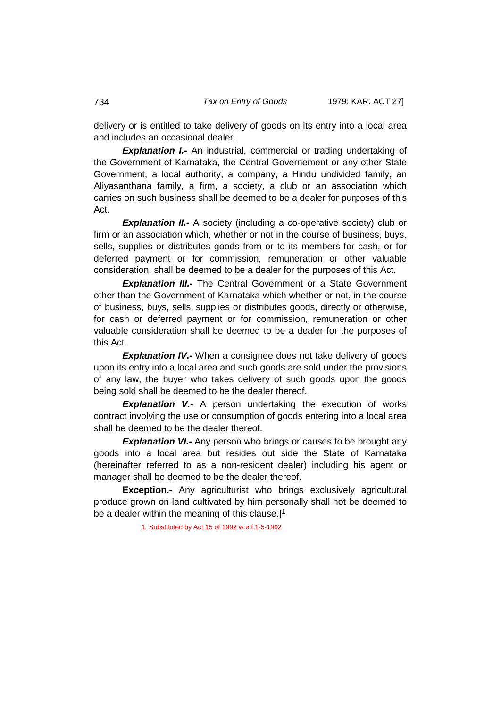delivery or is entitled to take delivery of goods on its entry into a local area and includes an occasional dealer.

**Explanation I.-** An industrial, commercial or trading undertaking of the Government of Karnataka, the Central Governement or any other State Government, a local authority, a company, a Hindu undivided family, an Aliyasanthana family, a firm, a society, a club or an association which carries on such business shall be deemed to be a dealer for purposes of this Act.

**Explanation II.** A society (including a co-operative society) club or firm or an association which, whether or not in the course of business, buys, sells, supplies or distributes goods from or to its members for cash, or for deferred payment or for commission, remuneration or other valuable consideration, shall be deemed to be a dealer for the purposes of this Act.

*Explanation III.***-** The Central Government or a State Government other than the Government of Karnataka which whether or not, in the course of business, buys, sells, supplies or distributes goods, directly or otherwise, for cash or deferred payment or for commission, remuneration or other valuable consideration shall be deemed to be a dealer for the purposes of this Act.

**Explanation IV**<sup>-</sup> When a consignee does not take delivery of goods upon its entry into a local area and such goods are sold under the provisions of any law, the buyer who takes delivery of such goods upon the goods being sold shall be deemed to be the dealer thereof.

**Explanation V.-** A person undertaking the execution of works contract involving the use or consumption of goods entering into a local area shall be deemed to be the dealer thereof.

**Explanation VI.** Any person who brings or causes to be brought any goods into a local area but resides out side the State of Karnataka (hereinafter referred to as a non-resident dealer) including his agent or manager shall be deemed to be the dealer thereof.

**Exception.-** Any agriculturist who brings exclusively agricultural produce grown on land cultivated by him personally shall not be deemed to be a dealer within the meaning of this clause. $]$ <sup>1</sup>

1. Substituted by Act 15 of 1992 w.e.f.1-5-1992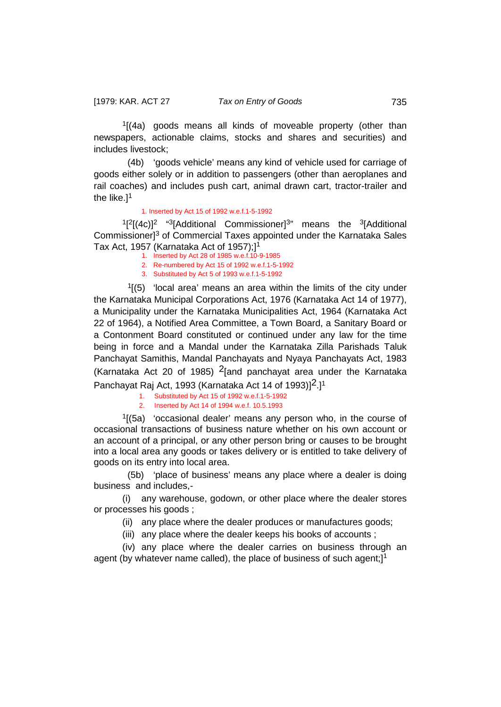$1/(4a)$  goods means all kinds of moveable property (other than newspapers, actionable claims, stocks and shares and securities) and includes livestock;

 (4b) 'goods vehicle' means any kind of vehicle used for carriage of goods either solely or in addition to passengers (other than aeroplanes and rail coaches) and includes push cart, animal drawn cart, tractor-trailer and the like.]<sup>1</sup>

#### 1. Inserted by Act 15 of 1992 w.e.f.1-5-1992

 $1[2[(4c)]^2$  "<sup>3</sup>[Additional Commissioner]<sup>3</sup>" means the <sup>3</sup>[Additional Commissioner]<sup>3</sup> of Commercial Taxes appointed under the Karnataka Sales Tax Act, 1957 (Karnataka Act of 1957);<sup>11</sup>

- 1. Inserted by Act 28 of 1985 w.e.f.10-9-1985
- 2. Re-numbered by Act 15 of 1992 w.e.f.1-5-1992
- 3. Substituted by Act 5 of 1993 w.e.f.1-5-1992

 $1(5)$  'local area' means an area within the limits of the city under the Karnataka Municipal Corporations Act, 1976 (Karnataka Act 14 of 1977), a Municipality under the Karnataka Municipalities Act, 1964 (Karnataka Act 22 of 1964), a Notified Area Committee, a Town Board, a Sanitary Board or a Contonment Board constituted or continued under any law for the time being in force and a Mandal under the Karnataka Zilla Parishads Taluk Panchayat Samithis, Mandal Panchayats and Nyaya Panchayats Act, 1983 (Karnataka Act 20 of 1985) <sup>2</sup>[and panchayat area under the Karnataka Panchayat Raj Act, 1993 (Karnataka Act 14 of 1993) $[2.1]$ <sup>1</sup>

1. Substituted by Act 15 of 1992 w.e.f.1-5-1992

2. Inserted by Act 14 of 1994 w.e.f. 10.5.1993

 $1(5a)$  'occasional dealer' means any person who, in the course of occasional transactions of business nature whether on his own account or an account of a principal, or any other person bring or causes to be brought into a local area any goods or takes delivery or is entitled to take delivery of goods on its entry into local area.

 (5b) 'place of business' means any place where a dealer is doing business and includes,-

(i) any warehouse, godown, or other place where the dealer stores or processes his goods ;

(ii) any place where the dealer produces or manufactures goods;

(iii) any place where the dealer keeps his books of accounts ;

(iv) any place where the dealer carries on business through an agent (by whatever name called), the place of business of such agent;]<sup>1</sup>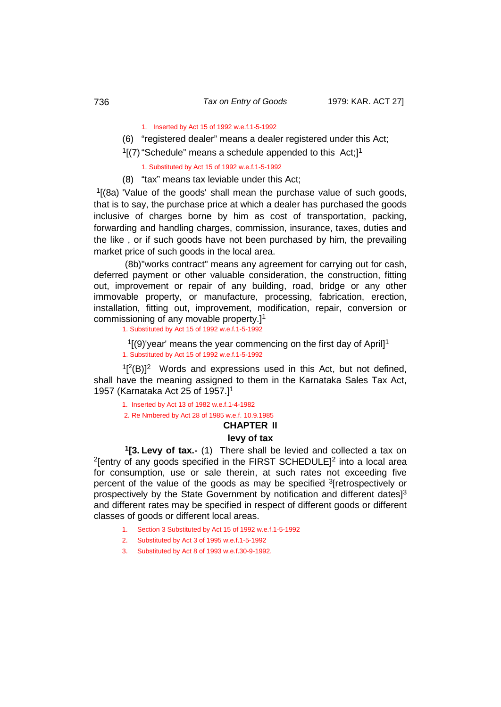1. Inserted by Act 15 of 1992 w.e.f.1-5-1992

- (6) "registered dealer" means a dealer registered under this Act;
- $1$ [(7) "Schedule" means a schedule appended to this Act: $1<sup>1</sup>$

1. Substituted by Act 15 of 1992 w.e.f.1-5-1992

(8) "tax" means tax leviable under this Act;

 $1$ <sup>1</sup>[(8a) 'Value of the goods' shall mean the purchase value of such goods, that is to say, the purchase price at which a dealer has purchased the goods inclusive of charges borne by him as cost of transportation, packing, forwarding and handling charges, commission, insurance, taxes, duties and the like , or if such goods have not been purchased by him, the prevailing market price of such goods in the local area.

(8b)"works contract" means any agreement for carrying out for cash, deferred payment or other valuable consideration, the construction, fitting out, improvement or repair of any building, road, bridge or any other immovable property, or manufacture, processing, fabrication, erection, installation, fitting out, improvement, modification, repair, conversion or commissioning of any movable property.]<sup>1</sup>

1. Substituted by Act 15 of 1992 w.e.f.1-5-1992

 $1(9)$ 'year' means the year commencing on the first day of April<sup>1</sup> 1. Substituted by Act 15 of 1992 w.e.f.1-5-1992

 $1[^{2}(B)]^{2}$  Words and expressions used in this Act, but not defined, shall have the meaning assigned to them in the Karnataka Sales Tax Act, 1957 (Karnataka Act 25 of 1957.]<sup>1</sup>

1. Inserted by Act 13 of 1982 w.e.f.1-4-1982

<span id="page-25-0"></span>2. Re Nmbered by Act 28 of 1985 w.e.f. 10.9.1985

### **CHAPTER II levy of tax**

 **1[3. Levy of tax.-** (1) There shall be levied and collected a tax on <sup>2</sup>[entry of any goods specified in the FIRST SCHEDULE]<sup>2</sup> into a local area for consumption, use or sale therein, at such rates not exceeding five percent of the value of the goods as may be specified <sup>3</sup>[retrospectively or prospectively by the State Government by notification and different dates]<sup>3</sup> and different rates may be specified in respect of different goods or different classes of goods or different local areas.

- 1. Section 3 Substituted by Act 15 of 1992 w.e.f.1-5-1992
- 2. Substituted by Act 3 of 1995 w.e.f.1-5-1992
- 3. Substituted by Act 8 of 1993 w.e.f.30-9-1992.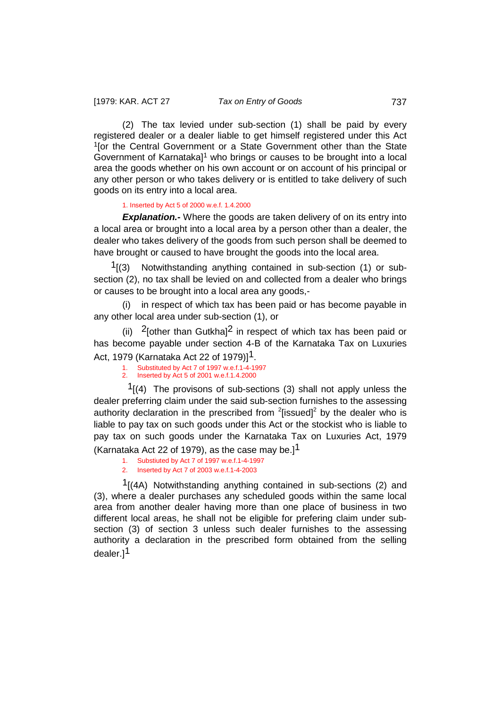(2) The tax levied under sub-section (1) shall be paid by every registered dealer or a dealer liable to get himself registered under this Act <sup>1</sup>[or the Central Government or a State Government other than the State Government of Karnataka]<sup>1</sup> who brings or causes to be brought into a local area the goods whether on his own account or on account of his principal or any other person or who takes delivery or is entitled to take delivery of such goods on its entry into a local area.

#### 1. Inserted by Act 5 of 2000 w.e.f. 1.4.2000

**Explanation.-** Where the goods are taken delivery of on its entry into a local area or brought into a local area by a person other than a dealer, the dealer who takes delivery of the goods from such person shall be deemed to have brought or caused to have brought the goods into the local area.

 $1(3)$  Notwithstanding anything contained in sub-section (1) or subsection (2), no tax shall be levied on and collected from a dealer who brings or causes to be brought into a local area any goods,-

(i) in respect of which tax has been paid or has become payable in any other local area under sub-section (1), or

(ii)  $2$ [other than Gutkha]<sup>2</sup> in respect of which tax has been paid or has become payable under section 4-B of the Karnataka Tax on Luxuries Act, 1979 (Karnataka Act 22 of 1979)]1.

- 1. Substituted by Act 7 of 1997 w.e.f.1-4-1997
- 2. Inserted by Act 5 of 2001 w.e.f.1.4.2000

 $1(4)$  The provisons of sub-sections (3) shall not apply unless the dealer preferring claim under the said sub-section furnishes to the assessing authority declaration in the prescribed from  $2$ [issued] $2$  by the dealer who is liable to pay tax on such goods under this Act or the stockist who is liable to pay tax on such goods under the Karnataka Tax on Luxuries Act, 1979 (Karnataka Act 22 of 1979), as the case may be.]<sup>1</sup>

- 1. Substiuted by Act 7 of 1997 w.e.f.1-4-1997
- 2. Inserted by Act 7 of 2003 w.e.f.1-4-2003

 $1/(4A)$  Notwithstanding anything contained in sub-sections (2) and (3), where a dealer purchases any scheduled goods within the same local area from another dealer having more than one place of business in two different local areas, he shall not be eligible for prefering claim under subsection (3) of section 3 unless such dealer furnishes to the assessing authority a declaration in the prescribed form obtained from the selling dealer.]1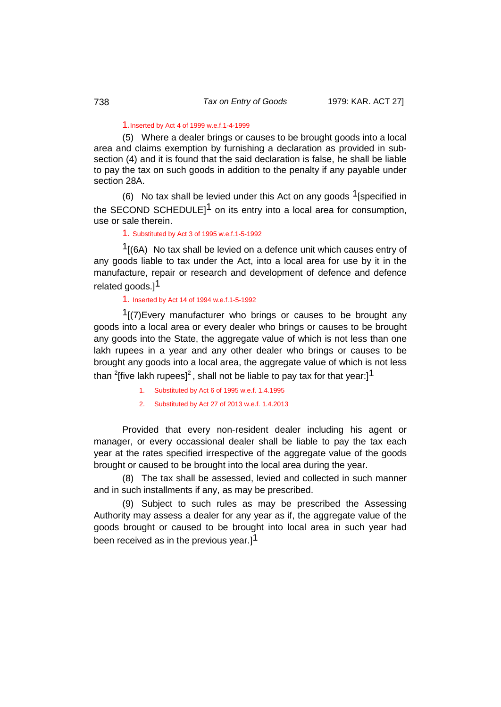#### 1.Inserted by Act 4 of 1999 w.e.f.1-4-1999

(5) Where a dealer brings or causes to be brought goods into a local area and claims exemption by furnishing a declaration as provided in subsection (4) and it is found that the said declaration is false, he shall be liable to pay the tax on such goods in addition to the penalty if any payable under section 28A.

(6) No tax shall be levied under this Act on any goods  $1$ [specified in the SECOND SCHEDULE<sup>11</sup> on its entry into a local area for consumption. use or sale therein.

1. Substituted by Act 3 of 1995 w.e.f.1-5-1992

 $1(6A)$  No tax shall be levied on a defence unit which causes entry of any goods liable to tax under the Act, into a local area for use by it in the manufacture, repair or research and development of defence and defence related goods.<sup>1</sup>

## 1. Inserted by Act 14 of 1994 w.e.f.1-5-1992

 $1/(7)$ Every manufacturer who brings or causes to be brought any goods into a local area or every dealer who brings or causes to be brought any goods into the State, the aggregate value of which is not less than one lakh rupees in a year and any other dealer who brings or causes to be brought any goods into a local area, the aggregate value of which is not less than  $^{2}$ [five lakh rupees] $^{2}$  , shall not be liable to pay tax for that year:] $^{\mathsf{1}}$ 

- 1. Substituted by Act 6 of 1995 w.e.f. 1.4.1995
- 2. Substituted by Act 27 of 2013 w.e.f. 1.4.2013

Provided that every non-resident dealer including his agent or manager, or every occassional dealer shall be liable to pay the tax each year at the rates specified irrespective of the aggregate value of the goods brought or caused to be brought into the local area during the year.

(8) The tax shall be assessed, levied and collected in such manner and in such installments if any, as may be prescribed.

(9) Subject to such rules as may be prescribed the Assessing Authority may assess a dealer for any year as if, the aggregate value of the goods brought or caused to be brought into local area in such year had been received as in the previous year.]<sup>1</sup>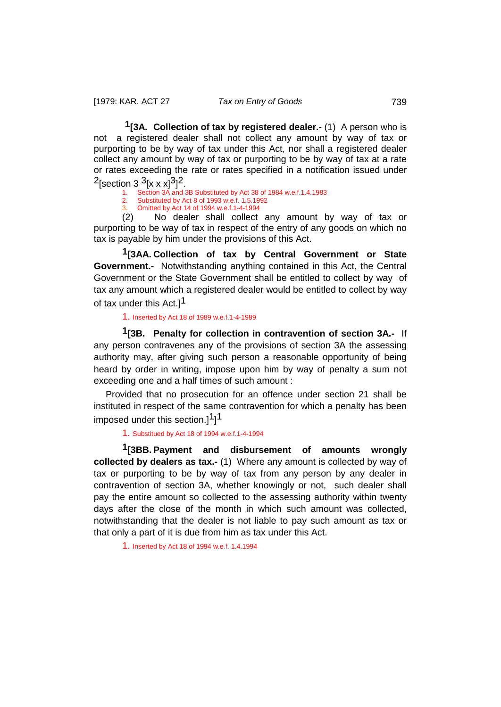<span id="page-28-0"></span>**1[3A. Collection of tax by registered dealer.-** (1) A person who is not a registered dealer shall not collect any amount by way of tax or purporting to be by way of tax under this Act, nor shall a registered dealer collect any amount by way of tax or purporting to be by way of tax at a rate or rates exceeding the rate or rates specified in a notification issued under <sup>2</sup>[section 3 <sup>3</sup>[x x x]<sup>3</sup>]<sup>2</sup>.

Section 3A and 3B Substituted by Act 38 of 1984 w.e.f.1.4.1983

- 2. Substituted by Act 8 of 1993 w.e.f. 1.5.1992<br>3. Omitted by Act 14 of 1994 w e f 1-4-1994
- <span id="page-28-1"></span>3. Omitted by Act 14 of 1994 w.e.f.1-4-1994

(2) No dealer shall collect any amount by way of tax or purporting to be way of tax in respect of the entry of any goods on which no tax is payable by him under the provisions of this Act.

**1[3AA. Collection of tax by Central Government or State Government.-** Notwithstanding anything contained in this Act, the Central Government or the State Government shall be entitled to collect by way of tax any amount which a registered dealer would be entitled to collect by way of tax under this Act.<sup>11</sup>

<span id="page-28-2"></span>1. Inserted by Act 18 of 1989 w.e.f.1-4-1989

**1[3B. Penalty for collection in contravention of section 3A.-** If any person contravenes any of the provisions of section 3A the assessing authority may, after giving such person a reasonable opportunity of being heard by order in writing, impose upon him by way of penalty a sum not exceeding one and a half times of such amount :

Provided that no prosecution for an offence under section 21 shall be instituted in respect of the same contravention for which a penalty has been imposed under this section.] $1]$ 

<span id="page-28-3"></span>1. Substitued by Act 18 of 1994 w.e.f.1-4-1994

**1[3BB. Payment and disbursement of amounts wrongly collected by dealers as tax.-** (1) Where any amount is collected by way of tax or purporting to be by way of tax from any person by any dealer in contravention of section 3A, whether knowingly or not, such dealer shall pay the entire amount so collected to the assessing authority within twenty days after the close of the month in which such amount was collected, notwithstanding that the dealer is not liable to pay such amount as tax or that only a part of it is due from him as tax under this Act.

1. Inserted by Act 18 of 1994 w.e.f. 1.4.1994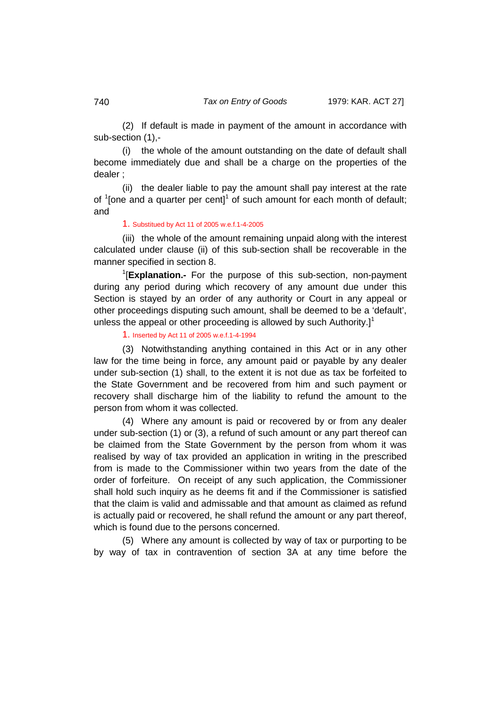(2) If default is made in payment of the amount in accordance with sub-section (1),-

(i) the whole of the amount outstanding on the date of default shall become immediately due and shall be a charge on the properties of the dealer ;

(ii) the dealer liable to pay the amount shall pay interest at the rate of  $1$ [one and a quarter per cent] $1$  of such amount for each month of default; and

#### 1. Substitued by Act 11 of 2005 w.e.f.1-4-2005

(iii) the whole of the amount remaining unpaid along with the interest calculated under clause (ii) of this sub-section shall be recoverable in the manner specified in section 8.

1 [**Explanation.-** For the purpose of this sub-section, non-payment during any period during which recovery of any amount due under this Section is stayed by an order of any authority or Court in any appeal or other proceedings disputing such amount, shall be deemed to be a 'default', unless the appeal or other proceeding is allowed by such Authority. $]^{1}$ 

1. Inserted by Act 11 of 2005 w.e.f.1-4-1994

(3) Notwithstanding anything contained in this Act or in any other law for the time being in force, any amount paid or payable by any dealer under sub-section (1) shall, to the extent it is not due as tax be forfeited to the State Government and be recovered from him and such payment or recovery shall discharge him of the liability to refund the amount to the person from whom it was collected.

(4) Where any amount is paid or recovered by or from any dealer under sub-section (1) or (3), a refund of such amount or any part thereof can be claimed from the State Government by the person from whom it was realised by way of tax provided an application in writing in the prescribed from is made to the Commissioner within two years from the date of the order of forfeiture. On receipt of any such application, the Commissioner shall hold such inquiry as he deems fit and if the Commissioner is satisfied that the claim is valid and admissable and that amount as claimed as refund is actually paid or recovered, he shall refund the amount or any part thereof, which is found due to the persons concerned.

(5) Where any amount is collected by way of tax or purporting to be by way of tax in contravention of section 3A at any time before the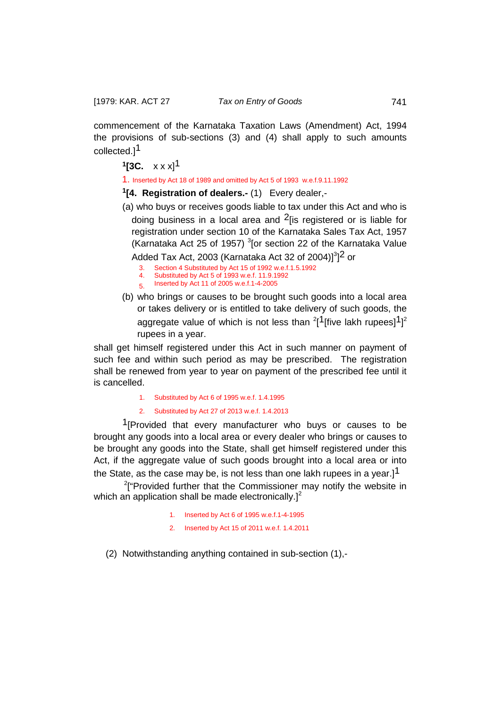commencement of the Karnataka Taxation Laws (Amendment) Act, 1994 the provisions of sub-sections (3) and (4) shall apply to such amounts collected.]1

<span id="page-30-0"></span>**1[3C.**  $x \times x$ ]<sup>1</sup>

1. Inserted by Act 18 of 1989 and omitted by Act 5 of 1993 w.e.f.9.11.1992

<span id="page-30-1"></span>**1[4. Registration of dealers.-** (1) Every dealer,-

(a) who buys or receives goods liable to tax under this Act and who is doing business in a local area and  $2$  [is registered or is liable for registration under section 10 of the Karnataka Sales Tax Act, 1957 (Karnataka Act 25 of 1957)  $3$ [or section 22 of the Karnataka Value

Added Tax Act, 2003 (Karnataka Act 32 of 2004)] $^{3}$ ]<sup>2</sup> or

- 3. Section 4 Substituted by Act 15 of 1992 w.e.f.1.5.1992<br>4. Substituted by Act 5 of 1993 w.e.f. 11.9.1992
- 4. Substituted by Act 5 of 1993 w.e.f. 11.9.1992
- 5. Inserted by Act 11 of 2005 w.e.f.1-4-2005
- (b) who brings or causes to be brought such goods into a local area or takes delivery or is entitled to take delivery of such goods, the aggregate value of which is not less than  $^{2}$ [1 [five lakh rupees] $^{1}$ ]<sup>2</sup> rupees in a year.

shall get himself registered under this Act in such manner on payment of such fee and within such period as may be prescribed. The registration shall be renewed from year to year on payment of the prescribed fee until it is cancelled.

- 1. Substituted by Act 6 of 1995 w.e.f. 1.4.1995
- 2. Substituted by Act 27 of 2013 w.e.f. 1.4.2013

<sup>1</sup>[Provided that every manufacturer who buys or causes to be brought any goods into a local area or every dealer who brings or causes to be brought any goods into the State, shall get himself registered under this Act, if the aggregate value of such goods brought into a local area or into the State, as the case may be, is not less than one lakh rupees in a year.]<sup>1</sup>

<sup>2</sup>["Provided further that the Commissioner may notify the website in which an application shall be made electronically. $]^{2}$ 

- 1. Inserted by Act 6 of 1995 w.e.f.1-4-1995
- 2. Inserted by Act 15 of 2011 w.e.f. 1.4.2011
- (2) Notwithstanding anything contained in sub-section (1),-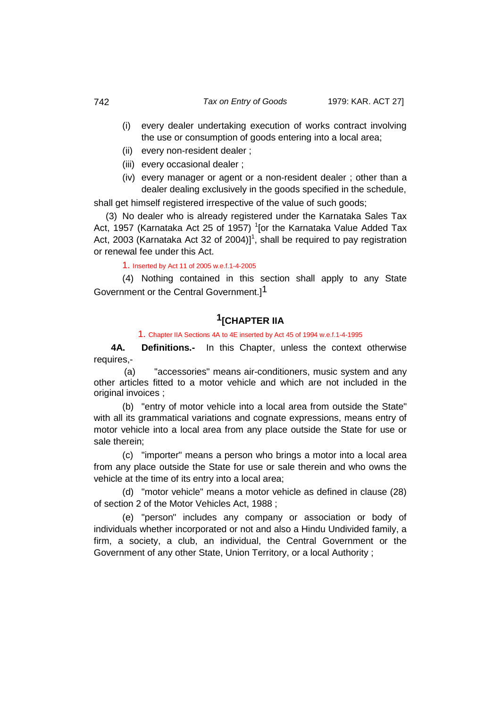- (i) every dealer undertaking execution of works contract involving the use or consumption of goods entering into a local area;
- (ii) every non-resident dealer ;
- (iii) every occasional dealer ;
- (iv) every manager or agent or a non-resident dealer ; other than a dealer dealing exclusively in the goods specified in the schedule,

shall get himself registered irrespective of the value of such goods:

(3) No dealer who is already registered under the Karnataka Sales Tax Act, 1957 (Karnataka Act 25 of 1957) <sup>1</sup>[or the Karnataka Value Added Tax Act, 2003 (Karnataka Act 32 of 2004)]<sup>1</sup>, shall be required to pay registration or renewal fee under this Act.

### 1. Inserted by Act 11 of 2005 w.e.f.1-4-2005

(4) Nothing contained in this section shall apply to any State Government or the Central Government.<sup>1</sup>

## **1[CHAPTER IIA**

<span id="page-31-0"></span>1. Chapter IIA Sections 4A to 4E inserted by Act 45 of 1994 w.e.f.1-4-1995

 **4A. Definitions.-** In this Chapter, unless the context otherwise requires,-

(a) "accessories" means air-conditioners, music system and any other articles fitted to a motor vehicle and which are not included in the original invoices ;

(b) "entry of motor vehicle into a local area from outside the State" with all its grammatical variations and cognate expressions, means entry of motor vehicle into a local area from any place outside the State for use or sale therein;

(c) "importer" means a person who brings a motor into a local area from any place outside the State for use or sale therein and who owns the vehicle at the time of its entry into a local area;

(d) "motor vehicle" means a motor vehicle as defined in clause (28) of section 2 of the Motor Vehicles Act, 1988 ;

(e) "person" includes any company or association or body of individuals whether incorporated or not and also a Hindu Undivided family, a firm, a society, a club, an individual, the Central Government or the Government of any other State, Union Territory, or a local Authority ;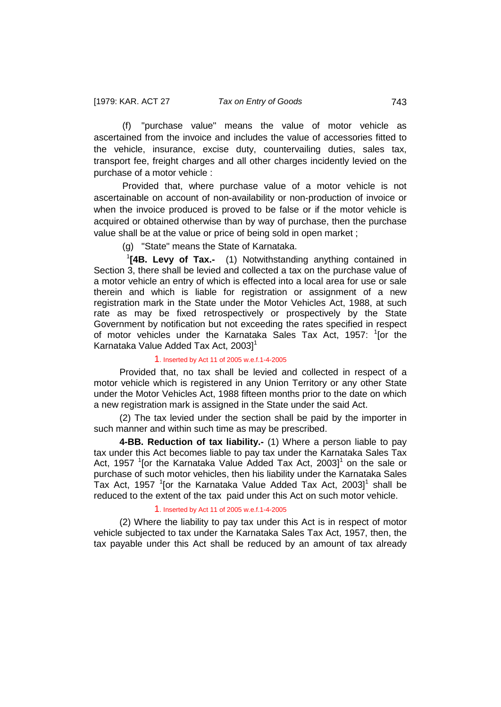(f) "purchase value" means the value of motor vehicle as ascertained from the invoice and includes the value of accessories fitted to the vehicle, insurance, excise duty, countervailing duties, sales tax, transport fee, freight charges and all other charges incidently levied on the purchase of a motor vehicle :

Provided that, where purchase value of a motor vehicle is not ascertainable on account of non-availability or non-production of invoice or when the invoice produced is proved to be false or if the motor vehicle is acquired or obtained otherwise than by way of purchase, then the purchase value shall be at the value or price of being sold in open market ;

<span id="page-32-0"></span>(g) "State" means the State of Karnataka.

<sup>1</sup> **[4B. Levy of Tax.-** (1) Notwithstanding anything contained in Section 3, there shall be levied and collected a tax on the purchase value of a motor vehicle an entry of which is effected into a local area for use or sale therein and which is liable for registration or assignment of a new registration mark in the State under the Motor Vehicles Act, 1988, at such rate as may be fixed retrospectively or prospectively by the State Government by notification but not exceeding the rates specified in respect of motor vehicles under the Karnataka Sales Tax Act, 1957: <sup>1</sup>[or the Karnataka Value Added Tax Act, 2003]<sup>1</sup>

#### 1. Inserted by Act 11 of 2005 w.e.f.1-4-2005

 Provided that, no tax shall be levied and collected in respect of a motor vehicle which is registered in any Union Territory or any other State under the Motor Vehicles Act, 1988 fifteen months prior to the date on which a new registration mark is assigned in the State under the said Act.

 (2) The tax levied under the section shall be paid by the importer in such manner and within such time as may be prescribed.

 **4-BB. Reduction of tax liability.-** (1) Where a person liable to pay tax under this Act becomes liable to pay tax under the Karnataka Sales Tax Act, 1957  $\rm$ <sup>1</sup>[or the Karnataka Value Added Tax Act, 2003] $\rm ^1$  on the sale or purchase of such motor vehicles, then his liability under the Karnataka Sales Tax Act, 1957  $\rm$ <sup>1</sup>[or the Karnataka Value Added Tax Act, 2003]<sup>1</sup> shall be reduced to the extent of the tax paid under this Act on such motor vehicle.

#### <span id="page-32-1"></span>1. Inserted by Act 11 of 2005 w.e.f.1-4-2005

 (2) Where the liability to pay tax under this Act is in respect of motor vehicle subjected to tax under the Karnataka Sales Tax Act, 1957, then, the tax payable under this Act shall be reduced by an amount of tax already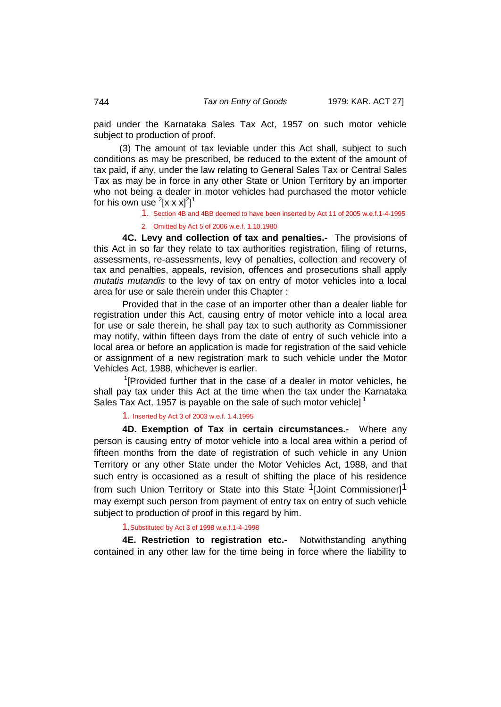paid under the Karnataka Sales Tax Act, 1957 on such motor vehicle subject to production of proof.

 (3) The amount of tax leviable under this Act shall, subject to such conditions as may be prescribed, be reduced to the extent of the amount of tax paid, if any, under the law relating to General Sales Tax or Central Sales Tax as may be in force in any other State or Union Territory by an importer who not being a dealer in motor vehicles had purchased the motor vehicle for his own use  $^{2}[ \mathrm{\mathsf{x}} \mathrm{\mathsf{x}} \mathrm{\mathsf{x}} ]^{2}]^{1}$ 

1. Section 4B and 4BB deemed to have been inserted by Act 11 of 2005 w.e.f.1-4-1995

<span id="page-33-0"></span>2. Omitted by Act 5 of 2006 w.e.f. 1.10.1980

**4C. Levy and collection of tax and penalties.-** The provisions of this Act in so far they relate to tax authorities registration, filing of returns, assessments, re-assessments, levy of penalties, collection and recovery of tax and penalties, appeals, revision, offences and prosecutions shall apply *mutatis mutandis* to the levy of tax on entry of motor vehicles into a local area for use or sale therein under this Chapter :

Provided that in the case of an importer other than a dealer liable for registration under this Act, causing entry of motor vehicle into a local area for use or sale therein, he shall pay tax to such authority as Commissioner may notify, within fifteen days from the date of entry of such vehicle into a local area or before an application is made for registration of the said vehicle or assignment of a new registration mark to such vehicle under the Motor Vehicles Act, 1988, whichever is earlier.

<sup>1</sup>[Provided further that in the case of a dealer in motor vehicles, he shall pay tax under this Act at the time when the tax under the Karnataka Sales Tax Act, 1957 is payable on the sale of such motor vehicle]<sup>1</sup>

#### 1. Inserted by Act 3 of 2003 w.e.f. 1.4.1995

**4D. Exemption of Tax in certain circumstances.-** Where any person is causing entry of motor vehicle into a local area within a period of fifteen months from the date of registration of such vehicle in any Union Territory or any other State under the Motor Vehicles Act, 1988, and that such entry is occasioned as a result of shifting the place of his residence from such Union Territory or State into this State <sup>1</sup>[Joint Commissioner]<sup>1</sup> may exempt such person from payment of entry tax on entry of such vehicle subject to production of proof in this regard by him.

#### <span id="page-33-1"></span>1.Substituted by Act 3 of 1998 w.e.f.1-4-1998

**4E. Restriction to registration etc.-** Notwithstanding anything contained in any other law for the time being in force where the liability to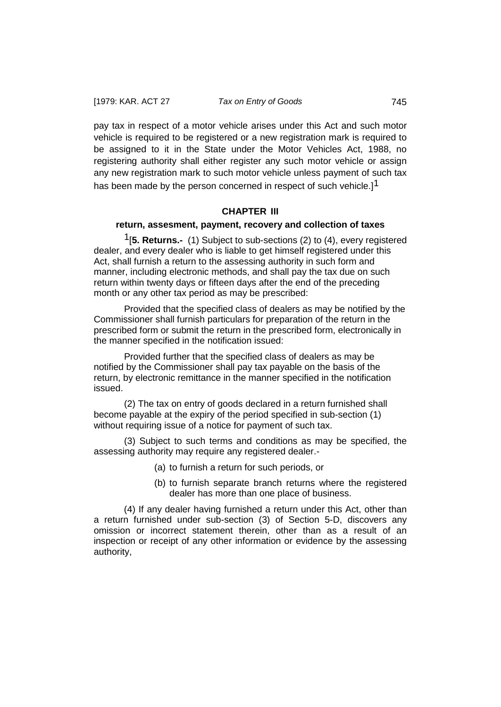pay tax in respect of a motor vehicle arises under this Act and such motor vehicle is required to be registered or a new registration mark is required to be assigned to it in the State under the Motor Vehicles Act, 1988, no registering authority shall either register any such motor vehicle or assign any new registration mark to such motor vehicle unless payment of such tax has been made by the person concerned in respect of such vehicle.]<sup>1</sup>

## **CHAPTER III**

### **return, assesment, payment, recovery and collection of taxes**

1[**5. Returns.-** (1) Subject to sub-sections (2) to (4), every registered dealer, and every dealer who is liable to get himself registered under this Act, shall furnish a return to the assessing authority in such form and manner, including electronic methods, and shall pay the tax due on such return within twenty days or fifteen days after the end of the preceding month or any other tax period as may be prescribed:

Provided that the specified class of dealers as may be notified by the Commissioner shall furnish particulars for preparation of the return in the prescribed form or submit the return in the prescribed form, electronically in the manner specified in the notification issued:

Provided further that the specified class of dealers as may be notified by the Commissioner shall pay tax payable on the basis of the return, by electronic remittance in the manner specified in the notification issued.

(2) The tax on entry of goods declared in a return furnished shall become payable at the expiry of the period specified in sub-section (1) without requiring issue of a notice for payment of such tax.

(3) Subject to such terms and conditions as may be specified, the assessing authority may require any registered dealer.-

- (a) to furnish a return for such periods, or
- (b) to furnish separate branch returns where the registered dealer has more than one place of business.

(4) If any dealer having furnished a return under this Act, other than a return furnished under sub-section (3) of Section 5-D, discovers any omission or incorrect statement therein, other than as a result of an inspection or receipt of any other information or evidence by the assessing authority,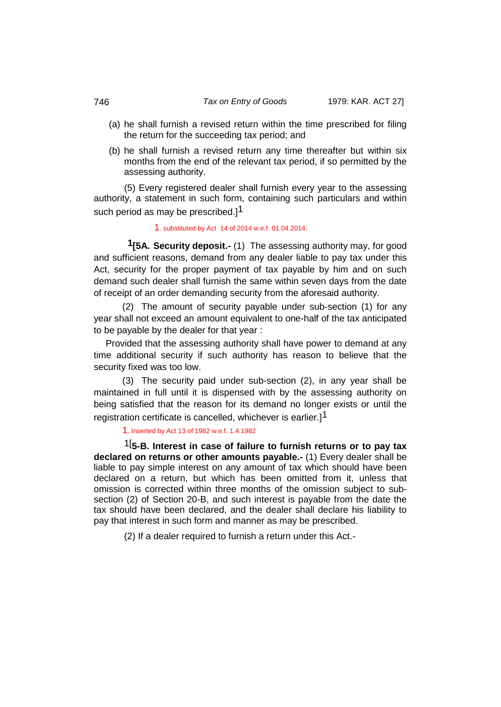#### 746 *Tax on Entry of Goods* 1979: KAR. ACT 27]

- (a) he shall furnish a revised return within the time prescribed for filing the return for the succeeding tax period; and
- (b) he shall furnish a revised return any time thereafter but within six months from the end of the relevant tax period, if so permitted by the assessing authority.

(5) Every registered dealer shall furnish every year to the assessing authority, a statement in such form, containing such particulars and within such period as may be prescribed.] $^{\text{1}}$ 

#### <span id="page-35-0"></span>1. substituted by Act 14 of 2014 w.e.f. 01.04.2014.

 **1[5A. Security deposit.-** (1) The assessing authority may, for good and sufficient reasons, demand from any dealer liable to pay tax under this Act, security for the proper payment of tax payable by him and on such demand such dealer shall furnish the same within seven days from the date of receipt of an order demanding security from the aforesaid authority.

(2) The amount of security payable under sub-section (1) for any year shall not exceed an amount equivalent to one-half of the tax anticipated to be payable by the dealer for that year :

Provided that the assessing authority shall have power to demand at any time additional security if such authority has reason to believe that the security fixed was too low.

(3) The security paid under sub-section (2), in any year shall be maintained in full until it is dispensed with by the assessing authority on being satisfied that the reason for its demand no longer exists or until the registration certificate is cancelled, whichever is earlier.<sup>1</sup>

<span id="page-35-1"></span>1. Inserted by Act 13 of 1982 w.e.f. 1.4.1982

1[ **5-B. Interest in case of failure to furnish returns or to pay tax declared on returns or other amounts payable.-** (1) Every dealer shall be liable to pay simple interest on any amount of tax which should have been declared on a return, but which has been omitted from it, unless that omission is corrected within three months of the omission subject to subsection (2) of Section 20-B, and such interest is payable from the date the tax should have been declared, and the dealer shall declare his liability to pay that interest in such form and manner as may be prescribed.

(2) If a dealer required to furnish a return under this Act.-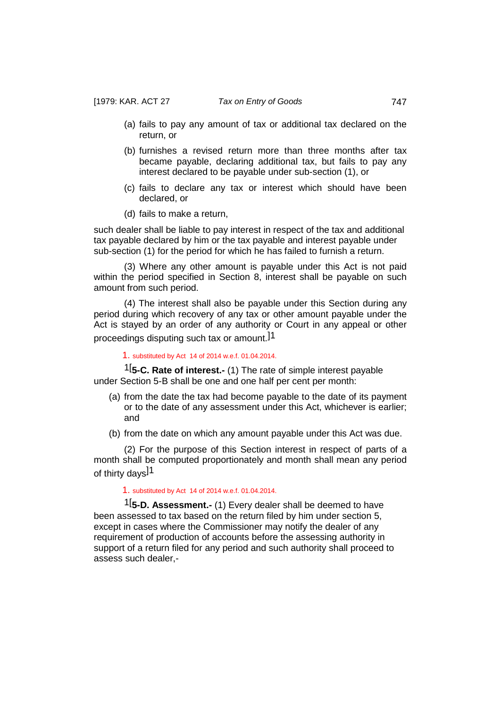- (a) fails to pay any amount of tax or additional tax declared on the return, or
- (b) furnishes a revised return more than three months after tax became payable, declaring additional tax, but fails to pay any interest declared to be payable under sub-section (1), or
- (c) fails to declare any tax or interest which should have been declared, or
- (d) fails to make a return,

such dealer shall be liable to pay interest in respect of the tax and additional tax payable declared by him or the tax payable and interest payable under sub-section (1) for the period for which he has failed to furnish a return.

(3) Where any other amount is payable under this Act is not paid within the period specified in Section 8, interest shall be payable on such amount from such period.

(4) The interest shall also be payable under this Section during any period during which recovery of any tax or other amount payable under the Act is stayed by an order of any authority or Court in any appeal or other proceedings disputing such tax or amount.]1

1. substituted by Act 14 of 2014 w.e.f. 01.04.2014.

1[ **5-C. Rate of interest.-** (1) The rate of simple interest payable under Section 5-B shall be one and one half per cent per month:

- (a) from the date the tax had become payable to the date of its payment or to the date of any assessment under this Act, whichever is earlier; and
- (b) from the date on which any amount payable under this Act was due.

(2) For the purpose of this Section interest in respect of parts of a month shall be computed proportionately and month shall mean any period of thirty days<sup>11</sup>

# 1. substituted by Act 14 of 2014 w.e.f. 01.04.2014.

1[ **5-D. Assessment.-** (1) Every dealer shall be deemed to have been assessed to tax based on the return filed by him under section 5, except in cases where the Commissioner may notify the dealer of any requirement of production of accounts before the assessing authority in support of a return filed for any period and such authority shall proceed to assess such dealer,-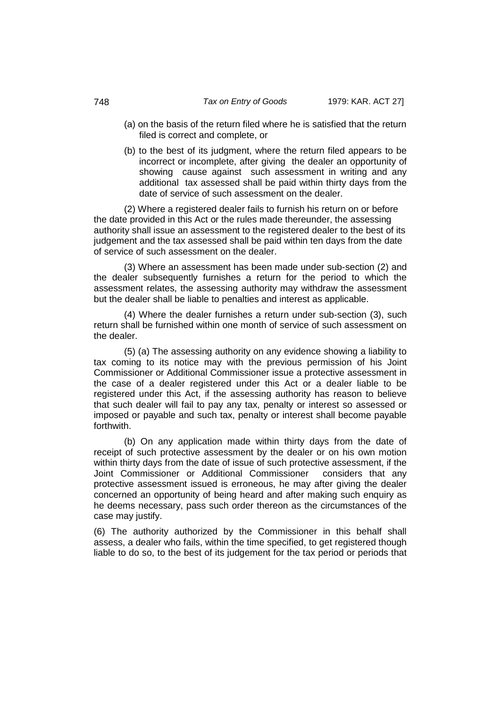- (a) on the basis of the return filed where he is satisfied that the return filed is correct and complete, or
- (b) to the best of its judgment, where the return filed appears to be incorrect or incomplete, after giving the dealer an opportunity of showing cause against such assessment in writing and any additional tax assessed shall be paid within thirty days from the date of service of such assessment on the dealer.

(2) Where a registered dealer fails to furnish his return on or before the date provided in this Act or the rules made thereunder, the assessing authority shall issue an assessment to the registered dealer to the best of its judgement and the tax assessed shall be paid within ten days from the date of service of such assessment on the dealer.

(3) Where an assessment has been made under sub-section (2) and the dealer subsequently furnishes a return for the period to which the assessment relates, the assessing authority may withdraw the assessment but the dealer shall be liable to penalties and interest as applicable.

(4) Where the dealer furnishes a return under sub-section (3), such return shall be furnished within one month of service of such assessment on the dealer.

(5) (a) The assessing authority on any evidence showing a liability to tax coming to its notice may with the previous permission of his Joint Commissioner or Additional Commissioner issue a protective assessment in the case of a dealer registered under this Act or a dealer liable to be registered under this Act, if the assessing authority has reason to believe that such dealer will fail to pay any tax, penalty or interest so assessed or imposed or payable and such tax, penalty or interest shall become payable forthwith.

(b) On any application made within thirty days from the date of receipt of such protective assessment by the dealer or on his own motion within thirty days from the date of issue of such protective assessment, if the Joint Commissioner or Additional Commissioner considers that any protective assessment issued is erroneous, he may after giving the dealer concerned an opportunity of being heard and after making such enquiry as he deems necessary, pass such order thereon as the circumstances of the case may justify.

(6) The authority authorized by the Commissioner in this behalf shall assess, a dealer who fails, within the time specified, to get registered though liable to do so, to the best of its judgement for the tax period or periods that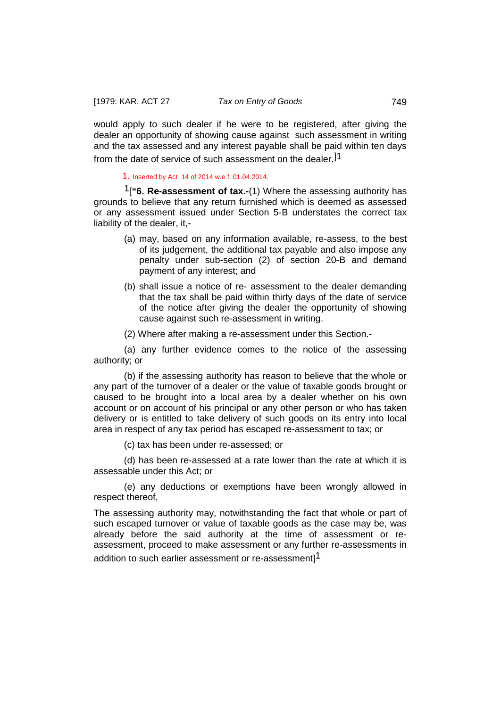would apply to such dealer if he were to be registered, after giving the dealer an opportunity of showing cause against such assessment in writing and the tax assessed and any interest payable shall be paid within ten days from the date of service of such assessment on the dealer.]1

1. Inserted by Act 14 of 2014 w.e.f. 01.04.2014.

1[**"6. Re-assessment of tax.-**(1) Where the assessing authority has grounds to believe that any return furnished which is deemed as assessed or any assessment issued under Section 5-B understates the correct tax liability of the dealer, it,-

- (a) may, based on any information available, re-assess, to the best of its judgement, the additional tax payable and also impose any penalty under sub-section (2) of section 20-B and demand payment of any interest; and
- (b) shall issue a notice of re- assessment to the dealer demanding that the tax shall be paid within thirty days of the date of service of the notice after giving the dealer the opportunity of showing cause against such re-assessment in writing.

(2) Where after making a re-assessment under this Section.-

(a) any further evidence comes to the notice of the assessing authority; or

(b) if the assessing authority has reason to believe that the whole or any part of the turnover of a dealer or the value of taxable goods brought or caused to be brought into a local area by a dealer whether on his own account or on account of his principal or any other person or who has taken delivery or is entitled to take delivery of such goods on its entry into local area in respect of any tax period has escaped re-assessment to tax; or

(c) tax has been under re-assessed; or

(d) has been re-assessed at a rate lower than the rate at which it is assessable under this Act; or

(e) any deductions or exemptions have been wrongly allowed in respect thereof,

The assessing authority may, notwithstanding the fact that whole or part of such escaped turnover or value of taxable goods as the case may be, was already before the said authority at the time of assessment or reassessment, proceed to make assessment or any further re-assessments in

addition to such earlier assessment or re-assessment]<sup>1</sup>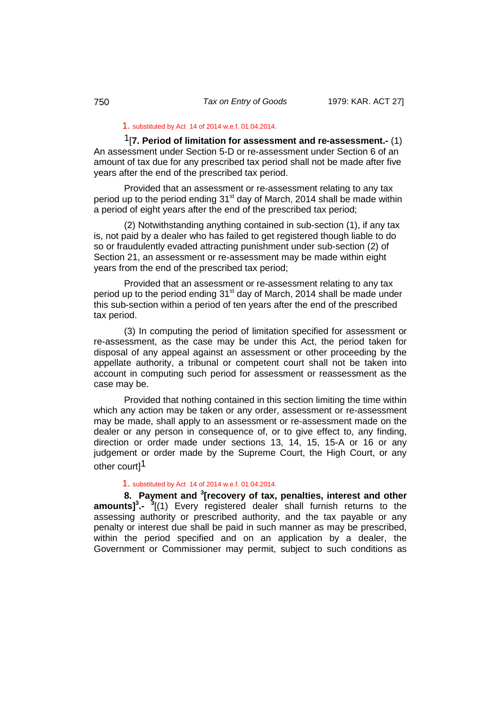## 1. substituted by Act 14 of 2014 w.e.f. 01.04.2014.

1[**7. Period of limitation for assessment and re-assessment.-** (1) An assessment under Section 5-D or re-assessment under Section 6 of an amount of tax due for any prescribed tax period shall not be made after five years after the end of the prescribed tax period.

Provided that an assessment or re-assessment relating to any tax period up to the period ending 31<sup>st</sup> day of March, 2014 shall be made within a period of eight years after the end of the prescribed tax period;

(2) Notwithstanding anything contained in sub-section (1), if any tax is, not paid by a dealer who has failed to get registered though liable to do so or fraudulently evaded attracting punishment under sub-section (2) of Section 21, an assessment or re-assessment may be made within eight years from the end of the prescribed tax period;

Provided that an assessment or re-assessment relating to any tax period up to the period ending  $31<sup>st</sup>$  day of March, 2014 shall be made under this sub-section within a period of ten years after the end of the prescribed tax period.

(3) In computing the period of limitation specified for assessment or re-assessment, as the case may be under this Act, the period taken for disposal of any appeal against an assessment or other proceeding by the appellate authority, a tribunal or competent court shall not be taken into account in computing such period for assessment or reassessment as the case may be.

Provided that nothing contained in this section limiting the time within which any action may be taken or any order, assessment or re-assessment may be made, shall apply to an assessment or re-assessment made on the dealer or any person in consequence of, or to give effect to, any finding, direction or order made under sections 13, 14, 15, 15-A or 16 or any judgement or order made by the Supreme Court, the High Court, or any other court]<sup>1</sup>

# 1. substituted by Act 14 of 2014 w.e.f. 01.04.2014.

**8. Payment and <sup>3</sup> [recovery of tax, penalties, interest and other amounts] 3 .- <sup>3</sup>** [(1) Every registered dealer shall furnish returns to the assessing authority or prescribed authority, and the tax payable or any penalty or interest due shall be paid in such manner as may be prescribed, within the period specified and on an application by a dealer, the Government or Commissioner may permit, subject to such conditions as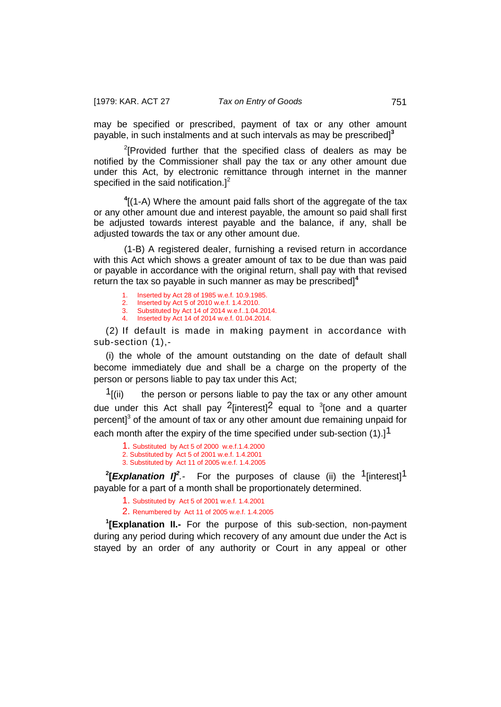may be specified or prescribed, payment of tax or any other amount payable, in such instalments and at such intervals as may be prescribed]**<sup>3</sup>**

 $2$ [Provided further that the specified class of dealers as may be notified by the Commissioner shall pay the tax or any other amount due under this Act, by electronic remittance through internet in the manner specified in the said notification. $]^{2}$ 

**4** [(1-A) Where the amount paid falls short of the aggregate of the tax or any other amount due and interest payable, the amount so paid shall first be adjusted towards interest payable and the balance, if any, shall be adjusted towards the tax or any other amount due.

(1-B) A registered dealer, furnishing a revised return in accordance with this Act which shows a greater amount of tax to be due than was paid or payable in accordance with the original return, shall pay with that revised return the tax so payable in such manner as may be prescribed]**<sup>4</sup>**

- 1. Inserted by Act 28 of 1985 w.e.f. 10.9.1985.
- 2. Inserted by Act 5 of 2010 w.e.f. 1.4.2010.<br>3. Substituted by Act 14 of 2014 w e f 1.04
- 3. Substituted by Act 14 of 2014 w.e.f..1.04.2014.<br>4 Inserted by Act 14 of 2014 w e f 01 04 2014 4. Inserted by Act 14 of 2014 w.e.f. 01.04.2014.

(2) If default is made in making payment in accordance with sub-section (1),-

(i) the whole of the amount outstanding on the date of default shall become immediately due and shall be a charge on the property of the person or persons liable to pay tax under this Act;

 $<sup>1</sup>$ [(ii) the person or persons liable to pay the tax or any other amount</sup> due under this Act shall pay  $2$ [interest] $2$  equal to  $3$ [one and a quarter percent $\beta$ <sup>3</sup> of the amount of tax or any other amount due remaining unpaid for each month after the expiry of the time specified under sub-section (1).<sup>1</sup>

1. Substituted by Act 5 of 2000 w.e.f.1.4.2000 2. Substituted by Act 5 of 2001 w.e.f. 1.4.2001 3. Substituted by Act 11 of 2005 w.e.f. 1.4.2005

**2 [***Explanation I]<sup>2</sup> .-* For the purposes of clause (ii) the 1[interest]1 payable for a part of a month shall be proportionately determined.

1. Substituted by Act 5 of 2001 w.e.f. 1.4.2001

2. Renumbered by Act 11 of 2005 w.e.f. 1.4.2005

**1 [Explanation II.-** For the purpose of this sub-section, non-payment during any period during which recovery of any amount due under the Act is stayed by an order of any authority or Court in any appeal or other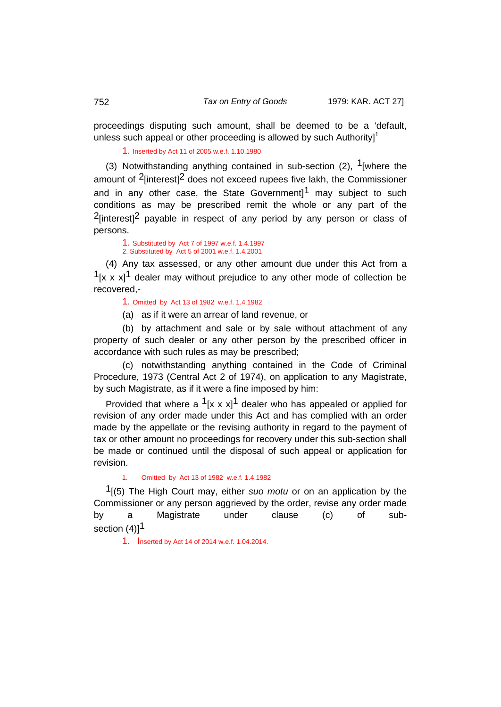proceedings disputing such amount, shall be deemed to be a 'default, unless such appeal or other proceeding is allowed by such Authority $l^1$ 

1. Inserted by Act 11 of 2005 w.e.f. 1.10.1980

(3) Notwithstanding anything contained in sub-section (2),  $1$ [where the amount of  $2$ [interest] $2$  does not exceed rupees five lakh, the Commissioner and in any other case, the State Government<sup>1</sup> may subject to such conditions as may be prescribed remit the whole or any part of the  $2$ [interest]<sup>2</sup> payable in respect of any period by any person or class of persons.

1. Substituted by Act 7 of 1997 w.e.f. 1.4.1997 2. Substituted by Act 5 of 2001 w.e.f. 1.4.2001

(4) Any tax assessed, or any other amount due under this Act from a  $1[x \times x]$ <sup>1</sup> dealer may without prejudice to any other mode of collection be recovered,-

1. Omitted by Act 13 of 1982 w.e.f. 1.4.1982

(a) as if it were an arrear of land revenue, or

(b) by attachment and sale or by sale without attachment of any property of such dealer or any other person by the prescribed officer in accordance with such rules as may be prescribed;

(c) notwithstanding anything contained in the Code of Criminal Procedure, 1973 (Central Act 2 of 1974), on application to any Magistrate, by such Magistrate, as if it were a fine imposed by him:

Provided that where a  $1[x \times x]^1$  dealer who has appealed or applied for revision of any order made under this Act and has complied with an order made by the appellate or the revising authority in regard to the payment of tax or other amount no proceedings for recovery under this sub-section shall be made or continued until the disposal of such appeal or application for revision.

## 1. Omitted by Act 13 of 1982 w.e.f. 1.4.1982

1[(5) The High Court may, either *suo motu* or on an application by the Commissioner or any person aggrieved by the order, revise any order made by a Magistrate under clause (c) of subsection  $(4)$ ]<sup>1</sup>

1. Inserted by Act 14 of 2014 w.e.f. 1.04.2014.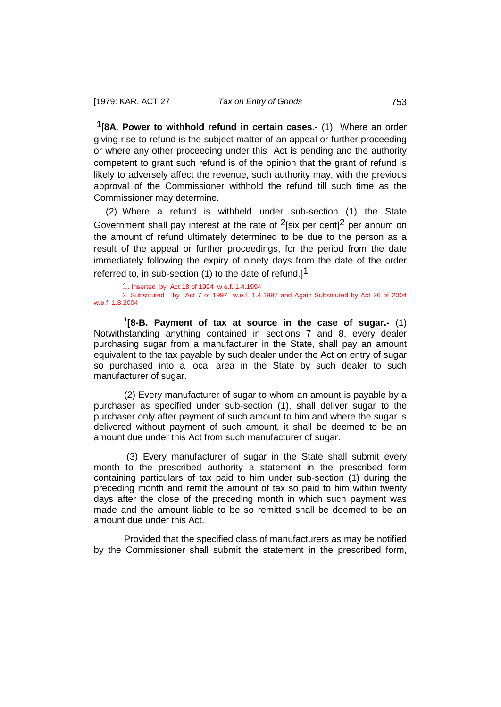1[**8A. Power to withhold refund in certain cases.-** (1) Where an order giving rise to refund is the subject matter of an appeal or further proceeding or where any other proceeding under this Act is pending and the authority competent to grant such refund is of the opinion that the grant of refund is likely to adversely affect the revenue, such authority may, with the previous approval of the Commissioner withhold the refund till such time as the Commissioner may determine.

(2) Where a refund is withheld under sub-section (1) the State Government shall pay interest at the rate of  $2$ [six per cent] $2$  per annum on the amount of refund ultimately determined to be due to the person as a result of the appeal or further proceedings, for the period from the date immediately following the expiry of ninety days from the date of the order referred to, in sub-section  $(1)$  to the date of refund.<sup>11</sup>

1. Inserted by Act 18 of 1994 w.e.f. 1.4.1994 2. Substituted by Act 7 of 1997 w.e.f. 1.4.1997 and Again Substituted by Act 26 of 2004 w.e.f. 1.8.2004

**1 [8-B. Payment of tax at source in the case of sugar.-** (1) Notwithstanding anything contained in sections 7 and 8, every dealer purchasing sugar from a manufacturer in the State, shall pay an amount equivalent to the tax payable by such dealer under the Act on entry of sugar so purchased into a local area in the State by such dealer to such manufacturer of sugar.

(2) Every manufacturer of sugar to whom an amount is payable by a purchaser as specified under sub-section (1), shall deliver sugar to the purchaser only after payment of such amount to him and where the sugar is delivered without payment of such amount, it shall be deemed to be an amount due under this Act from such manufacturer of sugar.

(3) Every manufacturer of sugar in the State shall submit every month to the prescribed authority a statement in the prescribed form containing particulars of tax paid to him under sub-section (1) during the preceding month and remit the amount of tax so paid to him within twenty days after the close of the preceding month in which such payment was made and the amount liable to be so remitted shall be deemed to be an amount due under this Act.

Provided that the specified class of manufacturers as may be notified by the Commissioner shall submit the statement in the prescribed form,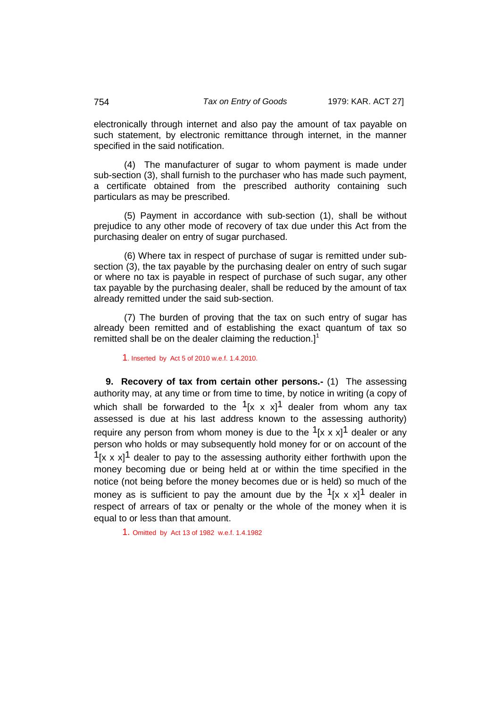electronically through internet and also pay the amount of tax payable on such statement, by electronic remittance through internet, in the manner specified in the said notification.

(4) The manufacturer of sugar to whom payment is made under sub-section (3), shall furnish to the purchaser who has made such payment, a certificate obtained from the prescribed authority containing such particulars as may be prescribed.

(5) Payment in accordance with sub-section (1), shall be without prejudice to any other mode of recovery of tax due under this Act from the purchasing dealer on entry of sugar purchased.

(6) Where tax in respect of purchase of sugar is remitted under subsection (3), the tax payable by the purchasing dealer on entry of such sugar or where no tax is payable in respect of purchase of such sugar, any other tax payable by the purchasing dealer, shall be reduced by the amount of tax already remitted under the said sub-section.

(7) The burden of proving that the tax on such entry of sugar has already been remitted and of establishing the exact quantum of tax so remitted shall be on the dealer claiming the reduction. $l^1$ 

1. Inserted by Act 5 of 2010 w.e.f. 1.4.2010.

**9. Recovery of tax from certain other persons.-** (1) The assessing authority may, at any time or from time to time, by notice in writing (a copy of which shall be forwarded to the  $1[x \times x]^1$  dealer from whom any tax assessed is due at his last address known to the assessing authority) require any person from whom money is due to the  $1[x \times x]$ <sup>1</sup> dealer or any person who holds or may subsequently hold money for or on account of the  $1[x \times x]$ <sup>1</sup> dealer to pay to the assessing authority either forthwith upon the money becoming due or being held at or within the time specified in the notice (not being before the money becomes due or is held) so much of the money as is sufficient to pay the amount due by the  $1[x \times x]$ <sup>1</sup> dealer in respect of arrears of tax or penalty or the whole of the money when it is equal to or less than that amount.

1. Omitted by Act 13 of 1982 w.e.f. 1.4.1982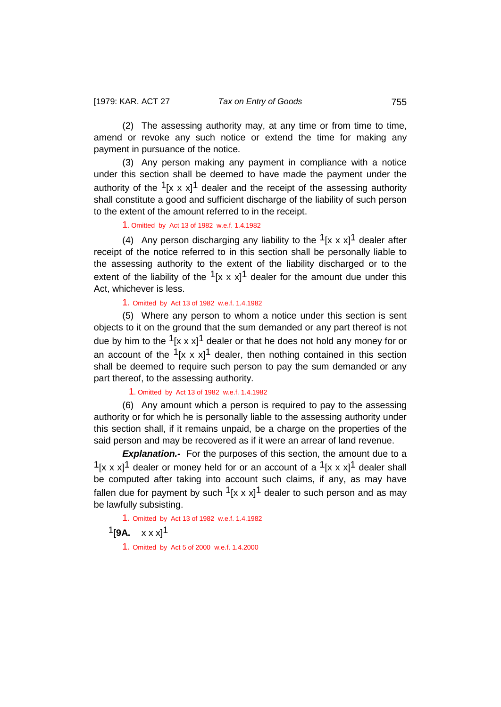(2) The assessing authority may, at any time or from time to time, amend or revoke any such notice or extend the time for making any payment in pursuance of the notice.

(3) Any person making any payment in compliance with a notice under this section shall be deemed to have made the payment under the authority of the  $1[x \times x]^1$  dealer and the receipt of the assessing authority shall constitute a good and sufficient discharge of the liability of such person to the extent of the amount referred to in the receipt.

1. Omitted by Act 13 of 1982 w.e.f. 1.4.1982

(4) Any person discharging any liability to the  $1\frac{1}{x}$  x x $1\frac{1}{y}$  dealer after receipt of the notice referred to in this section shall be personally liable to the assessing authority to the extent of the liability discharged or to the extent of the liability of the  $1[x \times x]^1$  dealer for the amount due under this Act, whichever is less.

1. Omitted by Act 13 of 1982 w.e.f. 1.4.1982

(5) Where any person to whom a notice under this section is sent objects to it on the ground that the sum demanded or any part thereof is not due by him to the  $1[x \times x]^1$  dealer or that he does not hold any money for or an account of the  $1[x \times x]^1$  dealer, then nothing contained in this section shall be deemed to require such person to pay the sum demanded or any part thereof, to the assessing authority.

1. Omitted by Act 13 of 1982 w.e.f. 1.4.1982

(6) Any amount which a person is required to pay to the assessing authority or for which he is personally liable to the assessing authority under this section shall, if it remains unpaid, be a charge on the properties of the said person and may be recovered as if it were an arrear of land revenue.

**Explanation.-** For the purposes of this section, the amount due to a  $1[x \times x]^1$  dealer or money held for or an account of a  $1[x \times x]^1$  dealer shall be computed after taking into account such claims, if any, as may have fallen due for payment by such  $1[x \times x]^1$  dealer to such person and as may be lawfully subsisting.

1. Omitted by Act 13 of 1982 w.e.f. 1.4.1982  $1$ [**9A.**  $x x x$ ]<sup>1</sup> 1. Omitted by Act 5 of 2000 w.e.f. 1.4.2000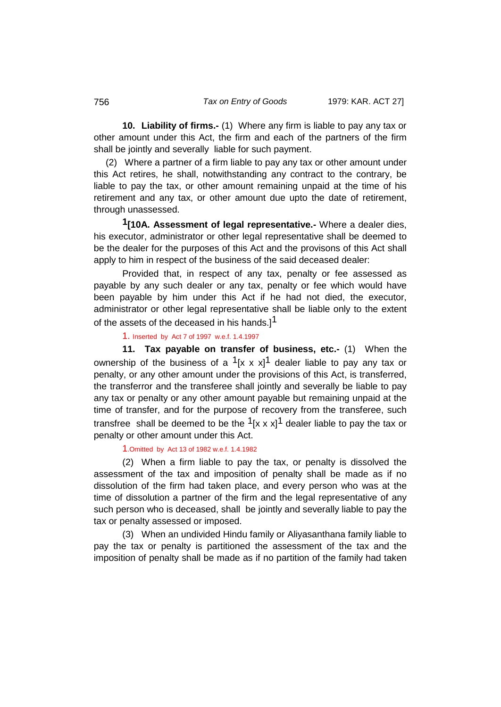**10. Liability of firms.-** (1) Where any firm is liable to pay any tax or other amount under this Act, the firm and each of the partners of the firm shall be jointly and severally liable for such payment.

(2) Where a partner of a firm liable to pay any tax or other amount under this Act retires, he shall, notwithstanding any contract to the contrary, be liable to pay the tax, or other amount remaining unpaid at the time of his retirement and any tax, or other amount due upto the date of retirement, through unassessed.

**1[10A. Assessment of legal representative.-** Where a dealer dies, his executor, administrator or other legal representative shall be deemed to be the dealer for the purposes of this Act and the provisons of this Act shall apply to him in respect of the business of the said deceased dealer:

Provided that, in respect of any tax, penalty or fee assessed as payable by any such dealer or any tax, penalty or fee which would have been payable by him under this Act if he had not died, the executor, administrator or other legal representative shall be liable only to the extent of the assets of the deceased in his hands.<sup>[1]</sup>

# 1. Inserted by Act 7 of 1997 w.e.f. 1.4.1997

**11. Tax payable on transfer of business, etc.-** (1) When the ownership of the business of a  $1[x \times x]^1$  dealer liable to pay any tax or penalty, or any other amount under the provisions of this Act, is transferred, the transferror and the transferee shall jointly and severally be liable to pay any tax or penalty or any other amount payable but remaining unpaid at the time of transfer, and for the purpose of recovery from the transferee, such transfree shall be deemed to be the  $1[x \times x]^1$  dealer liable to pay the tax or penalty or other amount under this Act.

1.Omitted by Act 13 of 1982 w.e.f. 1.4.1982

(2) When a firm liable to pay the tax, or penalty is dissolved the assessment of the tax and imposition of penalty shall be made as if no dissolution of the firm had taken place, and every person who was at the time of dissolution a partner of the firm and the legal representative of any such person who is deceased, shall be jointly and severally liable to pay the tax or penalty assessed or imposed.

(3) When an undivided Hindu family or Aliyasanthana family liable to pay the tax or penalty is partitioned the assessment of the tax and the imposition of penalty shall be made as if no partition of the family had taken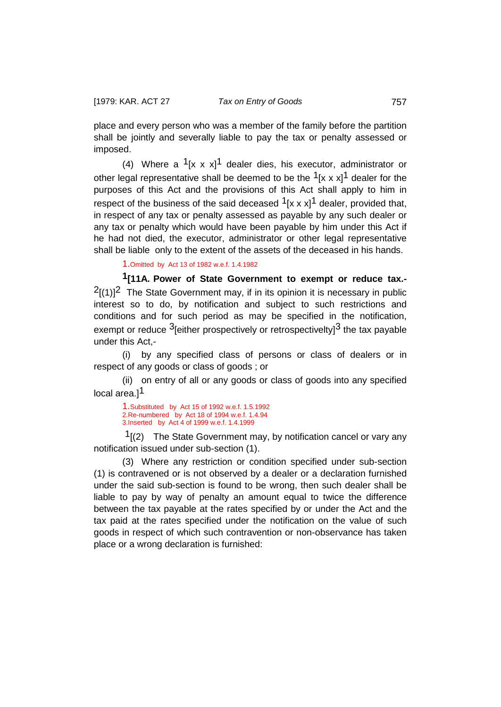place and every person who was a member of the family before the partition shall be jointly and severally liable to pay the tax or penalty assessed or imposed.

(4) Where a  $1[x \times x]^1$  dealer dies, his executor, administrator or other legal representative shall be deemed to be the  $1[x \times x]$ <sup>1</sup> dealer for the purposes of this Act and the provisions of this Act shall apply to him in respect of the business of the said deceased  $1[x \times x]$ <sup>1</sup> dealer, provided that, in respect of any tax or penalty assessed as payable by any such dealer or any tax or penalty which would have been payable by him under this Act if he had not died, the executor, administrator or other legal representative shall be liable only to the extent of the assets of the deceased in his hands.

1.Omitted by Act 13 of 1982 w.e.f. 1.4.1982

**1[11A. Power of State Government to exempt or reduce tax.-**   $<sup>2</sup>[(1)]<sup>2</sup>$  The State Government may, if in its opinion it is necessary in public</sup> interest so to do, by notification and subject to such restrictions and conditions and for such period as may be specified in the notification, exempt or reduce  $3$  either prospectively or retrospectivelty  $3$  the tax payable under this Act,-

(i) by any specified class of persons or class of dealers or in respect of any goods or class of goods ; or

(ii) on entry of all or any goods or class of goods into any specified local area.<sup>11</sup>

1.Substituted by Act 15 of 1992 w.e.f. 1.5.1992 2.Re-numbered by Act 18 of 1994 w.e.f. 1.4.94 3.Inserted by Act 4 of 1999 w.e.f. 1.4.1999

 $1(2)$  The State Government may, by notification cancel or vary any notification issued under sub-section (1).

(3) Where any restriction or condition specified under sub-section (1) is contravened or is not observed by a dealer or a declaration furnished under the said sub-section is found to be wrong, then such dealer shall be liable to pay by way of penalty an amount equal to twice the difference between the tax payable at the rates specified by or under the Act and the tax paid at the rates specified under the notification on the value of such goods in respect of which such contravention or non-observance has taken place or a wrong declaration is furnished: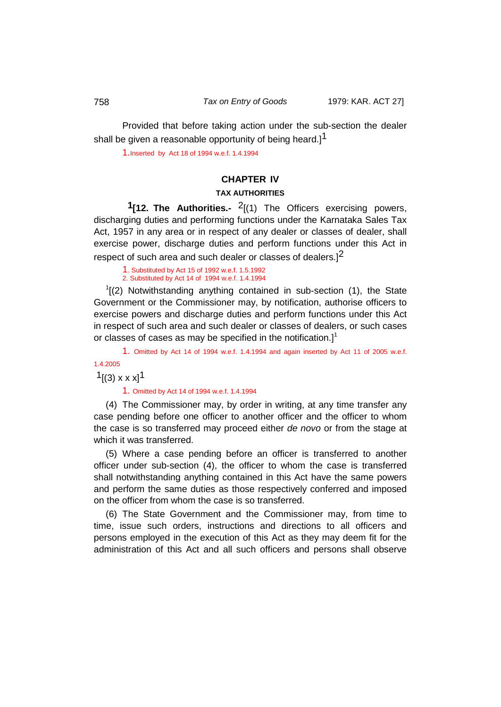Provided that before taking action under the sub-section the dealer shall be given a reasonable opportunity of being heard.]<sup>1</sup>

1.Inserted by Act 18 of 1994 w.e.f. 1.4.1994

# **CHAPTER IV**

# **TAX AUTHORITIES**

 **1[12. The Authorities.-** 2[(1) The Officers exercising powers, discharging duties and performing functions under the Karnataka Sales Tax Act, 1957 in any area or in respect of any dealer or classes of dealer, shall exercise power, discharge duties and perform functions under this Act in respect of such area and such dealer or classes of dealers.<sup>12</sup>

1. Substituted by Act 15 of 1992 w.e.f. 1.5.1992 2. Substituted by Act 14 of 1994 w.e.f. 1.4.1994

 $1$ <sup>1</sup> $(2)$  Notwithstanding anything contained in sub-section (1), the State Government or the Commissioner may, by notification, authorise officers to exercise powers and discharge duties and perform functions under this Act in respect of such area and such dealer or classes of dealers, or such cases or classes of cases as may be specified in the notification.<sup>1</sup>

1. Omitted by Act 14 of 1994 w.e.f. 1.4.1994 and again inserted by Act 11 of 2005 w.e.f. 1.4.2005  $1$ [(3) x x x] $1$ 

1. Omitted by Act 14 of 1994 w.e.f. 1.4.1994

(4) The Commissioner may, by order in writing, at any time transfer any case pending before one officer to another officer and the officer to whom the case is so transferred may proceed either *de novo* or from the stage at which it was transferred.

(5) Where a case pending before an officer is transferred to another officer under sub-section (4), the officer to whom the case is transferred shall notwithstanding anything contained in this Act have the same powers and perform the same duties as those respectively conferred and imposed on the officer from whom the case is so transferred.

(6) The State Government and the Commissioner may, from time to time, issue such orders, instructions and directions to all officers and persons employed in the execution of this Act as they may deem fit for the administration of this Act and all such officers and persons shall observe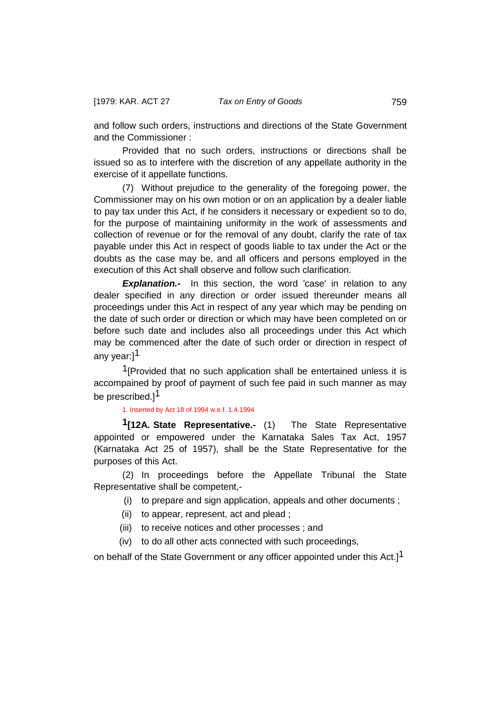and follow such orders, instructions and directions of the State Government and the Commissioner :

Provided that no such orders, instructions or directions shall be issued so as to interfere with the discretion of any appellate authority in the exercise of it appellate functions.

(7) Without prejudice to the generality of the foregoing power, the Commissioner may on his own motion or on an application by a dealer liable to pay tax under this Act, if he considers it necessary or expedient so to do, for the purpose of maintaining uniformity in the work of assessments and collection of revenue or for the removal of any doubt, clarify the rate of tax payable under this Act in respect of goods liable to tax under the Act or the doubts as the case may be, and all officers and persons employed in the execution of this Act shall observe and follow such clarification.

**Explanation.-** In this section, the word 'case' in relation to any dealer specified in any direction or order issued thereunder means all proceedings under this Act in respect of any year which may be pending on the date of such order or direction or which may have been completed on or before such date and includes also all proceedings under this Act which may be commenced after the date of such order or direction in respect of any year:<sup>1</sup>

<sup>1</sup>[Provided that no such application shall be entertained unless it is accompained by proof of payment of such fee paid in such manner as may be prescribed.<sup>1</sup>

## 1. Inserted by Act 18 of 1994 w.e.f. 1.4.1994

**1[12A. State Representative.-** (1) The State Representative appointed or empowered under the Karnataka Sales Tax Act, 1957 (Karnataka Act 25 of 1957), shall be the State Representative for the purposes of this Act.

(2) In proceedings before the Appellate Tribunal the State Representative shall be competent,-

- (i) to prepare and sign application, appeals and other documents ;
- (ii) to appear, represent, act and plead ;
- (iii) to receive notices and other processes ; and
- (iv) to do all other acts connected with such proceedings,

on behalf of the State Government or any officer appointed under this Act.]<sup>1</sup>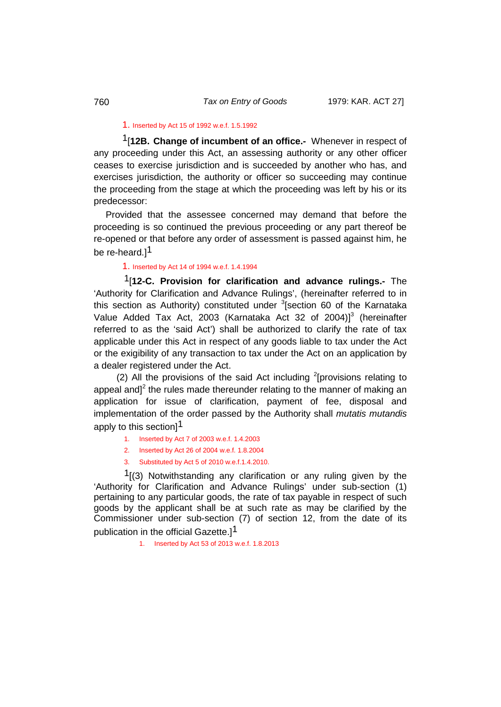# 1. Inserted by Act 15 of 1992 w.e.f. 1.5.1992

1[**12B. Change of incumbent of an office.-** Whenever in respect of any proceeding under this Act, an assessing authority or any other officer ceases to exercise jurisdiction and is succeeded by another who has, and exercises jurisdiction, the authority or officer so succeeding may continue the proceeding from the stage at which the proceeding was left by his or its predecessor:

Provided that the assessee concerned may demand that before the proceeding is so continued the previous proceeding or any part thereof be re-opened or that before any order of assessment is passed against him, he be re-heard.<sup>11</sup>

## 1. Inserted by Act 14 of 1994 w.e.f. 1.4.1994

1[**12-C. Provision for clarification and advance rulings.-** The 'Authority for Clarification and Advance Rulings', (hereinafter referred to in this section as Authority) constituted under <sup>3</sup>[section 60 of the Karnataka Value Added Tax Act, 2003 (Karnataka Act 32 of 2004)] <sup>3</sup> (hereinafter referred to as the 'said Act') shall be authorized to clarify the rate of tax applicable under this Act in respect of any goods liable to tax under the Act or the exigibility of any transaction to tax under the Act on an application by a dealer registered under the Act.

(2) All the provisions of the said Act including  $2$ [provisions relating to appeal and<sup> $2$ </sup> the rules made thereunder relating to the manner of making an application for issue of clarification, payment of fee, disposal and implementation of the order passed by the Authority shall *mutatis mutandis* apply to this section] $^{\text{1}}$ 

- 1. Inserted by Act 7 of 2003 w.e.f. 1.4.2003
- 2. Inserted by Act 26 of 2004 w.e.f. 1.8.2004
- 3. Substituted by Act 5 of 2010 w.e.f.1.4.2010.

 $1(3)$  Notwithstanding any clarification or any ruling given by the 'Authority for Clarification and Advance Rulings' under sub-section (1) pertaining to any particular goods, the rate of tax payable in respect of such goods by the applicant shall be at such rate as may be clarified by the Commissioner under sub-section (7) of section 12, from the date of its publication in the official Gazette.<sup>1</sup>

#### 1. Inserted by Act 53 of 2013 w.e.f. 1.8.2013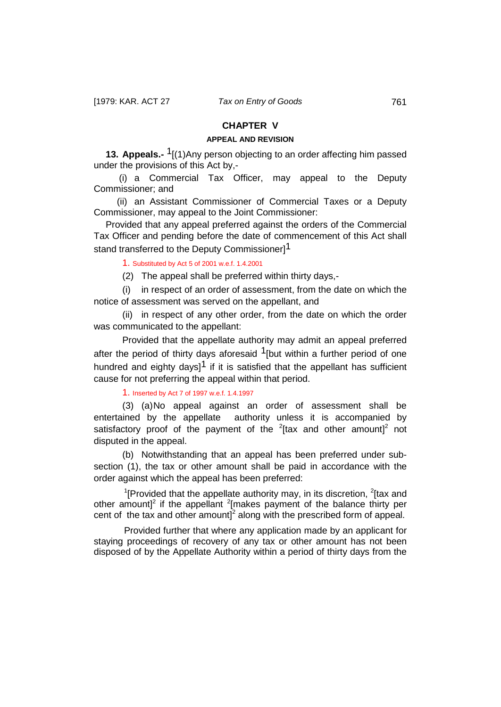# **CHAPTER V**

# **APPEAL AND REVISION**

**13. Appeals.-** 1[(1)Any person objecting to an order affecting him passed under the provisions of this Act by,-

(i) a Commercial Tax Officer, may appeal to the Deputy Commissioner; and

(ii) an Assistant Commissioner of Commercial Taxes or a Deputy Commissioner, may appeal to the Joint Commissioner:

Provided that any appeal preferred against the orders of the Commercial Tax Officer and pending before the date of commencement of this Act shall stand transferred to the Deputy Commissioner<sup>1</sup>

### 1. Substituted by Act 5 of 2001 w.e.f. 1.4.2001

(2) The appeal shall be preferred within thirty days,-

(i) in respect of an order of assessment, from the date on which the notice of assessment was served on the appellant, and

(ii) in respect of any other order, from the date on which the order was communicated to the appellant:

Provided that the appellate authority may admit an appeal preferred after the period of thirty days aforesaid  $1$ [but within a further period of one hundred and eighty days]<sup>1</sup> if it is satisfied that the appellant has sufficient cause for not preferring the appeal within that period.

1. Inserted by Act 7 of 1997 w.e.f. 1.4.1997

(3) (a)No appeal against an order of assessment shall be entertained by the appellate authority unless it is accompanied by satisfactory proof of the payment of the  $2$ [tax and other amount] $2$  not disputed in the appeal.

(b) Notwithstanding that an appeal has been preferred under subsection (1), the tax or other amount shall be paid in accordance with the order against which the appeal has been preferred:

<sup>1</sup>[Provided that the appellate authority may, in its discretion,  $2$ [tax and other amount]<sup>2</sup> if the appellant  $2$ [makes payment of the balance thirty per cent of the tax and other amount]<sup>2</sup> along with the prescribed form of appeal.

Provided further that where any application made by an applicant for staying proceedings of recovery of any tax or other amount has not been disposed of by the Appellate Authority within a period of thirty days from the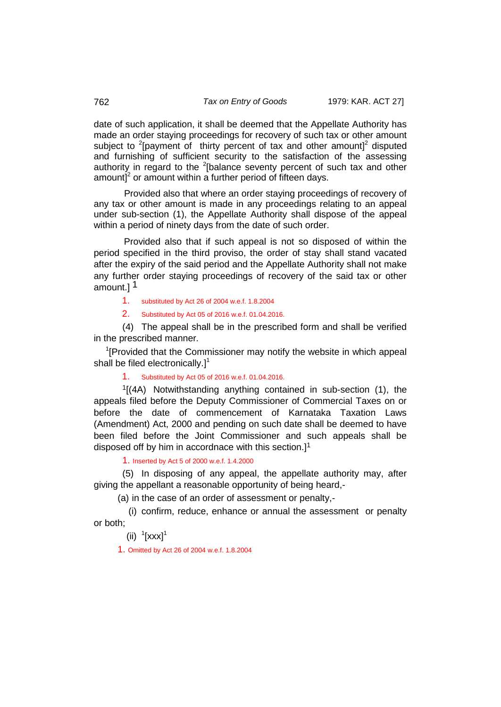date of such application, it shall be deemed that the Appellate Authority has made an order staying proceedings for recovery of such tax or other amount subject to <sup>2</sup>[payment of thirty percent of tax and other amount]<sup>2</sup> disputed and furnishing of sufficient security to the satisfaction of the assessing authority in regard to the  $2$ [balance seventy percent of such tax and other amount] $2$  or amount within a further period of fifteen days.

Provided also that where an order staying proceedings of recovery of any tax or other amount is made in any proceedings relating to an appeal under sub-section (1), the Appellate Authority shall dispose of the appeal within a period of ninety days from the date of such order.

Provided also that if such appeal is not so disposed of within the period specified in the third proviso, the order of stay shall stand vacated after the expiry of the said period and the Appellate Authority shall not make any further order staying proceedings of recovery of the said tax or other amount.] 1

- 1. substituted by Act 26 of 2004 w.e.f. 1.8.2004
- 2. Substituted by Act 05 of 2016 w.e.f. 01.04.2016.

(4) The appeal shall be in the prescribed form and shall be verified in the prescribed manner.

<sup>1</sup>[Provided that the Commissioner may notify the website in which appeal shall be filed electronically.]<sup>1</sup>

# 1. Substituted by Act 05 of 2016 w.e.f. 01.04.2016.

 $1/(4A)$  Notwithstanding anything contained in sub-section (1), the appeals filed before the Deputy Commissioner of Commercial Taxes on or before the date of commencement of Karnataka Taxation Laws (Amendment) Act, 2000 and pending on such date shall be deemed to have been filed before the Joint Commissioner and such appeals shall be disposed off by him in accordnace with this section.]<sup>1</sup>

1. Inserted by Act 5 of 2000 w.e.f. 1.4.2000

(5) In disposing of any appeal, the appellate authority may, after giving the appellant a reasonable opportunity of being heard,-

(a) in the case of an order of assessment or penalty,-

(i) confirm, reduce, enhance or annual the assessment or penalty or both;

 $(ii)$ <sup>1</sup>[xxx]<sup>1</sup>

1. Omitted by Act 26 of 2004 w.e.f. 1.8.2004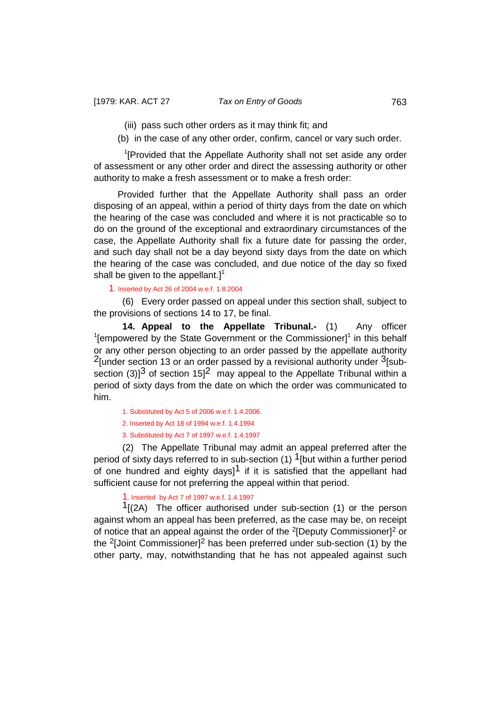- (iii) pass such other orders as it may think fit; and
- (b) in the case of any other order, confirm, cancel or vary such order.

<sup>1</sup>[Provided that the Appellate Authority shall not set aside any order of assessment or any other order and direct the assessing authority or other authority to make a fresh assessment or to make a fresh order:

Provided further that the Appellate Authority shall pass an order disposing of an appeal, within a period of thirty days from the date on which the hearing of the case was concluded and where it is not practicable so to do on the ground of the exceptional and extraordinary circumstances of the case, the Appellate Authority shall fix a future date for passing the order, and such day shall not be a day beyond sixty days from the date on which the hearing of the case was concluded, and due notice of the day so fixed shall be given to the appellant. $]$ <sup>1</sup>

1. Inserted by Act 26 of 2004 w.e.f. 1.8.2004

(6) Every order passed on appeal under this section shall, subject to the provisions of sections 14 to 17, be final.

**14. Appeal to the Appellate Tribunal.-** (1) Any officer  $1$ [empowered by the State Government or the Commissioner] $1$  in this behalf or any other person objecting to an order passed by the appellate authority  $2$ [under section 13 or an order passed by a revisional authority under  $3$ [subsection (3)<sup>3</sup> of section 15<sup>2</sup> may appeal to the Appellate Tribunal within a period of sixty days from the date on which the order was communicated to him.

1. Substituted by Act 5 of 2006 w.e.f. 1.4.2006.

2. Inserted by Act 18 of 1994 w.e.f. 1.4.1994

3. Substituted by Act 7 of 1997 w.e.f. 1.4.1997

(2) The Appellate Tribunal may admit an appeal preferred after the period of sixty days referred to in sub-section (1)  $1$ [but within a further period of one hundred and eighty days]<sup>1</sup> if it is satisfied that the appellant had sufficient cause for not preferring the appeal within that period.

## 1. Inserted by Act 7 of 1997 w.e.f. 1.4.1997

 $1/(2)$  The officer authorised under sub-section (1) or the person against whom an appeal has been preferred, as the case may be, on receipt of notice that an appeal against the order of the  $2$ [Deputy Commissioner] $2$  or the  $2$ [Joint Commissioner]<sup>2</sup> has been preferred under sub-section (1) by the other party, may, notwithstanding that he has not appealed against such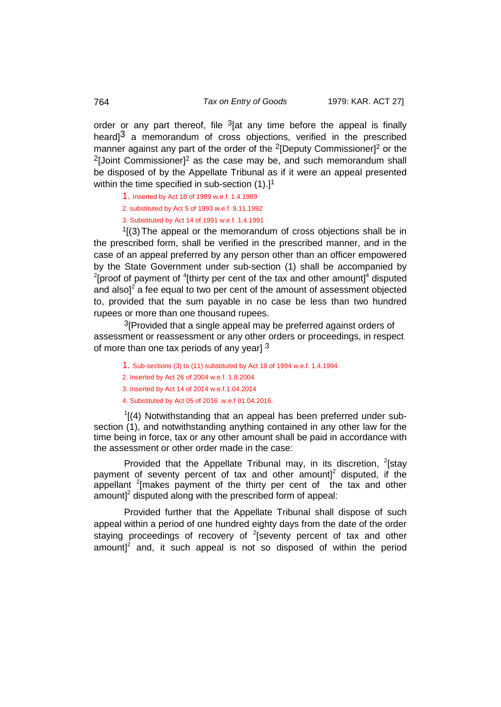order or any part thereof, file  $3$ [at any time before the appeal is finally heard $1^3$  a memorandum of cross objections, verified in the prescribed manner against any part of the order of the  $2$ [Deputy Commissioner]<sup>2</sup> or the  $2$ [Joint Commissioner]<sup>2</sup> as the case may be, and such memorandum shall be disposed of by the Appellate Tribunal as if it were an appeal presented within the time specified in sub-section  $(1)$ .<sup>1</sup>

1. Inserted by Act 18 of 1989 w.e.f. 1.4.1989

2. substituted by Act 5 of 1993 w.e.f. 9.11.1992

3. Substituted by Act 14 of 1991 w.e.f. 1.4.1991

 $<sup>1</sup>$ [(3) The appeal or the memorandum of cross objections shall be in</sup> the prescribed form, shall be verified in the prescribed manner, and in the case of an appeal preferred by any person other than an officer empowered by the State Government under sub-section (1) shall be accompanied by <sup>2</sup>[proof of payment of <sup>4</sup>[thirty per cent of the tax and other amount]<sup>4</sup> disputed and alsol<sup>2</sup> a fee equal to two per cent of the amount of assessment objected to, provided that the sum payable in no case be less than two hundred rupees or more than one thousand rupees.

 $3$ [Provided that a single appeal may be preferred against orders of assessment or reassessment or any other orders or proceedings, in respect of more than one tax periods of any year] 3

- 1. Sub-sections (3) to (11) substituted by Act 18 of 1994 w.e.f. 1.4.1994
- 2. Inserted by Act 26 of 2004 w.e.f. 1.8.2004
- 3. Inserted by Act 14 of 2014 w.e.f.1.04.2014
- 4. Substituted by Act 05 of 2016 .w.e.f 01.04.2016.

 $1$ [(4) Notwithstanding that an appeal has been preferred under subsection (1), and notwithstanding anything contained in any other law for the time being in force, tax or any other amount shall be paid in accordance with the assessment or other order made in the case:

Provided that the Appellate Tribunal may, in its discretion,  $2$ [stay payment of seventy percent of tax and other amount]<sup>2</sup> disputed, if the appellant  $2$ [makes payment of the thirty per cent of the tax and other amount] $2$  disputed along with the prescribed form of appeal:

Provided further that the Appellate Tribunal shall dispose of such appeal within a period of one hundred eighty days from the date of the order staying proceedings of recovery of <sup>2</sup>[seventy percent of tax and other amount] $^2$  and, it such appeal is not so disposed of within the period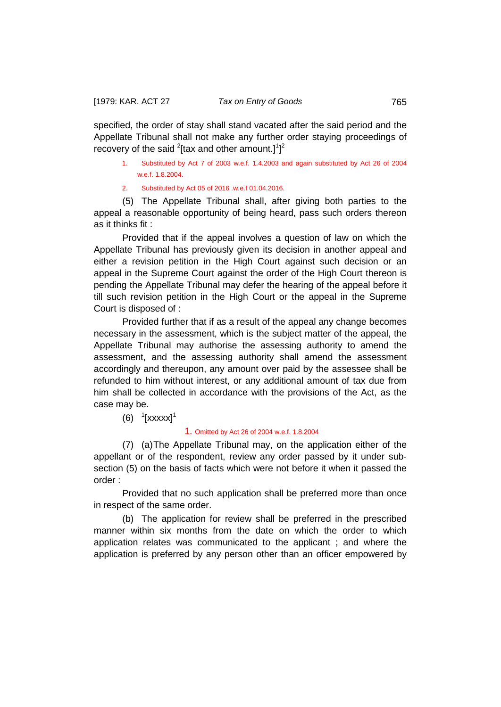specified, the order of stay shall stand vacated after the said period and the Appellate Tribunal shall not make any further order staying proceedings of recovery of the said  $2$ [tax and other amount.] $1]^2$ 

- 1. Substituted by Act 7 of 2003 w.e.f. 1.4.2003 and again substituted by Act 26 of 2004 w.e.f. 1.8.2004.
- 2. Substituted by Act 05 of 2016 .w.e.f 01.04.2016.

(5) The Appellate Tribunal shall, after giving both parties to the appeal a reasonable opportunity of being heard, pass such orders thereon as it thinks fit :

Provided that if the appeal involves a question of law on which the Appellate Tribunal has previously given its decision in another appeal and either a revision petition in the High Court against such decision or an appeal in the Supreme Court against the order of the High Court thereon is pending the Appellate Tribunal may defer the hearing of the appeal before it till such revision petition in the High Court or the appeal in the Supreme Court is disposed of :

Provided further that if as a result of the appeal any change becomes necessary in the assessment, which is the subject matter of the appeal, the Appellate Tribunal may authorise the assessing authority to amend the assessment, and the assessing authority shall amend the assessment accordingly and thereupon, any amount over paid by the assessee shall be refunded to him without interest, or any additional amount of tax due from him shall be collected in accordance with the provisions of the Act, as the case may be.

 $(6)$ <sup>1</sup>[xxxxx]<sup>1</sup>

### 1. Omitted by Act 26 of 2004 w.e.f. 1.8.2004

(7) (a)The Appellate Tribunal may, on the application either of the appellant or of the respondent, review any order passed by it under subsection (5) on the basis of facts which were not before it when it passed the order :

Provided that no such application shall be preferred more than once in respect of the same order.

(b) The application for review shall be preferred in the prescribed manner within six months from the date on which the order to which application relates was communicated to the applicant ; and where the application is preferred by any person other than an officer empowered by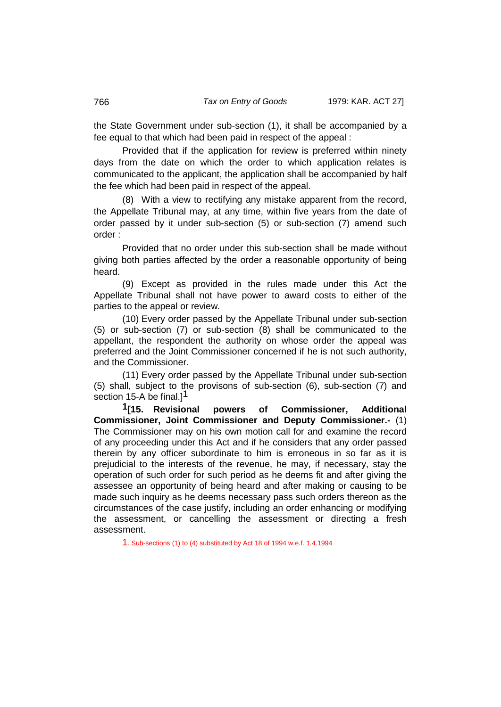the State Government under sub-section (1), it shall be accompanied by a fee equal to that which had been paid in respect of the appeal :

Provided that if the application for review is preferred within ninety days from the date on which the order to which application relates is communicated to the applicant, the application shall be accompanied by half the fee which had been paid in respect of the appeal.

(8) With a view to rectifying any mistake apparent from the record, the Appellate Tribunal may, at any time, within five years from the date of order passed by it under sub-section (5) or sub-section (7) amend such order :

Provided that no order under this sub-section shall be made without giving both parties affected by the order a reasonable opportunity of being heard.

(9) Except as provided in the rules made under this Act the Appellate Tribunal shall not have power to award costs to either of the parties to the appeal or review.

(10) Every order passed by the Appellate Tribunal under sub-section (5) or sub-section (7) or sub-section (8) shall be communicated to the appellant, the respondent the authority on whose order the appeal was preferred and the Joint Commissioner concerned if he is not such authority, and the Commissioner.

(11) Every order passed by the Appellate Tribunal under sub-section (5) shall, subject to the provisons of sub-section (6), sub-section (7) and section 15-A be final.] $<sup>1</sup>$ </sup>

**1[15. Revisional powers of Commissioner, Additional Commissioner, Joint Commissioner and Deputy Commissioner.-** (1) The Commissioner may on his own motion call for and examine the record of any proceeding under this Act and if he considers that any order passed therein by any officer subordinate to him is erroneous in so far as it is prejudicial to the interests of the revenue, he may, if necessary, stay the operation of such order for such period as he deems fit and after giving the assessee an opportunity of being heard and after making or causing to be made such inquiry as he deems necessary pass such orders thereon as the circumstances of the case justify, including an order enhancing or modifying the assessment, or cancelling the assessment or directing a fresh assessment.

1. Sub-sections (1) to (4) substituted by Act 18 of 1994 w.e.f. 1.4.1994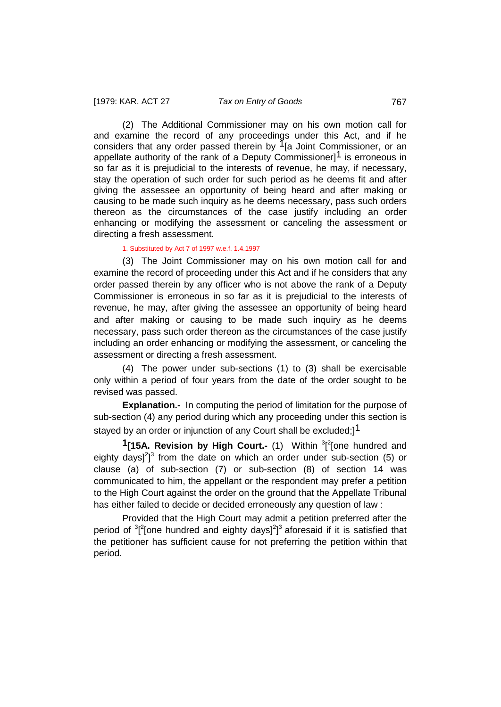(2) The Additional Commissioner may on his own motion call for and examine the record of any proceedings under this Act, and if he considers that any order passed therein by <sup>1</sup>[a Joint Commissioner, or an appellate authority of the rank of a Deputy Commissioner<sup>1</sup> is erroneous in so far as it is prejudicial to the interests of revenue, he may, if necessary, stay the operation of such order for such period as he deems fit and after giving the assessee an opportunity of being heard and after making or causing to be made such inquiry as he deems necessary, pass such orders thereon as the circumstances of the case justify including an order enhancing or modifying the assessment or canceling the assessment or directing a fresh assessment.

#### 1. Substituted by Act 7 of 1997 w.e.f. 1.4.1997

(3) The Joint Commissioner may on his own motion call for and examine the record of proceeding under this Act and if he considers that any order passed therein by any officer who is not above the rank of a Deputy Commissioner is erroneous in so far as it is prejudicial to the interests of revenue, he may, after giving the assessee an opportunity of being heard and after making or causing to be made such inquiry as he deems necessary, pass such order thereon as the circumstances of the case justify including an order enhancing or modifying the assessment, or canceling the assessment or directing a fresh assessment.

(4) The power under sub-sections (1) to (3) shall be exercisable only within a period of four years from the date of the order sought to be revised was passed.

**Explanation.-** In computing the period of limitation for the purpose of sub-section (4) any period during which any proceeding under this section is stayed by an order or injunction of any Court shall be excluded;<sup>1</sup>

**1**[15A. Revision by High Court.- (1) Within <sup>3</sup>[<sup>2</sup>[one hundred and eighty days] $^{2}$ ]<sup>3</sup> from the date on which an order under sub-section (5) or clause (a) of sub-section (7) or sub-section (8) of section 14 was communicated to him, the appellant or the respondent may prefer a petition to the High Court against the order on the ground that the Appellate Tribunal has either failed to decide or decided erroneously any question of law :

Provided that the High Court may admit a petition preferred after the period of  $3$ <sup>2</sup>[one hundred and eighty days]<sup>2</sup>]<sup>3</sup> aforesaid if it is satisfied that the petitioner has sufficient cause for not preferring the petition within that period.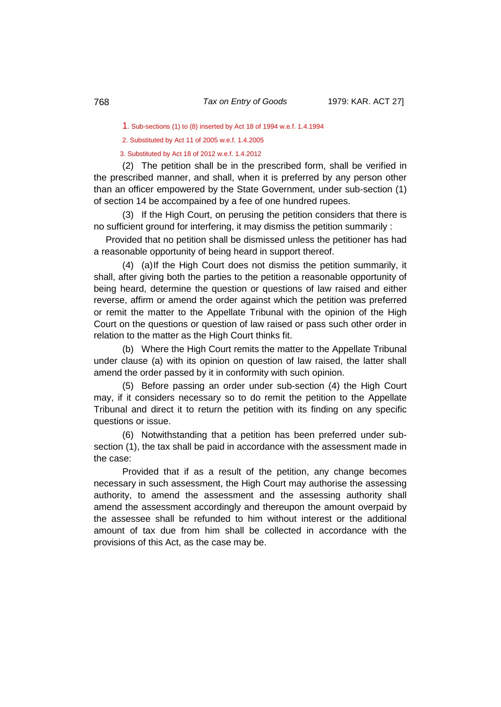1. Sub-sections (1) to (8) inserted by Act 18 of 1994 w.e.f. 1.4.1994

2. Substituted by Act 11 of 2005 w.e.f. 1.4.2005

3. Substituted by Act 18 of 2012 w.e.f. 1.4.2012

(2) The petition shall be in the prescribed form, shall be verified in the prescribed manner, and shall, when it is preferred by any person other than an officer empowered by the State Government, under sub-section (1) of section 14 be accompained by a fee of one hundred rupees.

(3) If the High Court, on perusing the petition considers that there is no sufficient ground for interfering, it may dismiss the petition summarily :

Provided that no petition shall be dismissed unless the petitioner has had a reasonable opportunity of being heard in support thereof.

(4) (a)If the High Court does not dismiss the petition summarily, it shall, after giving both the parties to the petition a reasonable opportunity of being heard, determine the question or questions of law raised and either reverse, affirm or amend the order against which the petition was preferred or remit the matter to the Appellate Tribunal with the opinion of the High Court on the questions or question of law raised or pass such other order in relation to the matter as the High Court thinks fit.

(b) Where the High Court remits the matter to the Appellate Tribunal under clause (a) with its opinion on question of law raised, the latter shall amend the order passed by it in conformity with such opinion.

(5) Before passing an order under sub-section (4) the High Court may, if it considers necessary so to do remit the petition to the Appellate Tribunal and direct it to return the petition with its finding on any specific questions or issue.

(6) Notwithstanding that a petition has been preferred under subsection (1), the tax shall be paid in accordance with the assessment made in the case:

Provided that if as a result of the petition, any change becomes necessary in such assessment, the High Court may authorise the assessing authority, to amend the assessment and the assessing authority shall amend the assessment accordingly and thereupon the amount overpaid by the assessee shall be refunded to him without interest or the additional amount of tax due from him shall be collected in accordance with the provisions of this Act, as the case may be.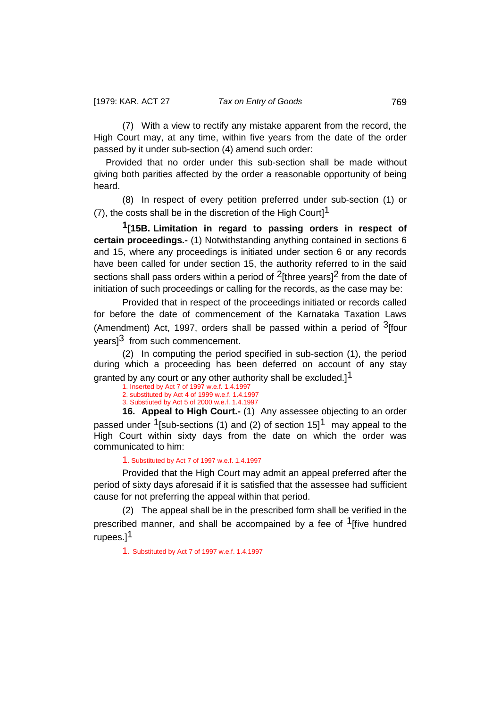(7) With a view to rectify any mistake apparent from the record, the High Court may, at any time, within five years from the date of the order passed by it under sub-section (4) amend such order:

Provided that no order under this sub-section shall be made without giving both parities affected by the order a reasonable opportunity of being heard.

(8) In respect of every petition preferred under sub-section (1) or (7), the costs shall be in the discretion of the High Court]<sup>1</sup>

**1[15B. Limitation in regard to passing orders in respect of certain proceedings.-** (1) Notwithstanding anything contained in sections 6 and 15, where any proceedings is initiated under section 6 or any records have been called for under section 15, the authority referred to in the said sections shall pass orders within a period of  $2$ [three years] $2$  from the date of initiation of such proceedings or calling for the records, as the case may be:

Provided that in respect of the proceedings initiated or records called for before the date of commencement of the Karnataka Taxation Laws (Amendment) Act, 1997, orders shall be passed within a period of  $3$ [four years<sup>3</sup> from such commencement.

(2) In computing the period specified in sub-section (1), the period during which a proceeding has been deferred on account of any stay granted by any court or any other authority shall be excluded.]<sup>1</sup>

1. Inserted by Act 7 of 1997 w.e.f. 1.4.1997 2. substituted by Act 4 of 1999 w.e.f. 1.4.1997 3. Substiuted by Act 5 of 2000 w.e.f. 1.4.1997

**16. Appeal to High Court.-** (1) Any assessee objecting to an order passed under <sup>1</sup>[sub-sections (1) and (2) of section 15]<sup>1</sup> may appeal to the High Court within sixty days from the date on which the order was communicated to him:

### 1. Substituted by Act 7 of 1997 w.e.f. 1.4.1997

Provided that the High Court may admit an appeal preferred after the period of sixty days aforesaid if it is satisfied that the assessee had sufficient cause for not preferring the appeal within that period.

(2) The appeal shall be in the prescribed form shall be verified in the prescribed manner, and shall be accompained by a fee of  $1$ [five hundred rupees.<sup>1</sup>

1. Substituted by Act 7 of 1997 w.e.f. 1.4.1997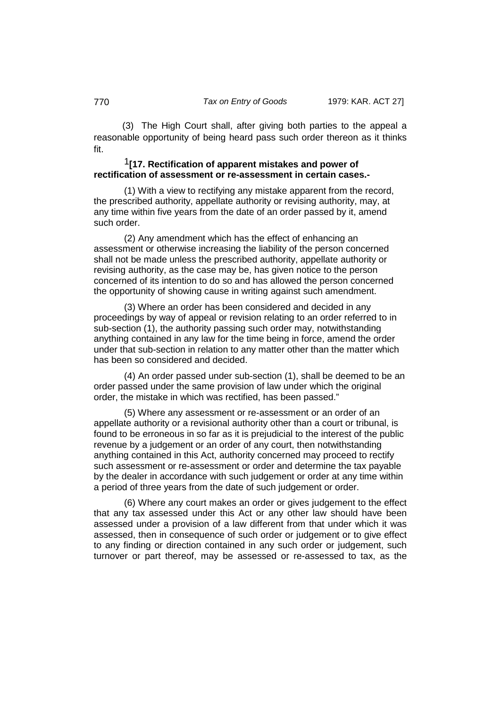(3) The High Court shall, after giving both parties to the appeal a reasonable opportunity of being heard pass such order thereon as it thinks fit.

# 1**[17. Rectification of apparent mistakes and power of rectification of assessment or re-assessment in certain cases.-**

(1) With a view to rectifying any mistake apparent from the record, the prescribed authority, appellate authority or revising authority, may, at any time within five years from the date of an order passed by it, amend such order.

(2) Any amendment which has the effect of enhancing an assessment or otherwise increasing the liability of the person concerned shall not be made unless the prescribed authority, appellate authority or revising authority, as the case may be, has given notice to the person concerned of its intention to do so and has allowed the person concerned the opportunity of showing cause in writing against such amendment.

(3) Where an order has been considered and decided in any proceedings by way of appeal or revision relating to an order referred to in sub-section (1), the authority passing such order may, notwithstanding anything contained in any law for the time being in force, amend the order under that sub-section in relation to any matter other than the matter which has been so considered and decided.

(4) An order passed under sub-section (1), shall be deemed to be an order passed under the same provision of law under which the original order, the mistake in which was rectified, has been passed."

(5) Where any assessment or re-assessment or an order of an appellate authority or a revisional authority other than a court or tribunal, is found to be erroneous in so far as it is prejudicial to the interest of the public revenue by a judgement or an order of any court, then notwithstanding anything contained in this Act, authority concerned may proceed to rectify such assessment or re-assessment or order and determine the tax payable by the dealer in accordance with such judgement or order at any time within a period of three years from the date of such judgement or order.

(6) Where any court makes an order or gives judgement to the effect that any tax assessed under this Act or any other law should have been assessed under a provision of a law different from that under which it was assessed, then in consequence of such order or judgement or to give effect to any finding or direction contained in any such order or judgement, such turnover or part thereof, may be assessed or re-assessed to tax, as the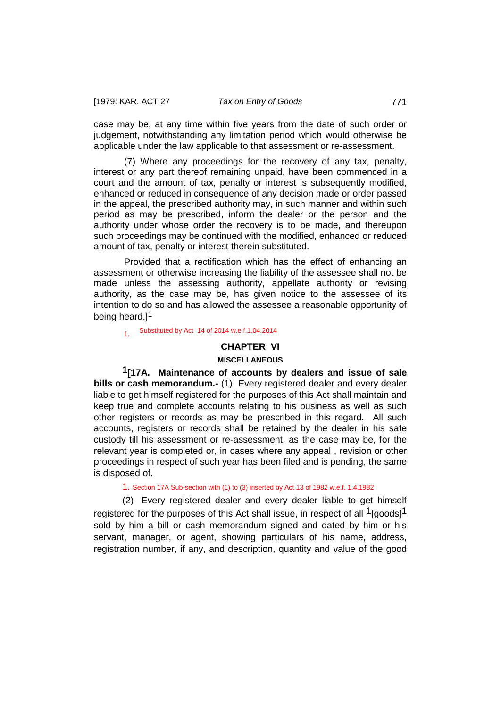case may be, at any time within five years from the date of such order or judgement, notwithstanding any limitation period which would otherwise be applicable under the law applicable to that assessment or re-assessment.

(7) Where any proceedings for the recovery of any tax, penalty, interest or any part thereof remaining unpaid, have been commenced in a court and the amount of tax, penalty or interest is subsequently modified, enhanced or reduced in consequence of any decision made or order passed in the appeal, the prescribed authority may, in such manner and within such period as may be prescribed, inform the dealer or the person and the authority under whose order the recovery is to be made, and thereupon such proceedings may be continued with the modified, enhanced or reduced amount of tax, penalty or interest therein substituted.

Provided that a rectification which has the effect of enhancing an assessment or otherwise increasing the liability of the assessee shall not be made unless the assessing authority, appellate authority or revising authority, as the case may be, has given notice to the assessee of its intention to do so and has allowed the assessee a reasonable opportunity of being heard.]<sup>1</sup>

# 1. Substituted by Act 14 of 2014 w.e.f.1.04.2014

## **CHAPTER VI**

# **MISCELLANEOUS**

**1[17A. Maintenance of accounts by dealers and issue of sale bills or cash memorandum.-** (1) Every registered dealer and every dealer liable to get himself registered for the purposes of this Act shall maintain and keep true and complete accounts relating to his business as well as such other registers or records as may be prescribed in this regard. All such accounts, registers or records shall be retained by the dealer in his safe custody till his assessment or re-assessment, as the case may be, for the relevant year is completed or, in cases where any appeal , revision or other proceedings in respect of such year has been filed and is pending, the same is disposed of.

# 1. Section 17A Sub-section with (1) to (3) inserted by Act 13 of 1982 w.e.f. 1.4.1982

(2) Every registered dealer and every dealer liable to get himself registered for the purposes of this Act shall issue, in respect of all  $1$ [goods] $1$ sold by him a bill or cash memorandum signed and dated by him or his servant, manager, or agent, showing particulars of his name, address, registration number, if any, and description, quantity and value of the good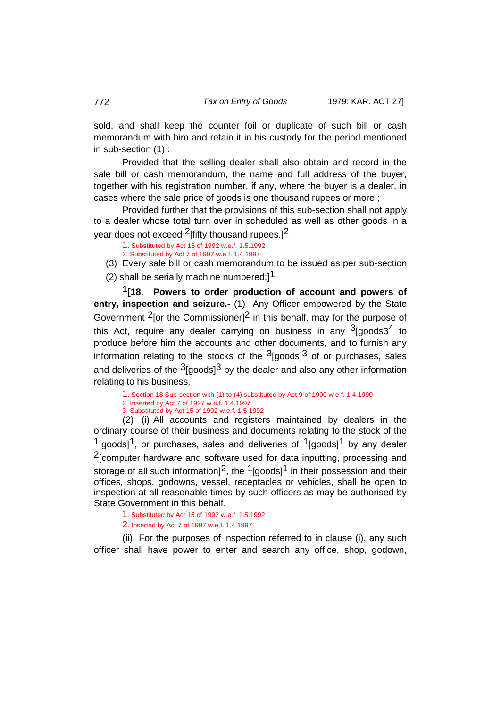sold, and shall keep the counter foil or duplicate of such bill or cash memorandum with him and retain it in his custody for the period mentioned in sub-section (1) :

Provided that the selling dealer shall also obtain and record in the sale bill or cash memorandum, the name and full address of the buyer, together with his registration number, if any, where the buyer is a dealer, in cases where the sale price of goods is one thousand rupees or more ;

Provided further that the provisions of this sub-section shall not apply to a dealer whose total turn over in scheduled as well as other goods in a year does not exceed <sup>2</sup>[fifty thousand rupees.]<sup>2</sup>

1. Substituted by Act 15 of 1992 w.e.f. 1.5.1992

2. Substituted by Act 7 of 1997 w.e.f. 1.4.1997

(3) Every sale bill or cash memorandum to be issued as per sub-section (2) shall be serially machine numbered; $]^{1}$ 

 **1[18. Powers to order production of account and powers of entry, inspection and seizure.-** (1) Any Officer empowered by the State Government  $2$  for the Commissioner<sup> $2$ </sup> in this behalf, may for the purpose of this Act, require any dealer carrying on business in any  $3$ [goods $3<sup>4</sup>$  to produce before him the accounts and other documents, and to furnish any information relating to the stocks of the  $3$ [goods] $3$  of or purchases, sales and deliveries of the  $3$ [goods] $3$  by the dealer and also any other information relating to his business.

1. Section 18 Sub-section with (1) to (4) substituted by Act 9 of 1990 w.e.f. 1.4.1990

2. Inserted by Act 7 of 1997 w.e.f. 1.4.1997 3. Substituted by Act 15 of 1992 w.e.f. 1.5.1992

(2) (i) All accounts and registers maintained by dealers in the ordinary course of their business and documents relating to the stock of the  $1$ [goods]<sup>1</sup>, or purchases, sales and deliveries of  $1$ [goods]<sup>1</sup> by any dealer 2[computer hardware and software used for data inputting, processing and storage of all such information]<sup>2</sup>, the <sup>1</sup>[goods]<sup>1</sup> in their possession and their offices, shops, godowns, vessel, receptacles or vehicles, shall be open to inspection at all reasonable times by such officers as may be authorised by State Government in this behalf.

1. Substituted by Act 15 of 1992 w.e.f. 1.5.1992 2. Inserted by Act 7 of 1997 w.e.f. 1.4.1997

(ii) For the purposes of inspection referred to in clause (i), any such officer shall have power to enter and search any office, shop, godown,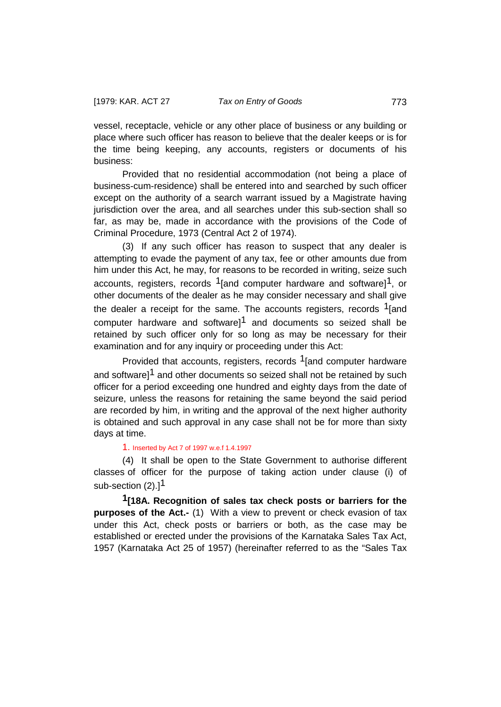vessel, receptacle, vehicle or any other place of business or any building or place where such officer has reason to believe that the dealer keeps or is for the time being keeping, any accounts, registers or documents of his business:

Provided that no residential accommodation (not being a place of business-cum-residence) shall be entered into and searched by such officer except on the authority of a search warrant issued by a Magistrate having jurisdiction over the area, and all searches under this sub-section shall so far, as may be, made in accordance with the provisions of the Code of Criminal Procedure, 1973 (Central Act 2 of 1974).

(3) If any such officer has reason to suspect that any dealer is attempting to evade the payment of any tax, fee or other amounts due from him under this Act, he may, for reasons to be recorded in writing, seize such accounts, registers, records  $1$ [and computer hardware and software] $1$ , or other documents of the dealer as he may consider necessary and shall give the dealer a receipt for the same. The accounts registers, records <sup>1</sup>[and computer hardware and software $1^1$  and documents so seized shall be retained by such officer only for so long as may be necessary for their examination and for any inquiry or proceeding under this Act:

Provided that accounts, registers, records <sup>1</sup>[and computer hardware and software]<sup>1</sup> and other documents so seized shall not be retained by such officer for a period exceeding one hundred and eighty days from the date of seizure, unless the reasons for retaining the same beyond the said period are recorded by him, in writing and the approval of the next higher authority is obtained and such approval in any case shall not be for more than sixty days at time.

#### 1. Inserted by Act 7 of 1997 w.e.f 1.4.1997

(4) It shall be open to the State Government to authorise different classes of officer for the purpose of taking action under clause (i) of sub-section  $(2)$ .]<sup>1</sup>

**1[18A. Recognition of sales tax check posts or barriers for the purposes of the Act.-** (1) With a view to prevent or check evasion of tax under this Act, check posts or barriers or both, as the case may be established or erected under the provisions of the Karnataka Sales Tax Act, 1957 (Karnataka Act 25 of 1957) (hereinafter referred to as the "Sales Tax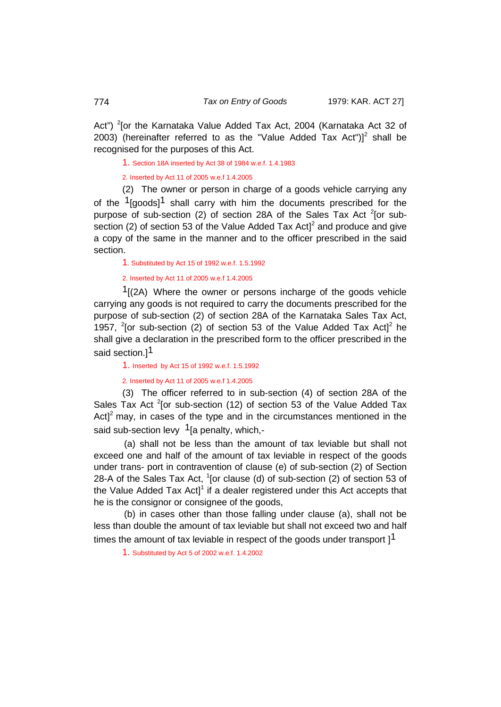Act") <sup>2</sup>[or the Karnataka Value Added Tax Act, 2004 (Karnataka Act 32 of 2003) (hereinafter referred to as the "Value Added Tax Act") $1^2$  shall be recognised for the purposes of this Act.

1. Section 18A inserted by Act 38 of 1984 w.e.f. 1.4.1983

2. Inserted by Act 11 of 2005 w.e.f 1.4.2005

(2) The owner or person in charge of a goods vehicle carrying any of the  $1$ [goods] $1$  shall carry with him the documents prescribed for the purpose of sub-section (2) of section 28A of the Sales Tax Act <sup>2</sup>[or subsection (2) of section 53 of the Value Added Tax  $Act|^2$  and produce and give a copy of the same in the manner and to the officer prescribed in the said section.

1. Substituted by Act 15 of 1992 w.e.f. 1.5.1992

2. Inserted by Act 11 of 2005 w.e.f 1.4.2005

 $1$ [(2A) Where the owner or persons incharge of the goods vehicle carrying any goods is not required to carry the documents prescribed for the purpose of sub-section (2) of section 28A of the Karnataka Sales Tax Act, 1957,  $^{2}$ [or sub-section (2) of section 53 of the Value Added Tax Act]<sup>2</sup> he shall give a declaration in the prescribed form to the officer prescribed in the said section.<sup>1</sup>

1. Inserted by Act 15 of 1992 w.e.f. 1.5.1992

2. Inserted by Act 11 of 2005 w.e.f 1.4.2005

(3) The officer referred to in sub-section (4) of section 28A of the Sales Tax Act  $2$ [or sub-section (12) of section 53 of the Value Added Tax Act]<sup>2</sup> may, in cases of the type and in the circumstances mentioned in the said sub-section levy  $1$ [a penalty, which,-

(a) shall not be less than the amount of tax leviable but shall not exceed one and half of the amount of tax leviable in respect of the goods under trans- port in contravention of clause (e) of sub-section (2) of Section 28-A of the Sales Tax Act,  $1$ [or clause (d) of sub-section (2) of section 53 of the Value Added Tax Act]<sup>1</sup> if a dealer registered under this Act accepts that he is the consignor or consignee of the goods,

(b) in cases other than those falling under clause (a), shall not be less than double the amount of tax leviable but shall not exceed two and half times the amount of tax leviable in respect of the goods under transport  $1<sup>1</sup>$ 

1. Substituted by Act 5 of 2002 w.e.f. 1.4.2002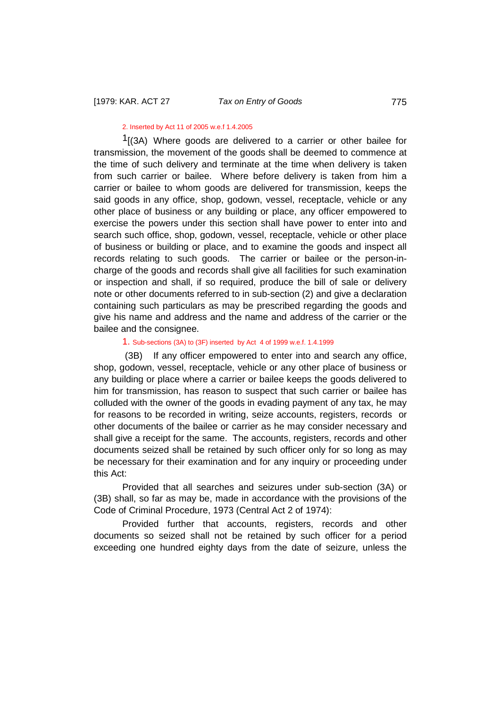## 2. Inserted by Act 11 of 2005 w.e.f 1.4.2005

 $1(3)$  Where goods are delivered to a carrier or other bailee for transmission, the movement of the goods shall be deemed to commence at the time of such delivery and terminate at the time when delivery is taken from such carrier or bailee. Where before delivery is taken from him a carrier or bailee to whom goods are delivered for transmission, keeps the said goods in any office, shop, godown, vessel, receptacle, vehicle or any other place of business or any building or place, any officer empowered to exercise the powers under this section shall have power to enter into and search such office, shop, godown, vessel, receptacle, vehicle or other place of business or building or place, and to examine the goods and inspect all records relating to such goods. The carrier or bailee or the person-incharge of the goods and records shall give all facilities for such examination or inspection and shall, if so required, produce the bill of sale or delivery note or other documents referred to in sub-section (2) and give a declaration containing such particulars as may be prescribed regarding the goods and give his name and address and the name and address of the carrier or the bailee and the consignee.

#### 1. Sub-sections (3A) to (3F) inserted by Act 4 of 1999 w.e.f. 1.4.1999

(3B) If any officer empowered to enter into and search any office, shop, godown, vessel, receptacle, vehicle or any other place of business or any building or place where a carrier or bailee keeps the goods delivered to him for transmission, has reason to suspect that such carrier or bailee has colluded with the owner of the goods in evading payment of any tax, he may for reasons to be recorded in writing, seize accounts, registers, records or other documents of the bailee or carrier as he may consider necessary and shall give a receipt for the same. The accounts, registers, records and other documents seized shall be retained by such officer only for so long as may be necessary for their examination and for any inquiry or proceeding under this Act:

Provided that all searches and seizures under sub-section (3A) or (3B) shall, so far as may be, made in accordance with the provisions of the Code of Criminal Procedure, 1973 (Central Act 2 of 1974):

Provided further that accounts, registers, records and other documents so seized shall not be retained by such officer for a period exceeding one hundred eighty days from the date of seizure, unless the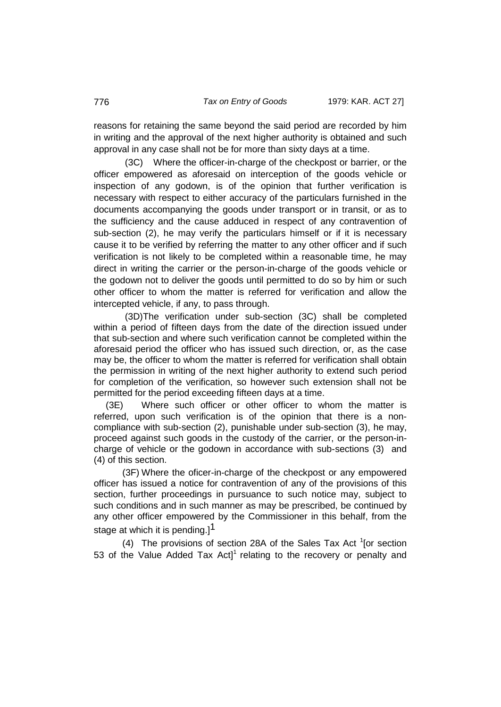reasons for retaining the same beyond the said period are recorded by him in writing and the approval of the next higher authority is obtained and such approval in any case shall not be for more than sixty days at a time.

(3C) Where the officer-in-charge of the checkpost or barrier, or the officer empowered as aforesaid on interception of the goods vehicle or inspection of any godown, is of the opinion that further verification is necessary with respect to either accuracy of the particulars furnished in the documents accompanying the goods under transport or in transit, or as to the sufficiency and the cause adduced in respect of any contravention of sub-section (2), he may verify the particulars himself or if it is necessary cause it to be verified by referring the matter to any other officer and if such verification is not likely to be completed within a reasonable time, he may direct in writing the carrier or the person-in-charge of the goods vehicle or the godown not to deliver the goods until permitted to do so by him or such other officer to whom the matter is referred for verification and allow the intercepted vehicle, if any, to pass through.

(3D)The verification under sub-section (3C) shall be completed within a period of fifteen days from the date of the direction issued under that sub-section and where such verification cannot be completed within the aforesaid period the officer who has issued such direction, or, as the case may be, the officer to whom the matter is referred for verification shall obtain the permission in writing of the next higher authority to extend such period for completion of the verification, so however such extension shall not be permitted for the period exceeding fifteen days at a time.

 (3E) Where such officer or other officer to whom the matter is referred, upon such verification is of the opinion that there is a noncompliance with sub-section (2), punishable under sub-section (3), he may, proceed against such goods in the custody of the carrier, or the person-incharge of vehicle or the godown in accordance with sub-sections (3) and (4) of this section.

 (3F) Where the oficer-in-charge of the checkpost or any empowered officer has issued a notice for contravention of any of the provisions of this section, further proceedings in pursuance to such notice may, subject to such conditions and in such manner as may be prescribed, be continued by any other officer empowered by the Commissioner in this behalf, from the stage at which it is pending.] $<sup>1</sup>$ </sup>

(4) The provisions of section 28A of the Sales Tax Act  $1$ [or section 53 of the Value Added Tax Act]<sup>1</sup> relating to the recovery or penalty and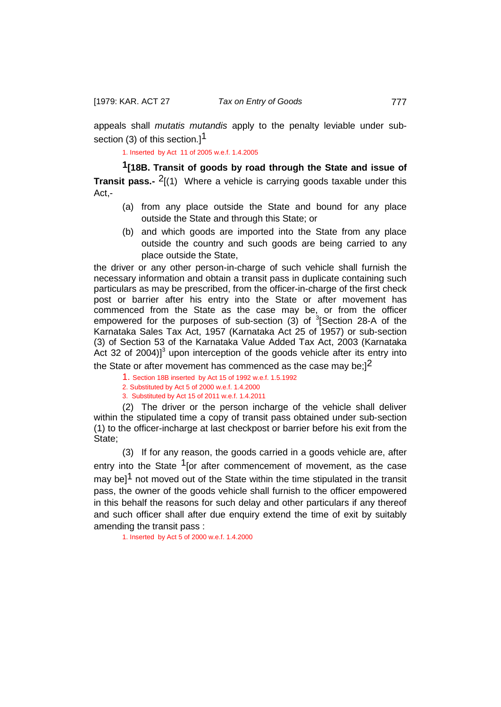appeals shall *mutatis mutandis* apply to the penalty leviable under subsection (3) of this section.1<sup>1</sup>

1. Inserted by Act 11 of 2005 w.e.f. 1.4.2005

**1[18B. Transit of goods by road through the State and issue of Transit pass.-** <sup>2</sup>[(1) Where a vehicle is carrying goods taxable under this Act,-

- (a) from any place outside the State and bound for any place outside the State and through this State; or
- (b) and which goods are imported into the State from any place outside the country and such goods are being carried to any place outside the State,

the driver or any other person-in-charge of such vehicle shall furnish the necessary information and obtain a transit pass in duplicate containing such particulars as may be prescribed, from the officer-in-charge of the first check post or barrier after his entry into the State or after movement has commenced from the State as the case may be, or from the officer empowered for the purposes of sub-section  $(3)$  of  ${}^{3}$ [Section 28-A of the Karnataka Sales Tax Act, 1957 (Karnataka Act 25 of 1957) or sub-section (3) of Section 53 of the Karnataka Value Added Tax Act, 2003 (Karnataka Act 32 of 2004) $]$ <sup>3</sup> upon interception of the goods vehicle after its entry into

the State or after movement has commenced as the case may be; $]^{2}$ 

1. Section 18B inserted by Act 15 of 1992 w.e.f. 1.5.1992

2. Substituted by Act 5 of 2000 w.e.f. 1.4.2000

3. Substituted by Act 15 of 2011 w.e.f. 1.4.2011

(2) The driver or the person incharge of the vehicle shall deliver within the stipulated time a copy of transit pass obtained under sub-section (1) to the officer-incharge at last checkpost or barrier before his exit from the State:

(3) If for any reason, the goods carried in a goods vehicle are, after entry into the State  $1$  [or after commencement of movement, as the case may be]<sup>1</sup> not moved out of the State within the time stipulated in the transit pass, the owner of the goods vehicle shall furnish to the officer empowered in this behalf the reasons for such delay and other particulars if any thereof and such officer shall after due enquiry extend the time of exit by suitably amending the transit pass :

1. Inserted by Act 5 of 2000 w.e.f. 1.4.2000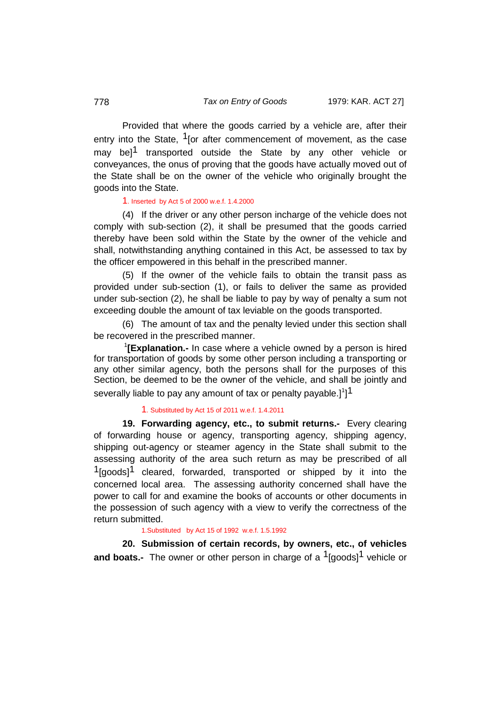Provided that where the goods carried by a vehicle are, after their entry into the State,  $1$  [or after commencement of movement, as the case may bel<sup>1</sup> transported outside the State by any other vehicle or conveyances, the onus of proving that the goods have actually moved out of the State shall be on the owner of the vehicle who originally brought the goods into the State.

# 1. Inserted by Act 5 of 2000 w.e.f. 1.4.2000

(4) If the driver or any other person incharge of the vehicle does not comply with sub-section (2), it shall be presumed that the goods carried thereby have been sold within the State by the owner of the vehicle and shall, notwithstanding anything contained in this Act, be assessed to tax by the officer empowered in this behalf in the prescribed manner.

(5) If the owner of the vehicle fails to obtain the transit pass as provided under sub-section (1), or fails to deliver the same as provided under sub-section (2), he shall be liable to pay by way of penalty a sum not exceeding double the amount of tax leviable on the goods transported.

(6) The amount of tax and the penalty levied under this section shall be recovered in the prescribed manner.

<sup>1</sup>[Explanation.- In case where a vehicle owned by a person is hired for transportation of goods by some other person including a transporting or any other similar agency, both the persons shall for the purposes of this Section, be deemed to be the owner of the vehicle, and shall be jointly and severally liable to pay any amount of tax or penalty payable.] $1]$ 

# 1. Substituted by Act 15 of 2011 w.e.f. 1.4.2011

**19. Forwarding agency, etc., to submit returns.-** Every clearing of forwarding house or agency, transporting agency, shipping agency, shipping out-agency or steamer agency in the State shall submit to the assessing authority of the area such return as may be prescribed of all  $1$ [goods]<sup>1</sup> cleared, forwarded, transported or shipped by it into the concerned local area. The assessing authority concerned shall have the power to call for and examine the books of accounts or other documents in the possession of such agency with a view to verify the correctness of the return submitted.

## 1.Substituted by Act 15 of 1992 w.e.f. 1.5.1992

**20. Submission of certain records, by owners, etc., of vehicles and boats.-** The owner or other person in charge of a <sup>1</sup>[goods]<sup>1</sup> vehicle or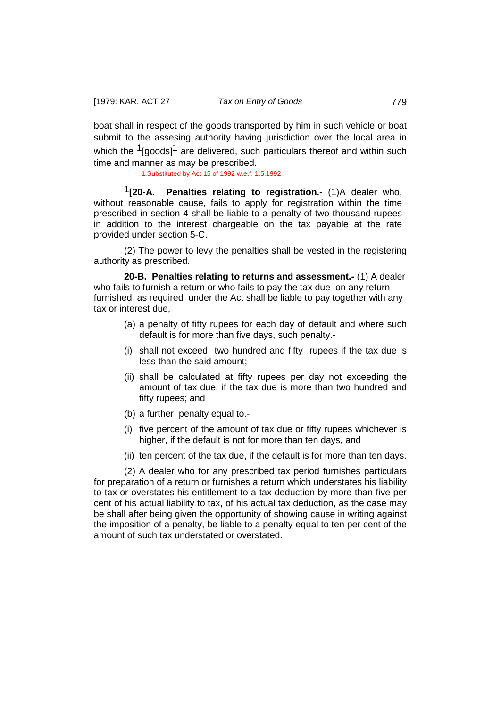boat shall in respect of the goods transported by him in such vehicle or boat submit to the assesing authority having jurisdiction over the local area in which the  $1$ [goods]<sup>1</sup> are delivered, such particulars thereof and within such time and manner as may be prescribed.

1.Substituted by Act 15 of 1992 w.e.f. 1.5.1992

1**[20-A. Penalties relating to registration.-** (1)A dealer who, without reasonable cause, fails to apply for registration within the time prescribed in section 4 shall be liable to a penalty of two thousand rupees in addition to the interest chargeable on the tax payable at the rate provided under section 5-C.

(2) The power to levy the penalties shall be vested in the registering authority as prescribed.

**20-B. Penalties relating to returns and assessment.-** (1) A dealer who fails to furnish a return or who fails to pay the tax due on any return furnished as required under the Act shall be liable to pay together with any tax or interest due,

- (a) a penalty of fifty rupees for each day of default and where such default is for more than five days, such penalty.-
- (i) shall not exceed two hundred and fifty rupees if the tax due is less than the said amount;
- (ii) shall be calculated at fifty rupees per day not exceeding the amount of tax due, if the tax due is more than two hundred and fifty rupees; and
- (b) a further penalty equal to.-
- (i) five percent of the amount of tax due or fifty rupees whichever is higher, if the default is not for more than ten days, and
- (ii) ten percent of the tax due, if the default is for more than ten days.

(2) A dealer who for any prescribed tax period furnishes particulars for preparation of a return or furnishes a return which understates his liability to tax or overstates his entitlement to a tax deduction by more than five per cent of his actual liability to tax, of his actual tax deduction, as the case may be shall after being given the opportunity of showing cause in writing against the imposition of a penalty, be liable to a penalty equal to ten per cent of the amount of such tax understated or overstated.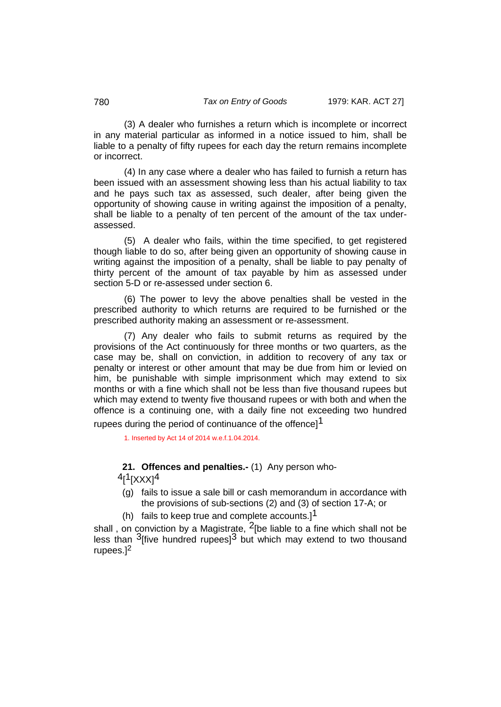(3) A dealer who furnishes a return which is incomplete or incorrect in any material particular as informed in a notice issued to him, shall be liable to a penalty of fifty rupees for each day the return remains incomplete or incorrect.

(4) In any case where a dealer who has failed to furnish a return has been issued with an assessment showing less than his actual liability to tax and he pays such tax as assessed, such dealer, after being given the opportunity of showing cause in writing against the imposition of a penalty, shall be liable to a penalty of ten percent of the amount of the tax underassessed.

(5) A dealer who fails, within the time specified, to get registered though liable to do so, after being given an opportunity of showing cause in writing against the imposition of a penalty, shall be liable to pay penalty of thirty percent of the amount of tax payable by him as assessed under section 5-D or re-assessed under section 6.

(6) The power to levy the above penalties shall be vested in the prescribed authority to which returns are required to be furnished or the prescribed authority making an assessment or re-assessment.

(7) Any dealer who fails to submit returns as required by the provisions of the Act continuously for three months or two quarters, as the case may be, shall on conviction, in addition to recovery of any tax or penalty or interest or other amount that may be due from him or levied on him, be punishable with simple imprisonment which may extend to six months or with a fine which shall not be less than five thousand rupees but which may extend to twenty five thousand rupees or with both and when the offence is a continuing one, with a daily fine not exceeding two hundred rupees during the period of continuance of the offence<sup>[1]</sup>

1. Inserted by Act 14 of 2014 w.e.f.1.04.2014.

## **21. Offences and penalties.-** (1) Any person who-

 $^{4}$ [ $^{1}$ [XXX] $^{4}$ 

- (g) fails to issue a sale bill or cash memorandum in accordance with the provisions of sub-sections (2) and (3) of section 17-A; or
- (h) fails to keep true and complete accounts.]<sup>1</sup>

shall, on conviction by a Magistrate,  $2$ [be liable to a fine which shall not be less than  $3$  five hundred rupees<sup>3</sup> but which may extend to two thousand rupees.]<sup>2</sup>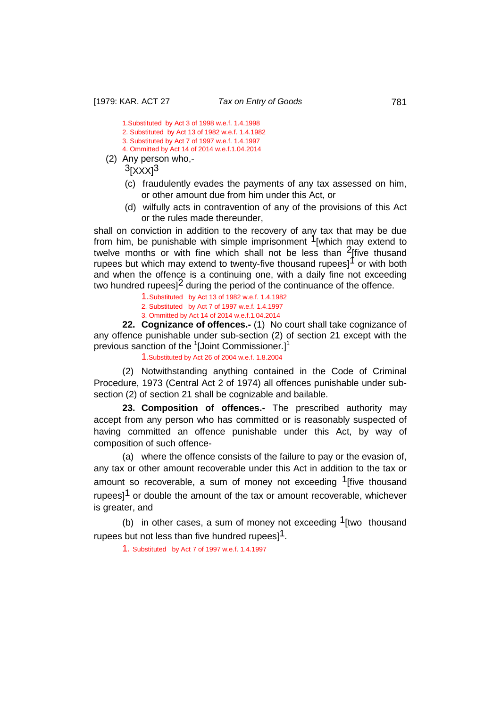1.Substituted by Act 3 of 1998 w.e.f. 1.4.1998 2. Substituted by Act 13 of 1982 w.e.f. 1.4.1982 3. Substituted by Act 7 of 1997 w.e.f. 1.4.1997

4. Ommitted by Act 14 of 2014 w.e.f.1.04.2014

(2) Any person who,-

 $3$ [XXX] $3$ 

- (c) fraudulently evades the payments of any tax assessed on him, or other amount due from him under this Act, or
- (d) wilfully acts in contravention of any of the provisions of this Act or the rules made thereunder,

shall on conviction in addition to the recovery of any tax that may be due from him, be punishable with simple imprisonment  $1$ [which may extend to twelve months or with fine which shall not be less than  $2$ [five thusand rupees but which may extend to twenty-five thousand rupees] $\int$  or with both and when the offence is a continuing one, with a daily fine not exceeding two hundred rupees]<sup>2</sup> during the period of the continuance of the offence.

1.Substituted by Act 13 of 1982 w.e.f. 1.4.1982

- 2. Substituted by Act 7 of 1997 w.e.f. 1.4.1997
- 3. Ommitted by Act 14 of 2014 w.e.f.1.04.2014

**22. Cognizance of offences.-** (1) No court shall take cognizance of any offence punishable under sub-section (2) of section 21 except with the previous sanction of the <sup>1</sup>[Joint Commissioner.]<sup>1</sup>

1.Substituted by Act 26 of 2004 w.e.f. 1.8.2004

(2) Notwithstanding anything contained in the Code of Criminal Procedure, 1973 (Central Act 2 of 1974) all offences punishable under subsection (2) of section 21 shall be cognizable and bailable.

**23. Composition of offences.-** The prescribed authority may accept from any person who has committed or is reasonably suspected of having committed an offence punishable under this Act, by way of composition of such offence-

(a) where the offence consists of the failure to pay or the evasion of, any tax or other amount recoverable under this Act in addition to the tax or amount so recoverable, a sum of money not exceeding  $1$ [five thousand rupees<sup>11</sup> or double the amount of the tax or amount recoverable, whichever is greater, and

(b) in other cases, a sum of money not exceeding  $1$ [two thousand rupees but not less than five hundred rupees]<sup>1</sup>.

1. Substituted by Act 7 of 1997 w.e.f. 1.4.1997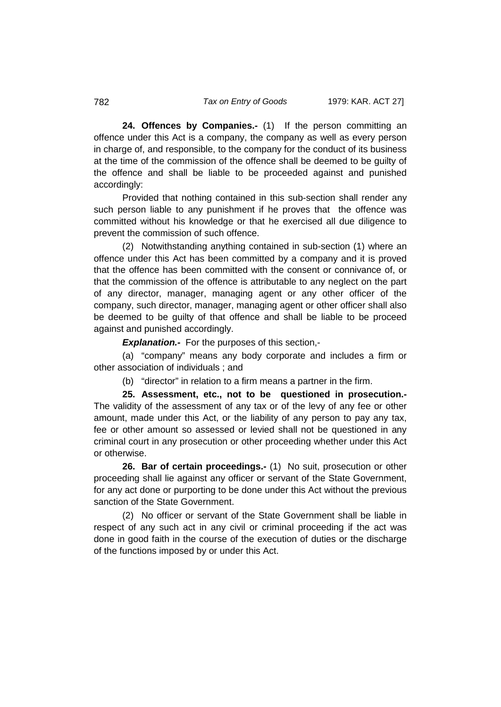**24. Offences by Companies.-** (1) If the person committing an offence under this Act is a company, the company as well as every person in charge of, and responsible, to the company for the conduct of its business at the time of the commission of the offence shall be deemed to be guilty of the offence and shall be liable to be proceeded against and punished accordingly:

Provided that nothing contained in this sub-section shall render any such person liable to any punishment if he proves that the offence was committed without his knowledge or that he exercised all due diligence to prevent the commission of such offence.

(2) Notwithstanding anything contained in sub-section (1) where an offence under this Act has been committed by a company and it is proved that the offence has been committed with the consent or connivance of, or that the commission of the offence is attributable to any neglect on the part of any director, manager, managing agent or any other officer of the company, such director, manager, managing agent or other officer shall also be deemed to be guilty of that offence and shall be liable to be proceed against and punished accordingly.

*Explanation.-* For the purposes of this section,-

(a) "company" means any body corporate and includes a firm or other association of individuals ; and

(b) "director" in relation to a firm means a partner in the firm.

**25. Assessment, etc., not to be questioned in prosecution.-**  The validity of the assessment of any tax or of the levy of any fee or other amount, made under this Act, or the liability of any person to pay any tax, fee or other amount so assessed or levied shall not be questioned in any criminal court in any prosecution or other proceeding whether under this Act or otherwise.

**26. Bar of certain proceedings.-** (1) No suit, prosecution or other proceeding shall lie against any officer or servant of the State Government, for any act done or purporting to be done under this Act without the previous sanction of the State Government.

(2) No officer or servant of the State Government shall be liable in respect of any such act in any civil or criminal proceeding if the act was done in good faith in the course of the execution of duties or the discharge of the functions imposed by or under this Act.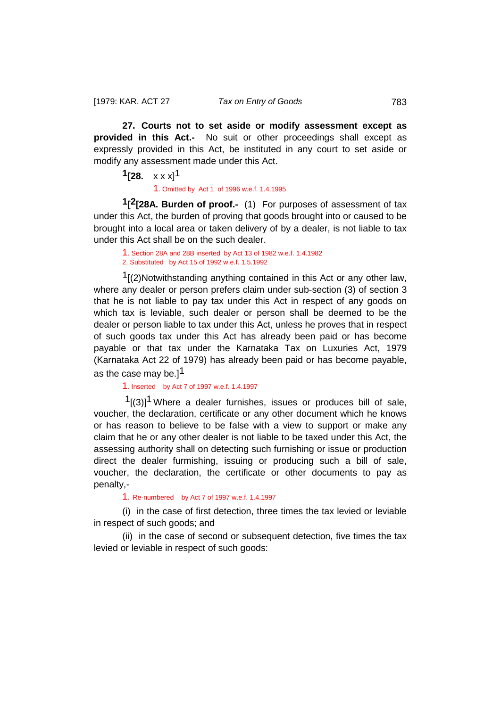**27. Courts not to set aside or modify assessment except as provided in this Act.-** No suit or other proceedings shall except as expressly provided in this Act, be instituted in any court to set aside or modify any assessment made under this Act.

# **1[28.**  $x \times x$ ]<sup>1</sup>

1. Omitted by Act 1 of 1996 w.e.f. 1.4.1995

**1[2[28A. Burden of proof.-** (1) For purposes of assessment of tax under this Act, the burden of proving that goods brought into or caused to be brought into a local area or taken delivery of by a dealer, is not liable to tax under this Act shall be on the such dealer.

1. Section 28A and 28B inserted by Act 13 of 1982 w.e.f. 1.4.1982 2. Substituted by Act 15 of 1992 w.e.f. 1.5.1992

 $1$ [(2)Notwithstanding anything contained in this Act or any other law, where any dealer or person prefers claim under sub-section (3) of section 3 that he is not liable to pay tax under this Act in respect of any goods on which tax is leviable, such dealer or person shall be deemed to be the dealer or person liable to tax under this Act, unless he proves that in respect of such goods tax under this Act has already been paid or has become payable or that tax under the Karnataka Tax on Luxuries Act, 1979 (Karnataka Act 22 of 1979) has already been paid or has become payable, as the case may be.] $<sup>1</sup>$ </sup>

1. Inserted by Act 7 of 1997 w.e.f. 1.4.1997

 $1(3)$ ]<sup>1</sup> Where a dealer furnishes, issues or produces bill of sale, voucher, the declaration, certificate or any other document which he knows or has reason to believe to be false with a view to support or make any claim that he or any other dealer is not liable to be taxed under this Act, the assessing authority shall on detecting such furnishing or issue or production direct the dealer furmishing, issuing or producing such a bill of sale, voucher, the declaration, the certificate or other documents to pay as penalty,-

1. Re-numbered by Act 7 of 1997 w.e.f. 1.4.1997

(i) in the case of first detection, three times the tax levied or leviable in respect of such goods; and

(ii) in the case of second or subsequent detection, five times the tax levied or leviable in respect of such goods: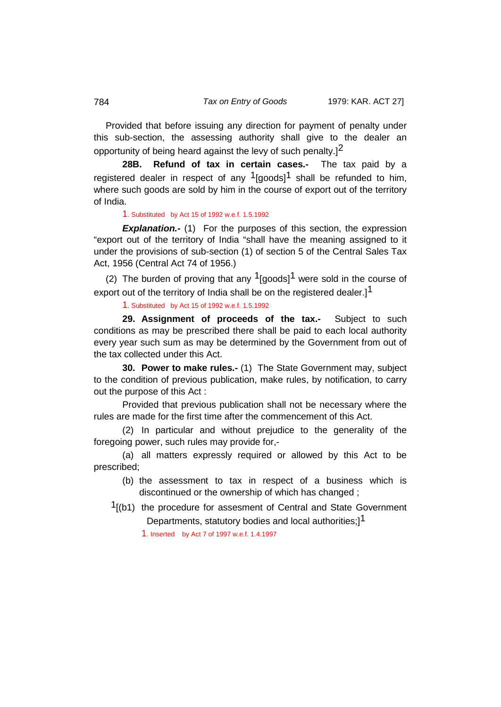Provided that before issuing any direction for payment of penalty under this sub-section, the assessing authority shall give to the dealer an opportunity of being heard against the levy of such penalty.]2

**28B. Refund of tax in certain cases.-** The tax paid by a registered dealer in respect of any  $1$ [goods]<sup>1</sup> shall be refunded to him, where such goods are sold by him in the course of export out of the territory of India.

1. Substituted by Act 15 of 1992 w.e.f. 1.5.1992

**Explanation.-** (1) For the purposes of this section, the expression "export out of the territory of India "shall have the meaning assigned to it under the provisions of sub-section (1) of section 5 of the Central Sales Tax Act, 1956 (Central Act 74 of 1956.)

(2) The burden of proving that any  $\frac{1}{9}$  [goods]<sup>1</sup> were sold in the course of export out of the territory of India shall be on the registered dealer.]<sup>1</sup>

1. Substituted by Act 15 of 1992 w.e.f. 1.5.1992

**29. Assignment of proceeds of the tax.-** Subject to such conditions as may be prescribed there shall be paid to each local authority every year such sum as may be determined by the Government from out of the tax collected under this Act.

**30. Power to make rules.-** (1) The State Government may, subject to the condition of previous publication, make rules, by notification, to carry out the purpose of this Act :

Provided that previous publication shall not be necessary where the rules are made for the first time after the commencement of this Act.

(2) In particular and without prejudice to the generality of the foregoing power, such rules may provide for,-

(a) all matters expressly required or allowed by this Act to be prescribed;

- (b) the assessment to tax in respect of a business which is discontinued or the ownership of which has changed ;
- $<sup>1</sup>$ [(b1) the procedure for assesment of Central and State Government</sup> Departments, statutory bodies and local authorities;<sup>11</sup>

1. Inserted by Act 7 of 1997 w.e.f. 1.4.1997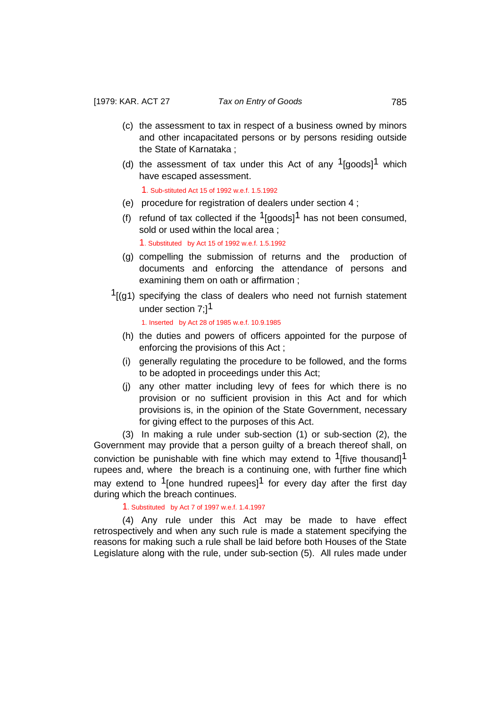- (c) the assessment to tax in respect of a business owned by minors and other incapacitated persons or by persons residing outside the State of Karnataka ;
- (d) the assessment of tax under this Act of any  $1$ [goods]<sup>1</sup> which have escaped assessment.

1. Sub-stituted Act 15 of 1992 w.e.f. 1.5.1992

- (e) procedure for registration of dealers under section 4 ;
- (f) refund of tax collected if the  $1$ [goods]<sup>1</sup> has not been consumed, sold or used within the local area ;

1. Substituted by Act 15 of 1992 w.e.f. 1.5.1992

- (g) compelling the submission of returns and the production of documents and enforcing the attendance of persons and examining them on oath or affirmation ;
- $1$ [(g1) specifying the class of dealers who need not furnish statement under section 7:1<sup>1</sup>

1. Inserted by Act 28 of 1985 w.e.f. 10.9.1985

- (h) the duties and powers of officers appointed for the purpose of enforcing the provisions of this Act ;
- (i) generally regulating the procedure to be followed, and the forms to be adopted in proceedings under this Act;
- (j) any other matter including levy of fees for which there is no provision or no sufficient provision in this Act and for which provisions is, in the opinion of the State Government, necessary for giving effect to the purposes of this Act.

(3) In making a rule under sub-section (1) or sub-section (2), the Government may provide that a person guilty of a breach thereof shall, on conviction be punishable with fine which may extend to  $1$  five thousand]<sup>1</sup> rupees and, where the breach is a continuing one, with further fine which may extend to  $1$  [one hundred rupees]<sup>1</sup> for every day after the first day during which the breach continues.

1. Substituted by Act 7 of 1997 w.e.f. 1.4.1997

(4) Any rule under this Act may be made to have effect retrospectively and when any such rule is made a statement specifying the reasons for making such a rule shall be laid before both Houses of the State Legislature along with the rule, under sub-section (5). All rules made under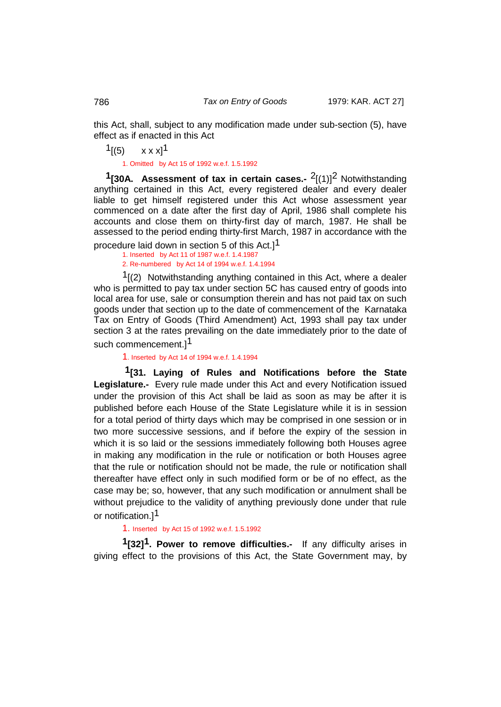this Act, shall, subject to any modification made under sub-section (5), have effect as if enacted in this Act

 $1$ [(5)  $x x x$ ]<sup>1</sup>

1. Omitted by Act 15 of 1992 w.e.f. 1.5.1992

**1[30A. Assessment of tax in certain cases.-** 2[(1)]2 Notwithstanding anything certained in this Act, every registered dealer and every dealer liable to get himself registered under this Act whose assessment year commenced on a date after the first day of April, 1986 shall complete his accounts and close them on thirty-first day of march, 1987. He shall be assessed to the period ending thirty-first March, 1987 in accordance with the

procedure laid down in section 5 of this Act.]1 1. Inserted by Act 11 of 1987 w.e.f. 1.4.1987

2. Re-numbered by Act 14 of 1994 w.e.f. 1.4.1994

 $1(2)$  Notwithstanding anything contained in this Act, where a dealer who is permitted to pay tax under section 5C has caused entry of goods into local area for use, sale or consumption therein and has not paid tax on such goods under that section up to the date of commencement of the Karnataka Tax on Entry of Goods (Third Amendment) Act, 1993 shall pay tax under section 3 at the rates prevailing on the date immediately prior to the date of such commencement.]<sup>1</sup>

1. Inserted by Act 14 of 1994 w.e.f. 1.4.1994

**1[31. Laying of Rules and Notifications before the State Legislature.-** Every rule made under this Act and every Notification issued under the provision of this Act shall be laid as soon as may be after it is published before each House of the State Legislature while it is in session for a total period of thirty days which may be comprised in one session or in two more successive sessions, and if before the expiry of the session in which it is so laid or the sessions immediately following both Houses agree in making any modification in the rule or notification or both Houses agree that the rule or notification should not be made, the rule or notification shall thereafter have effect only in such modified form or be of no effect, as the case may be; so, however, that any such modification or annulment shall be without prejudice to the validity of anything previously done under that rule or notification.<sup>11</sup>

1. Inserted by Act 15 of 1992 w.e.f. 1.5.1992

**1[32]1. Power to remove difficulties.-** If any difficulty arises in giving effect to the provisions of this Act, the State Government may, by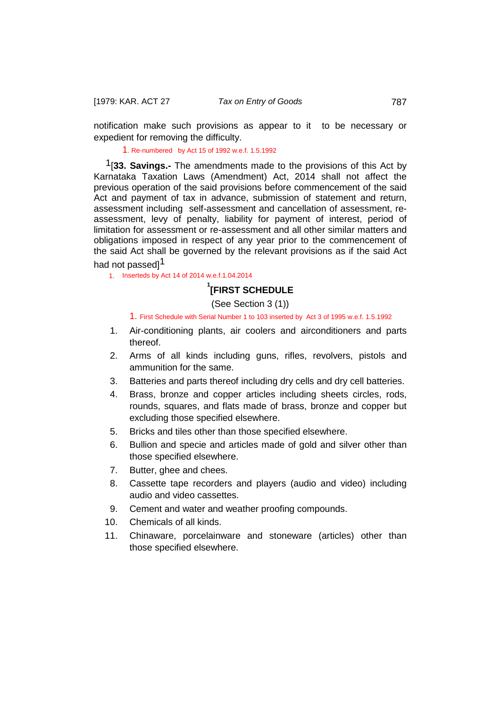notification make such provisions as appear to it to be necessary or expedient for removing the difficulty.

1. Re-numbered by Act 15 of 1992 w.e.f. 1.5.1992

1[**33. Savings.-** The amendments made to the provisions of this Act by Karnataka Taxation Laws (Amendment) Act, 2014 shall not affect the previous operation of the said provisions before commencement of the said Act and payment of tax in advance, submission of statement and return, assessment including self-assessment and cancellation of assessment, reassessment, levy of penalty, liability for payment of interest, period of limitation for assessment or re-assessment and all other similar matters and obligations imposed in respect of any year prior to the commencement of the said Act shall be governed by the relevant provisions as if the said Act had not passed<sup>1</sup>

1. Inserteds by Act 14 of 2014 w.e.f.1.04.2014

# **1 [FIRST SCHEDULE**

## (See Section 3 (1))

1. First Schedule with Serial Number 1 to 103 inserted by Act 3 of 1995 w.e.f. 1.5.1992

- 1. Air-conditioning plants, air coolers and airconditioners and parts thereof.
- 2. Arms of all kinds including guns, rifles, revolvers, pistols and ammunition for the same.
- 3. Batteries and parts thereof including dry cells and dry cell batteries.
- 4. Brass, bronze and copper articles including sheets circles, rods, rounds, squares, and flats made of brass, bronze and copper but excluding those specified elsewhere.
- 5. Bricks and tiles other than those specified elsewhere.
- 6. Bullion and specie and articles made of gold and silver other than those specified elsewhere.
- 7. Butter, ghee and chees.
- 8. Cassette tape recorders and players (audio and video) including audio and video cassettes.
- 9. Cement and water and weather proofing compounds.
- 10. Chemicals of all kinds.
- 11. Chinaware, porcelainware and stoneware (articles) other than those specified elsewhere.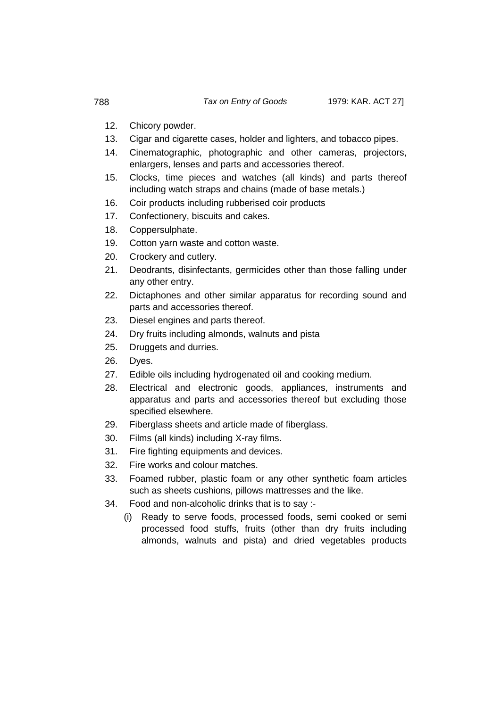- 12. Chicory powder.
- 13. Cigar and cigarette cases, holder and lighters, and tobacco pipes.
- 14. Cinematographic, photographic and other cameras, projectors, enlargers, lenses and parts and accessories thereof.
- 15. Clocks, time pieces and watches (all kinds) and parts thereof including watch straps and chains (made of base metals.)
- 16. Coir products including rubberised coir products
- 17. Confectionery, biscuits and cakes.
- 18. Coppersulphate.
- 19. Cotton yarn waste and cotton waste.
- 20. Crockery and cutlery.
- 21. Deodrants, disinfectants, germicides other than those falling under any other entry.
- 22. Dictaphones and other similar apparatus for recording sound and parts and accessories thereof.
- 23. Diesel engines and parts thereof.
- 24. Dry fruits including almonds, walnuts and pista
- 25. Druggets and durries.
- 26. Dyes.
- 27. Edible oils including hydrogenated oil and cooking medium.
- 28. Electrical and electronic goods, appliances, instruments and apparatus and parts and accessories thereof but excluding those specified elsewhere.
- 29. Fiberglass sheets and article made of fiberglass.
- 30. Films (all kinds) including X-ray films.
- 31. Fire fighting equipments and devices.
- 32. Fire works and colour matches.
- 33. Foamed rubber, plastic foam or any other synthetic foam articles such as sheets cushions, pillows mattresses and the like.
- 34. Food and non-alcoholic drinks that is to say :-
	- (i) Ready to serve foods, processed foods, semi cooked or semi processed food stuffs, fruits (other than dry fruits including almonds, walnuts and pista) and dried vegetables products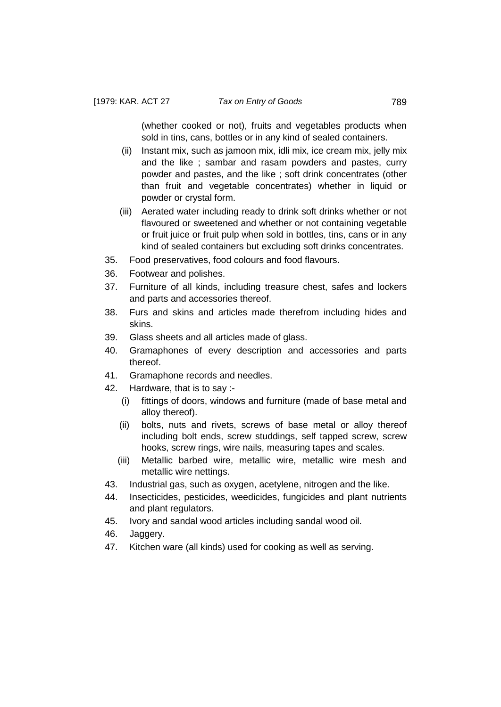(whether cooked or not), fruits and vegetables products when sold in tins, cans, bottles or in any kind of sealed containers.

- (ii) Instant mix, such as jamoon mix, idli mix, ice cream mix, jelly mix and the like ; sambar and rasam powders and pastes, curry powder and pastes, and the like ; soft drink concentrates (other than fruit and vegetable concentrates) whether in liquid or powder or crystal form.
- (iii) Aerated water including ready to drink soft drinks whether or not flavoured or sweetened and whether or not containing vegetable or fruit juice or fruit pulp when sold in bottles, tins, cans or in any kind of sealed containers but excluding soft drinks concentrates.
- 35. Food preservatives, food colours and food flavours.
- 36. Footwear and polishes.
- 37. Furniture of all kinds, including treasure chest, safes and lockers and parts and accessories thereof.
- 38. Furs and skins and articles made therefrom including hides and skins.
- 39. Glass sheets and all articles made of glass.
- 40. Gramaphones of every description and accessories and parts thereof.
- 41. Gramaphone records and needles.
- 42. Hardware, that is to say :-
	- (i) fittings of doors, windows and furniture (made of base metal and alloy thereof).
	- (ii) bolts, nuts and rivets, screws of base metal or alloy thereof including bolt ends, screw studdings, self tapped screw, screw hooks, screw rings, wire nails, measuring tapes and scales.
	- (iii) Metallic barbed wire, metallic wire, metallic wire mesh and metallic wire nettings.
- 43. Industrial gas, such as oxygen, acetylene, nitrogen and the like.
- 44. Insecticides, pesticides, weedicides, fungicides and plant nutrients and plant regulators.
- 45. Ivory and sandal wood articles including sandal wood oil.
- 46. Jaggery.
- 47. Kitchen ware (all kinds) used for cooking as well as serving.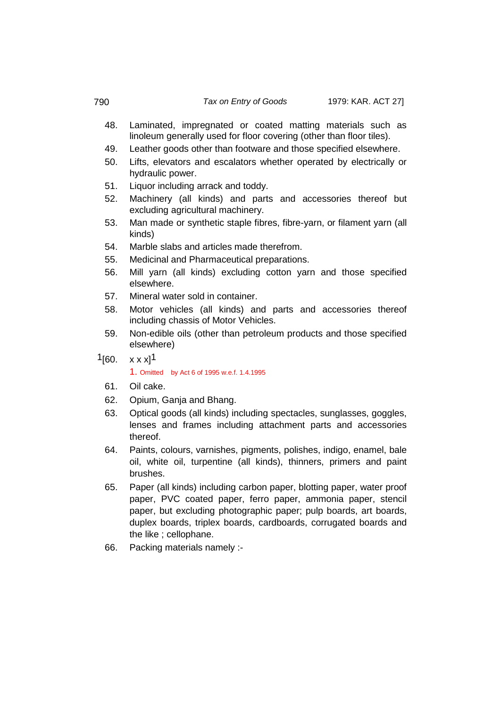- 48. Laminated, impregnated or coated matting materials such as linoleum generally used for floor covering (other than floor tiles).
- 49. Leather goods other than footware and those specified elsewhere.
- 50. Lifts, elevators and escalators whether operated by electrically or hydraulic power.
- 51. Liquor including arrack and toddy.
- 52. Machinery (all kinds) and parts and accessories thereof but excluding agricultural machinery.
- 53. Man made or synthetic staple fibres, fibre-yarn, or filament yarn (all kinds)
- 54. Marble slabs and articles made therefrom.
- 55. Medicinal and Pharmaceutical preparations.
- 56. Mill yarn (all kinds) excluding cotton yarn and those specified elsewhere.
- 57. Mineral water sold in container.
- 58. Motor vehicles (all kinds) and parts and accessories thereof including chassis of Motor Vehicles.
- 59. Non-edible oils (other than petroleum products and those specified elsewhere)
- $1$ [60.  $x x x$ ]<sup>1</sup>

## 1. Omitted by Act 6 of 1995 w.e.f. 1.4.1995

- 61. Oil cake.
- 62. Opium, Ganja and Bhang.
- 63. Optical goods (all kinds) including spectacles, sunglasses, goggles, lenses and frames including attachment parts and accessories thereof.
- 64. Paints, colours, varnishes, pigments, polishes, indigo, enamel, bale oil, white oil, turpentine (all kinds), thinners, primers and paint brushes.
- 65. Paper (all kinds) including carbon paper, blotting paper, water proof paper, PVC coated paper, ferro paper, ammonia paper, stencil paper, but excluding photographic paper; pulp boards, art boards, duplex boards, triplex boards, cardboards, corrugated boards and the like ; cellophane.
- 66. Packing materials namely :-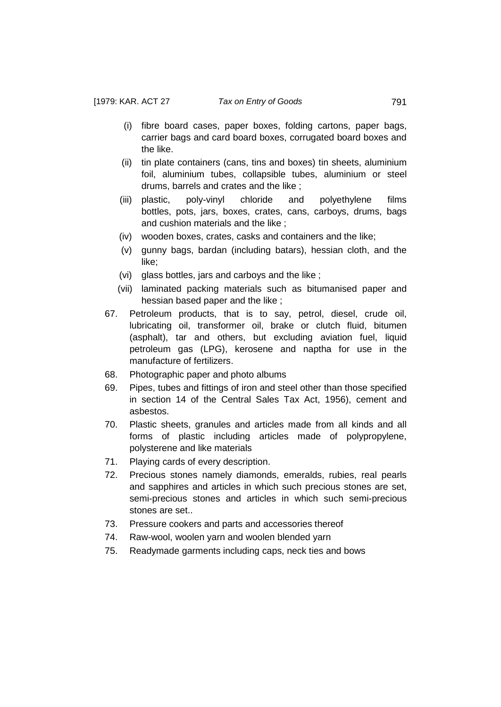- (i) fibre board cases, paper boxes, folding cartons, paper bags, carrier bags and card board boxes, corrugated board boxes and the like.
- (ii) tin plate containers (cans, tins and boxes) tin sheets, aluminium foil, aluminium tubes, collapsible tubes, aluminium or steel drums, barrels and crates and the like ;
- (iii) plastic, poly-vinyl chloride and polyethylene films bottles, pots, jars, boxes, crates, cans, carboys, drums, bags and cushion materials and the like ;
- (iv) wooden boxes, crates, casks and containers and the like;
- (v) gunny bags, bardan (including batars), hessian cloth, and the like;
- (vi) glass bottles, jars and carboys and the like ;
- (vii) laminated packing materials such as bitumanised paper and hessian based paper and the like ;
- 67. Petroleum products, that is to say, petrol, diesel, crude oil, lubricating oil, transformer oil, brake or clutch fluid, bitumen (asphalt), tar and others, but excluding aviation fuel, liquid petroleum gas (LPG), kerosene and naptha for use in the manufacture of fertilizers.
- 68. Photographic paper and photo albums
- 69. Pipes, tubes and fittings of iron and steel other than those specified in section 14 of the Central Sales Tax Act, 1956), cement and asbestos.
- 70. Plastic sheets, granules and articles made from all kinds and all forms of plastic including articles made of polypropylene, polysterene and like materials
- 71. Playing cards of every description.
- 72. Precious stones namely diamonds, emeralds, rubies, real pearls and sapphires and articles in which such precious stones are set, semi-precious stones and articles in which such semi-precious stones are set..
- 73. Pressure cookers and parts and accessories thereof
- 74. Raw-wool, woolen yarn and woolen blended yarn
- 75. Readymade garments including caps, neck ties and bows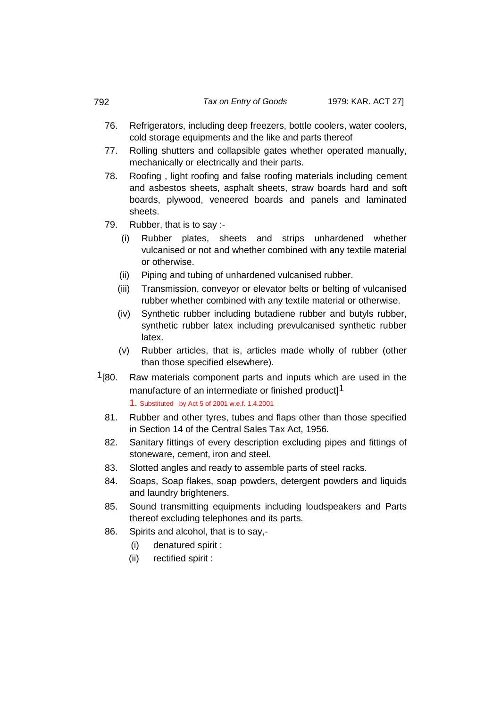- 76. Refrigerators, including deep freezers, bottle coolers, water coolers, cold storage equipments and the like and parts thereof
- 77. Rolling shutters and collapsible gates whether operated manually, mechanically or electrically and their parts.
- 78. Roofing , light roofing and false roofing materials including cement and asbestos sheets, asphalt sheets, straw boards hard and soft boards, plywood, veneered boards and panels and laminated sheets.
- 79. Rubber, that is to say :-
	- (i) Rubber plates, sheets and strips unhardened whether vulcanised or not and whether combined with any textile material or otherwise.
	- (ii) Piping and tubing of unhardened vulcanised rubber.
	- (iii) Transmission, conveyor or elevator belts or belting of vulcanised rubber whether combined with any textile material or otherwise.
	- (iv) Synthetic rubber including butadiene rubber and butyls rubber, synthetic rubber latex including prevulcanised synthetic rubber latex.
	- (v) Rubber articles, that is, articles made wholly of rubber (other than those specified elsewhere).
- $1$ [80. Raw materials component parts and inputs which are used in the manufacture of an intermediate or finished product<sup>1</sup>

1. Substituted by Act 5 of 2001 w.e.f. 1.4.2001

- 81. Rubber and other tyres, tubes and flaps other than those specified in Section 14 of the Central Sales Tax Act, 1956.
- 82. Sanitary fittings of every description excluding pipes and fittings of stoneware, cement, iron and steel.
- 83. Slotted angles and ready to assemble parts of steel racks.
- 84. Soaps, Soap flakes, soap powders, detergent powders and liquids and laundry brighteners.
- 85. Sound transmitting equipments including loudspeakers and Parts thereof excluding telephones and its parts.
- 86. Spirits and alcohol, that is to say,-
	- (i) denatured spirit :
	- (ii) rectified spirit :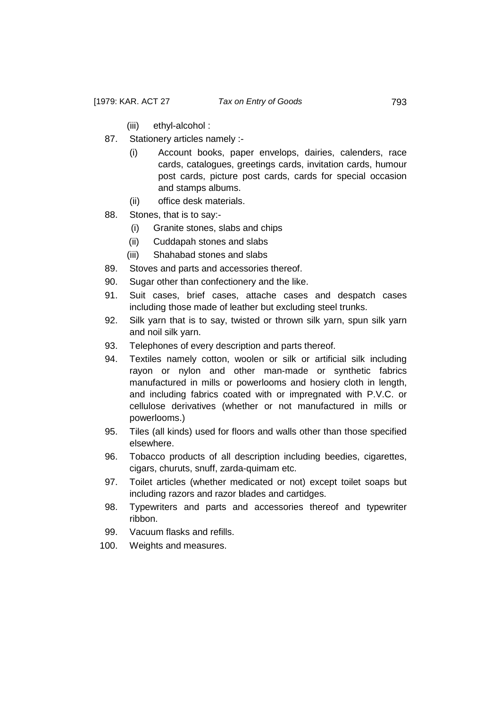- (iii) ethyl-alcohol :
- 87. Stationery articles namely :-
	- (i) Account books, paper envelops, dairies, calenders, race cards, catalogues, greetings cards, invitation cards, humour post cards, picture post cards, cards for special occasion and stamps albums.
	- (ii) office desk materials.
- 88. Stones, that is to say:-
	- (i) Granite stones, slabs and chips
	- (ii) Cuddapah stones and slabs
	- (iii) Shahabad stones and slabs
- 89. Stoves and parts and accessories thereof.
- 90. Sugar other than confectionery and the like.
- 91. Suit cases, brief cases, attache cases and despatch cases including those made of leather but excluding steel trunks.
- 92. Silk yarn that is to say, twisted or thrown silk yarn, spun silk yarn and noil silk yarn.
- 93. Telephones of every description and parts thereof.
- 94. Textiles namely cotton, woolen or silk or artificial silk including rayon or nylon and other man-made or synthetic fabrics manufactured in mills or powerlooms and hosiery cloth in length, and including fabrics coated with or impregnated with P.V.C. or cellulose derivatives (whether or not manufactured in mills or powerlooms.)
- 95. Tiles (all kinds) used for floors and walls other than those specified elsewhere.
- 96. Tobacco products of all description including beedies, cigarettes, cigars, churuts, snuff, zarda-quimam etc.
- 97. Toilet articles (whether medicated or not) except toilet soaps but including razors and razor blades and cartidges.
- 98. Typewriters and parts and accessories thereof and typewriter ribbon.
- 99. Vacuum flasks and refills.
- 100. Weights and measures.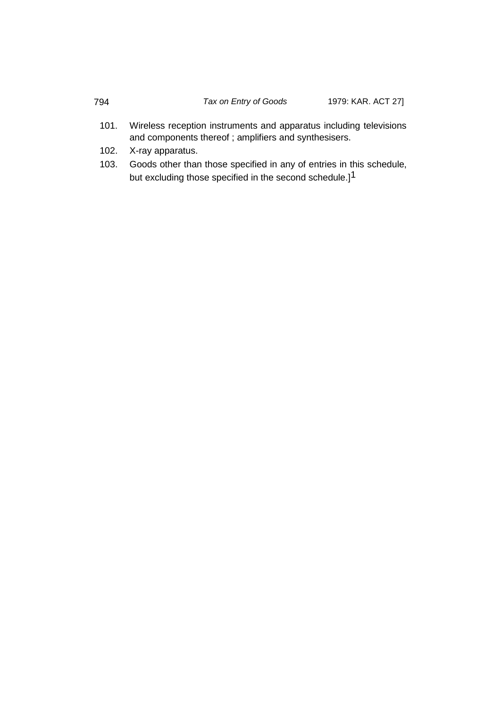- 101. Wireless reception instruments and apparatus including televisions and components thereof ; amplifiers and synthesisers.
- 102. X-ray apparatus.
- 103. Goods other than those specified in any of entries in this schedule, but excluding those specified in the second schedule.]<sup>1</sup>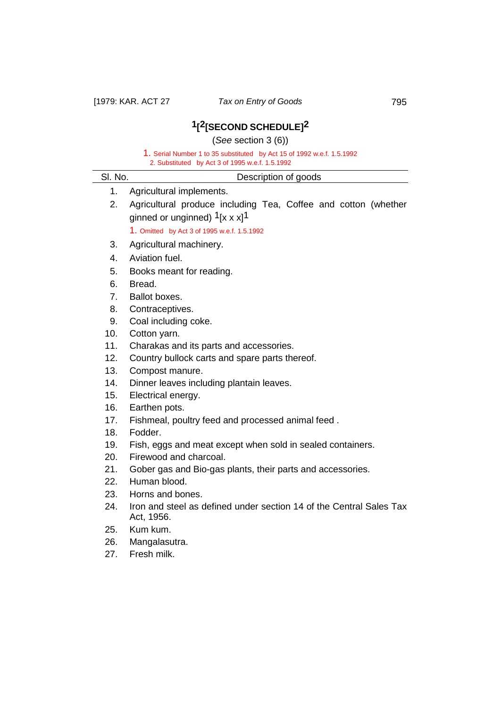# **1[2[SECOND SCHEDULE]2**

(*See* section 3 (6))

1. Serial Number 1 to 35 substituted by Act 15 of 1992 w.e.f. 1.5.1992

| 2. Substituted by Act 3 of 1995 w.e.f. 1.5.1992 |                                                                                   |
|-------------------------------------------------|-----------------------------------------------------------------------------------|
| SI. No.                                         | Description of goods                                                              |
| 1.                                              | Agricultural implements.                                                          |
| 2.                                              | Agricultural produce including Tea, Coffee and cotton (whether                    |
|                                                 | ginned or unginned) $1[x x x]$ <sup>1</sup>                                       |
|                                                 | 1. Omitted by Act 3 of 1995 w.e.f. 1.5.1992                                       |
| 3.                                              | Agricultural machinery.                                                           |
| 4.                                              | Aviation fuel.                                                                    |
| 5.                                              | Books meant for reading.                                                          |
| 6.                                              | Bread.                                                                            |
| 7.                                              | Ballot boxes.                                                                     |
| 8.                                              | Contraceptives.                                                                   |
| 9.                                              | Coal including coke.                                                              |
| 10.                                             | Cotton yarn.                                                                      |
| 11.                                             | Charakas and its parts and accessories.                                           |
| 12.                                             | Country bullock carts and spare parts thereof.                                    |
| 13.                                             | Compost manure.                                                                   |
| 14.                                             | Dinner leaves including plantain leaves.                                          |
| 15.                                             | Electrical energy.                                                                |
| 16.                                             | Earthen pots.                                                                     |
| 17.                                             | Fishmeal, poultry feed and processed animal feed.                                 |
| 18.                                             | Fodder.                                                                           |
| 19.                                             | Fish, eggs and meat except when sold in sealed containers.                        |
| 20.                                             | Firewood and charcoal.                                                            |
| 21.                                             | Gober gas and Bio-gas plants, their parts and accessories.                        |
| 22.                                             | Human blood.                                                                      |
| 23.                                             | Horns and bones.                                                                  |
| 24.                                             | Iron and steel as defined under section 14 of the Central Sales Tax<br>Act, 1956. |
| 25.                                             | Kum kum.                                                                          |
| 26.                                             | Mangalasutra.                                                                     |
| 27.                                             | Fresh milk.                                                                       |
|                                                 |                                                                                   |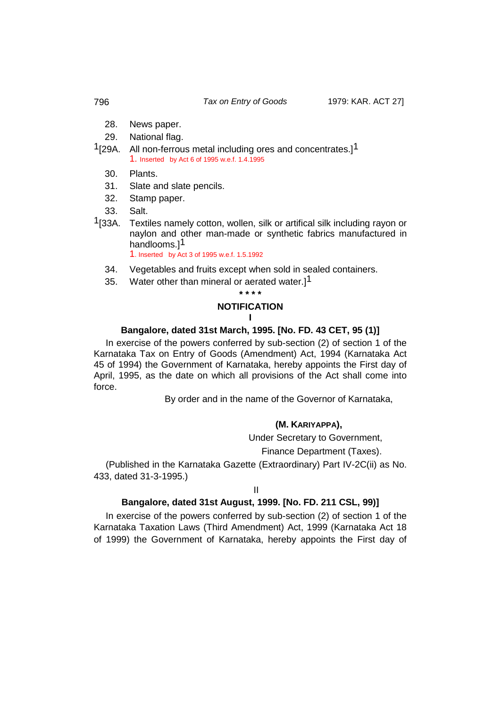- 28. News paper.
- 29. National flag.
- <sup>1</sup>[29A. All non-ferrous metal including ores and concentrates.]<sup>1</sup> 1. Inserted by Act 6 of 1995 w.e.f. 1.4.1995
	- 30. Plants.
	- 31. Slate and slate pencils.
	- 32. Stamp paper.
	- 33. Salt.
- 1[33A. Textiles namely cotton, wollen, silk or artifical silk including rayon or naylon and other man-made or synthetic fabrics manufactured in handlooms.<sup>11</sup> 1. Inserted by Act 3 of 1995 w.e.f. 1.5.1992
	- 34. Vegetables and fruits except when sold in sealed containers.
	- 35. Water other than mineral or aerated water.<sup>11</sup>

# **\* \* \* \* NOTIFICATION I**

## **Bangalore, dated 31st March, 1995. [No. FD. 43 CET, 95 (1)]**

In exercise of the powers conferred by sub-section (2) of section 1 of the Karnataka Tax on Entry of Goods (Amendment) Act, 1994 (Karnataka Act 45 of 1994) the Government of Karnataka, hereby appoints the First day of April, 1995, as the date on which all provisions of the Act shall come into force.

By order and in the name of the Governor of Karnataka,

#### **(M. KARIYAPPA),**

Under Secretary to Government,

Finance Department (Taxes).

(Published in the Karnataka Gazette (Extraordinary) Part IV-2C(ii) as No. 433, dated 31-3-1995.)

#### II

# **Bangalore, dated 31st August, 1999. [No. FD. 211 CSL, 99)]**

In exercise of the powers conferred by sub-section (2) of section 1 of the Karnataka Taxation Laws (Third Amendment) Act, 1999 (Karnataka Act 18 of 1999) the Government of Karnataka, hereby appoints the First day of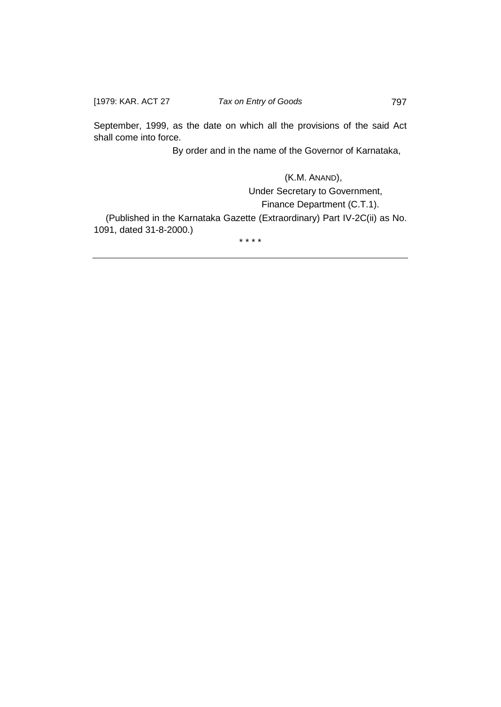September, 1999, as the date on which all the provisions of the said Act shall come into force.

By order and in the name of the Governor of Karnataka,

 (K.M. ANAND), Under Secretary to Government, Finance Department (C.T.1). (Published in the Karnataka Gazette (Extraordinary) Part IV-2C(ii) as No. 1091, dated 31-8-2000.)

\* \* \* \*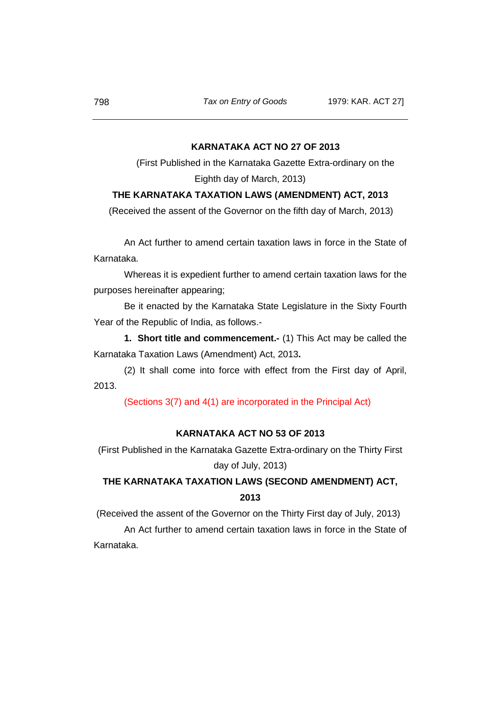## **KARNATAKA ACT NO 27 OF 2013**

(First Published in the Karnataka Gazette Extra-ordinary on the Eighth day of March, 2013)

# **THE KARNATAKA TAXATION LAWS (AMENDMENT) ACT, 2013**

(Received the assent of the Governor on the fifth day of March, 2013)

An Act further to amend certain taxation laws in force in the State of Karnataka.

Whereas it is expedient further to amend certain taxation laws for the purposes hereinafter appearing;

Be it enacted by the Karnataka State Legislature in the Sixty Fourth Year of the Republic of India, as follows.-

**1. Short title and commencement.-** (1) This Act may be called the Karnataka Taxation Laws (Amendment) Act, 2013**.**

(2) It shall come into force with effect from the First day of April, 2013.

(Sections 3(7) and 4(1) are incorporated in the Principal Act)

## **KARNATAKA ACT NO 53 OF 2013**

(First Published in the Karnataka Gazette Extra-ordinary on the Thirty First day of July, 2013)

# **THE KARNATAKA TAXATION LAWS (SECOND AMENDMENT) ACT, 2013**

(Received the assent of the Governor on the Thirty First day of July, 2013)

An Act further to amend certain taxation laws in force in the State of Karnataka.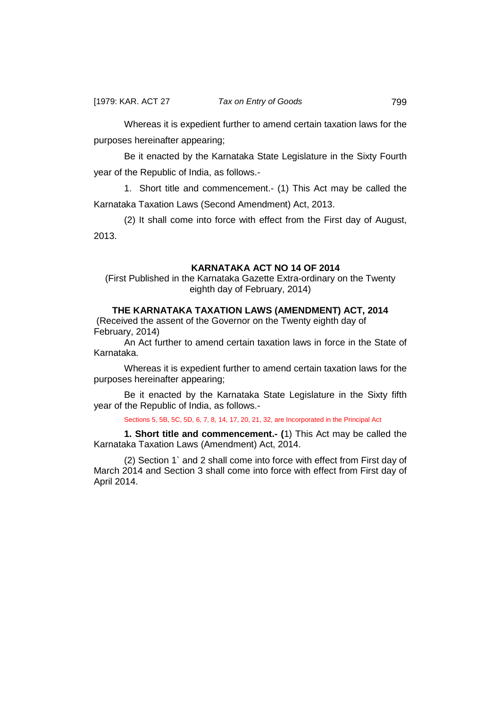Whereas it is expedient further to amend certain taxation laws for the purposes hereinafter appearing;

Be it enacted by the Karnataka State Legislature in the Sixty Fourth year of the Republic of India, as follows.-

1. Short title and commencement.- (1) This Act may be called the Karnataka Taxation Laws (Second Amendment) Act, 2013.

(2) It shall come into force with effect from the First day of August, 2013.

# **KARNATAKA ACT NO 14 OF 2014**

(First Published in the Karnataka Gazette Extra-ordinary on the Twenty eighth day of February, 2014)

# **THE KARNATAKA TAXATION LAWS (AMENDMENT) ACT, 2014**

(Received the assent of the Governor on the Twenty eighth day of February, 2014)

An Act further to amend certain taxation laws in force in the State of Karnataka.

Whereas it is expedient further to amend certain taxation laws for the purposes hereinafter appearing;

Be it enacted by the Karnataka State Legislature in the Sixty fifth year of the Republic of India, as follows.-

#### Sections 5, 5B, 5C, 5D, 6, 7, 8, 14, 17, 20, 21, 32, are Incorporated in the Principal Act

**1. Short title and commencement.- (**1) This Act may be called the Karnataka Taxation Laws (Amendment) Act, 2014.

(2) Section 1` and 2 shall come into force with effect from First day of March 2014 and Section 3 shall come into force with effect from First day of April 2014.